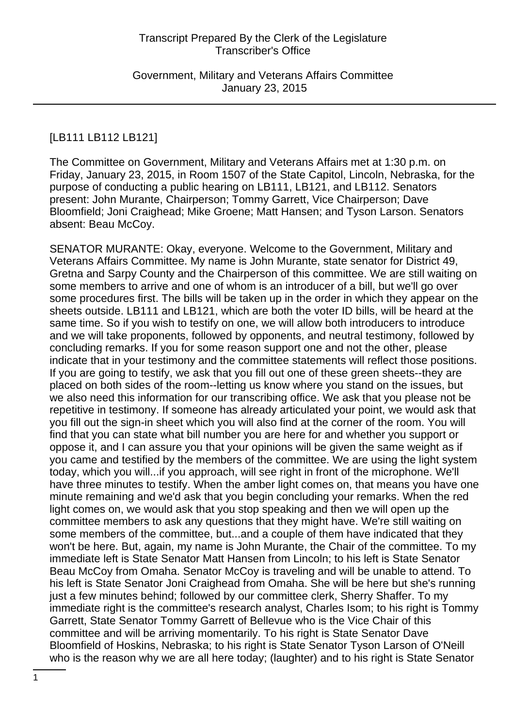Government, Military and Veterans Affairs Committee January 23, 2015

# [LB111 LB112 LB121]

The Committee on Government, Military and Veterans Affairs met at 1:30 p.m. on Friday, January 23, 2015, in Room 1507 of the State Capitol, Lincoln, Nebraska, for the purpose of conducting a public hearing on LB111, LB121, and LB112. Senators present: John Murante, Chairperson; Tommy Garrett, Vice Chairperson; Dave Bloomfield; Joni Craighead; Mike Groene; Matt Hansen; and Tyson Larson. Senators absent: Beau McCoy.

SENATOR MURANTE: Okay, everyone. Welcome to the Government, Military and Veterans Affairs Committee. My name is John Murante, state senator for District 49, Gretna and Sarpy County and the Chairperson of this committee. We are still waiting on some members to arrive and one of whom is an introducer of a bill, but we'll go over some procedures first. The bills will be taken up in the order in which they appear on the sheets outside. LB111 and LB121, which are both the voter ID bills, will be heard at the same time. So if you wish to testify on one, we will allow both introducers to introduce and we will take proponents, followed by opponents, and neutral testimony, followed by concluding remarks. If you for some reason support one and not the other, please indicate that in your testimony and the committee statements will reflect those positions. If you are going to testify, we ask that you fill out one of these green sheets--they are placed on both sides of the room--letting us know where you stand on the issues, but we also need this information for our transcribing office. We ask that you please not be repetitive in testimony. If someone has already articulated your point, we would ask that you fill out the sign-in sheet which you will also find at the corner of the room. You will find that you can state what bill number you are here for and whether you support or oppose it, and I can assure you that your opinions will be given the same weight as if you came and testified by the members of the committee. We are using the light system today, which you will...if you approach, will see right in front of the microphone. We'll have three minutes to testify. When the amber light comes on, that means you have one minute remaining and we'd ask that you begin concluding your remarks. When the red light comes on, we would ask that you stop speaking and then we will open up the committee members to ask any questions that they might have. We're still waiting on some members of the committee, but...and a couple of them have indicated that they won't be here. But, again, my name is John Murante, the Chair of the committee. To my immediate left is State Senator Matt Hansen from Lincoln; to his left is State Senator Beau McCoy from Omaha. Senator McCoy is traveling and will be unable to attend. To his left is State Senator Joni Craighead from Omaha. She will be here but she's running just a few minutes behind; followed by our committee clerk, Sherry Shaffer. To my immediate right is the committee's research analyst, Charles Isom; to his right is Tommy Garrett, State Senator Tommy Garrett of Bellevue who is the Vice Chair of this committee and will be arriving momentarily. To his right is State Senator Dave Bloomfield of Hoskins, Nebraska; to his right is State Senator Tyson Larson of O'Neill who is the reason why we are all here today; (laughter) and to his right is State Senator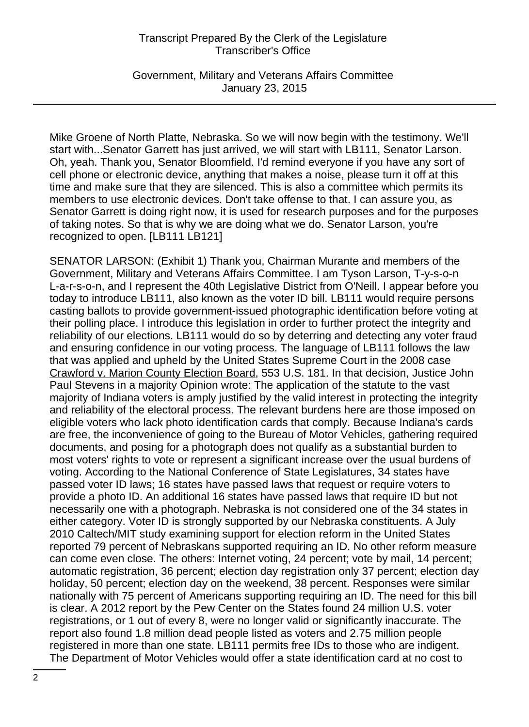Government, Military and Veterans Affairs Committee January 23, 2015

Mike Groene of North Platte, Nebraska. So we will now begin with the testimony. We'll start with...Senator Garrett has just arrived, we will start with LB111, Senator Larson. Oh, yeah. Thank you, Senator Bloomfield. I'd remind everyone if you have any sort of cell phone or electronic device, anything that makes a noise, please turn it off at this time and make sure that they are silenced. This is also a committee which permits its members to use electronic devices. Don't take offense to that. I can assure you, as Senator Garrett is doing right now, it is used for research purposes and for the purposes of taking notes. So that is why we are doing what we do. Senator Larson, you're recognized to open. [LB111 LB121]

SENATOR LARSON: (Exhibit 1) Thank you, Chairman Murante and members of the Government, Military and Veterans Affairs Committee. I am Tyson Larson, T-y-s-o-n L-a-r-s-o-n, and I represent the 40th Legislative District from O'Neill. I appear before you today to introduce LB111, also known as the voter ID bill. LB111 would require persons casting ballots to provide government-issued photographic identification before voting at their polling place. I introduce this legislation in order to further protect the integrity and reliability of our elections. LB111 would do so by deterring and detecting any voter fraud and ensuring confidence in our voting process. The language of LB111 follows the law that was applied and upheld by the United States Supreme Court in the 2008 case Crawford v. Marion County Election Board, 553 U.S. 181. In that decision, Justice John Paul Stevens in a majority Opinion wrote: The application of the statute to the vast majority of Indiana voters is amply justified by the valid interest in protecting the integrity and reliability of the electoral process. The relevant burdens here are those imposed on eligible voters who lack photo identification cards that comply. Because Indiana's cards are free, the inconvenience of going to the Bureau of Motor Vehicles, gathering required documents, and posing for a photograph does not qualify as a substantial burden to most voters' rights to vote or represent a significant increase over the usual burdens of voting. According to the National Conference of State Legislatures, 34 states have passed voter ID laws; 16 states have passed laws that request or require voters to provide a photo ID. An additional 16 states have passed laws that require ID but not necessarily one with a photograph. Nebraska is not considered one of the 34 states in either category. Voter ID is strongly supported by our Nebraska constituents. A July 2010 Caltech/MIT study examining support for election reform in the United States reported 79 percent of Nebraskans supported requiring an ID. No other reform measure can come even close. The others: Internet voting, 24 percent; vote by mail, 14 percent; automatic registration, 36 percent; election day registration only 37 percent; election day holiday, 50 percent; election day on the weekend, 38 percent. Responses were similar nationally with 75 percent of Americans supporting requiring an ID. The need for this bill is clear. A 2012 report by the Pew Center on the States found 24 million U.S. voter registrations, or 1 out of every 8, were no longer valid or significantly inaccurate. The report also found 1.8 million dead people listed as voters and 2.75 million people registered in more than one state. LB111 permits free IDs to those who are indigent. The Department of Motor Vehicles would offer a state identification card at no cost to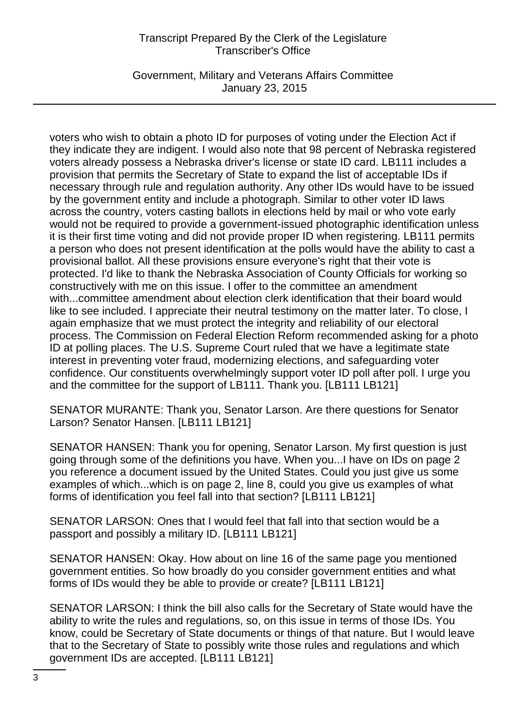Government, Military and Veterans Affairs Committee January 23, 2015

voters who wish to obtain a photo ID for purposes of voting under the Election Act if they indicate they are indigent. I would also note that 98 percent of Nebraska registered voters already possess a Nebraska driver's license or state ID card. LB111 includes a provision that permits the Secretary of State to expand the list of acceptable IDs if necessary through rule and regulation authority. Any other IDs would have to be issued by the government entity and include a photograph. Similar to other voter ID laws across the country, voters casting ballots in elections held by mail or who vote early would not be required to provide a government-issued photographic identification unless it is their first time voting and did not provide proper ID when registering. LB111 permits a person who does not present identification at the polls would have the ability to cast a provisional ballot. All these provisions ensure everyone's right that their vote is protected. I'd like to thank the Nebraska Association of County Officials for working so constructively with me on this issue. I offer to the committee an amendment with...committee amendment about election clerk identification that their board would like to see included. I appreciate their neutral testimony on the matter later. To close, I again emphasize that we must protect the integrity and reliability of our electoral process. The Commission on Federal Election Reform recommended asking for a photo ID at polling places. The U.S. Supreme Court ruled that we have a legitimate state interest in preventing voter fraud, modernizing elections, and safeguarding voter confidence. Our constituents overwhelmingly support voter ID poll after poll. I urge you and the committee for the support of LB111. Thank you. [LB111 LB121]

SENATOR MURANTE: Thank you, Senator Larson. Are there questions for Senator Larson? Senator Hansen. [LB111 LB121]

SENATOR HANSEN: Thank you for opening, Senator Larson. My first question is just going through some of the definitions you have. When you...I have on IDs on page 2 you reference a document issued by the United States. Could you just give us some examples of which...which is on page 2, line 8, could you give us examples of what forms of identification you feel fall into that section? [LB111 LB121]

SENATOR LARSON: Ones that I would feel that fall into that section would be a passport and possibly a military ID. [LB111 LB121]

SENATOR HANSEN: Okay. How about on line 16 of the same page you mentioned government entities. So how broadly do you consider government entities and what forms of IDs would they be able to provide or create? [LB111 LB121]

SENATOR LARSON: I think the bill also calls for the Secretary of State would have the ability to write the rules and regulations, so, on this issue in terms of those IDs. You know, could be Secretary of State documents or things of that nature. But I would leave that to the Secretary of State to possibly write those rules and regulations and which government IDs are accepted. [LB111 LB121]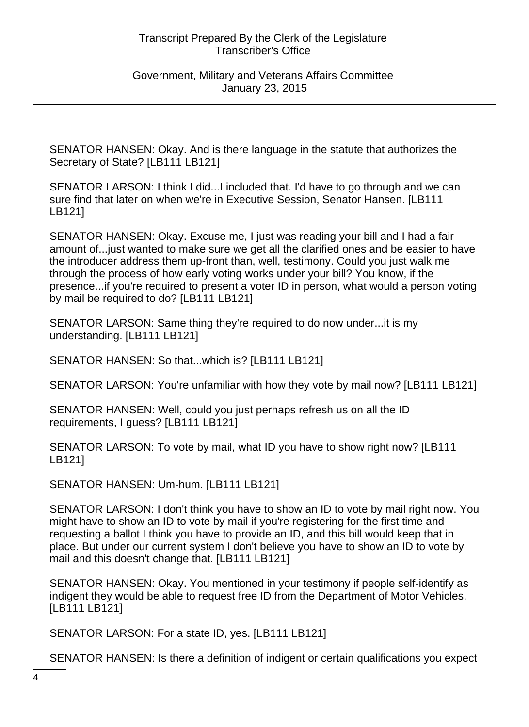Government, Military and Veterans Affairs Committee January 23, 2015

SENATOR HANSEN: Okay. And is there language in the statute that authorizes the Secretary of State? [LB111 LB121]

SENATOR LARSON: I think I did...I included that. I'd have to go through and we can sure find that later on when we're in Executive Session, Senator Hansen. [LB111 LB121]

SENATOR HANSEN: Okay. Excuse me, I just was reading your bill and I had a fair amount of...just wanted to make sure we get all the clarified ones and be easier to have the introducer address them up-front than, well, testimony. Could you just walk me through the process of how early voting works under your bill? You know, if the presence...if you're required to present a voter ID in person, what would a person voting by mail be required to do? [LB111 LB121]

SENATOR LARSON: Same thing they're required to do now under...it is my understanding. [LB111 LB121]

SENATOR HANSEN: So that...which is? [LB111 LB121]

SENATOR LARSON: You're unfamiliar with how they vote by mail now? [LB111 LB121]

SENATOR HANSEN: Well, could you just perhaps refresh us on all the ID requirements, I guess? [LB111 LB121]

SENATOR LARSON: To vote by mail, what ID you have to show right now? [LB111 LB121]

SENATOR HANSEN: Um-hum. [LB111 LB121]

SENATOR LARSON: I don't think you have to show an ID to vote by mail right now. You might have to show an ID to vote by mail if you're registering for the first time and requesting a ballot I think you have to provide an ID, and this bill would keep that in place. But under our current system I don't believe you have to show an ID to vote by mail and this doesn't change that. [LB111 LB121]

SENATOR HANSEN: Okay. You mentioned in your testimony if people self-identify as indigent they would be able to request free ID from the Department of Motor Vehicles. [LB111 LB121]

SENATOR LARSON: For a state ID, yes. [LB111 LB121]

SENATOR HANSEN: Is there a definition of indigent or certain qualifications you expect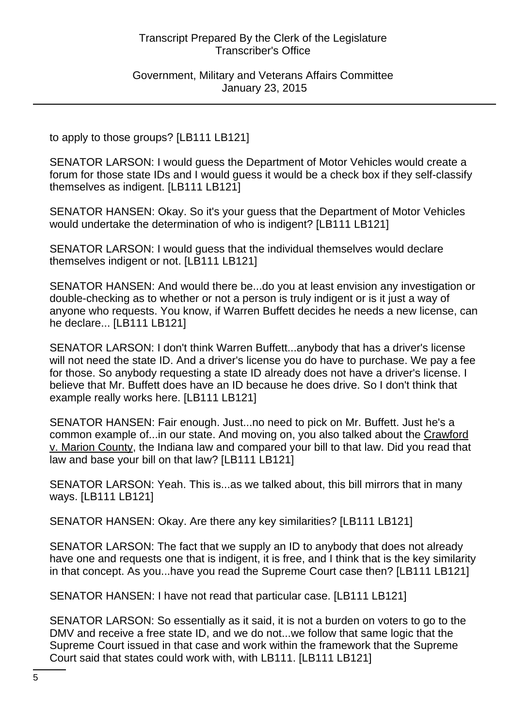Government, Military and Veterans Affairs Committee January 23, 2015

to apply to those groups? [LB111 LB121]

SENATOR LARSON: I would guess the Department of Motor Vehicles would create a forum for those state IDs and I would guess it would be a check box if they self-classify themselves as indigent. [LB111 LB121]

SENATOR HANSEN: Okay. So it's your guess that the Department of Motor Vehicles would undertake the determination of who is indigent? [LB111 LB121]

SENATOR LARSON: I would guess that the individual themselves would declare themselves indigent or not. [LB111 LB121]

SENATOR HANSEN: And would there be...do you at least envision any investigation or double-checking as to whether or not a person is truly indigent or is it just a way of anyone who requests. You know, if Warren Buffett decides he needs a new license, can he declare... [LB111 LB121]

SENATOR LARSON: I don't think Warren Buffett...anybody that has a driver's license will not need the state ID. And a driver's license you do have to purchase. We pay a fee for those. So anybody requesting a state ID already does not have a driver's license. I believe that Mr. Buffett does have an ID because he does drive. So I don't think that example really works here. [LB111 LB121]

SENATOR HANSEN: Fair enough. Just...no need to pick on Mr. Buffett. Just he's a common example of...in our state. And moving on, you also talked about the Crawford v. Marion County, the Indiana law and compared your bill to that law. Did you read that law and base your bill on that law? [LB111 LB121]

SENATOR LARSON: Yeah. This is...as we talked about, this bill mirrors that in many ways. [LB111 LB121]

SENATOR HANSEN: Okay. Are there any key similarities? [LB111 LB121]

SENATOR LARSON: The fact that we supply an ID to anybody that does not already have one and requests one that is indigent, it is free, and I think that is the key similarity in that concept. As you...have you read the Supreme Court case then? [LB111 LB121]

SENATOR HANSEN: I have not read that particular case. [LB111 LB121]

SENATOR LARSON: So essentially as it said, it is not a burden on voters to go to the DMV and receive a free state ID, and we do not...we follow that same logic that the Supreme Court issued in that case and work within the framework that the Supreme Court said that states could work with, with LB111. [LB111 LB121]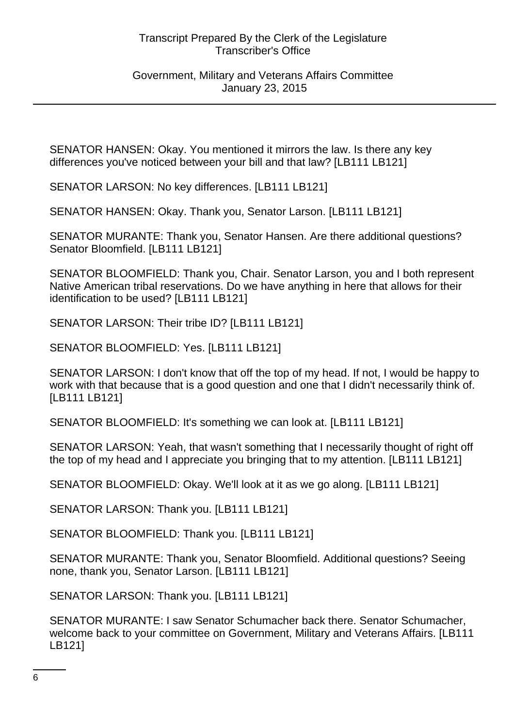Government, Military and Veterans Affairs Committee January 23, 2015

SENATOR HANSEN: Okay. You mentioned it mirrors the law. Is there any key differences you've noticed between your bill and that law? [LB111 LB121]

SENATOR LARSON: No key differences. [LB111 LB121]

SENATOR HANSEN: Okay. Thank you, Senator Larson. [LB111 LB121]

SENATOR MURANTE: Thank you, Senator Hansen. Are there additional questions? Senator Bloomfield. [LB111 LB121]

SENATOR BLOOMFIELD: Thank you, Chair. Senator Larson, you and I both represent Native American tribal reservations. Do we have anything in here that allows for their identification to be used? [LB111 LB121]

SENATOR LARSON: Their tribe ID? [LB111 LB121]

SENATOR BLOOMFIELD: Yes. [LB111 LB121]

SENATOR LARSON: I don't know that off the top of my head. If not, I would be happy to work with that because that is a good question and one that I didn't necessarily think of. [LB111 LB121]

SENATOR BLOOMFIELD: It's something we can look at. [LB111 LB121]

SENATOR LARSON: Yeah, that wasn't something that I necessarily thought of right off the top of my head and I appreciate you bringing that to my attention. [LB111 LB121]

SENATOR BLOOMFIELD: Okay. We'll look at it as we go along. [LB111 LB121]

SENATOR LARSON: Thank you. [LB111 LB121]

SENATOR BLOOMFIELD: Thank you. [LB111 LB121]

SENATOR MURANTE: Thank you, Senator Bloomfield. Additional questions? Seeing none, thank you, Senator Larson. [LB111 LB121]

SENATOR LARSON: Thank you. [LB111 LB121]

SENATOR MURANTE: I saw Senator Schumacher back there. Senator Schumacher, welcome back to your committee on Government, Military and Veterans Affairs. [LB111 LB121]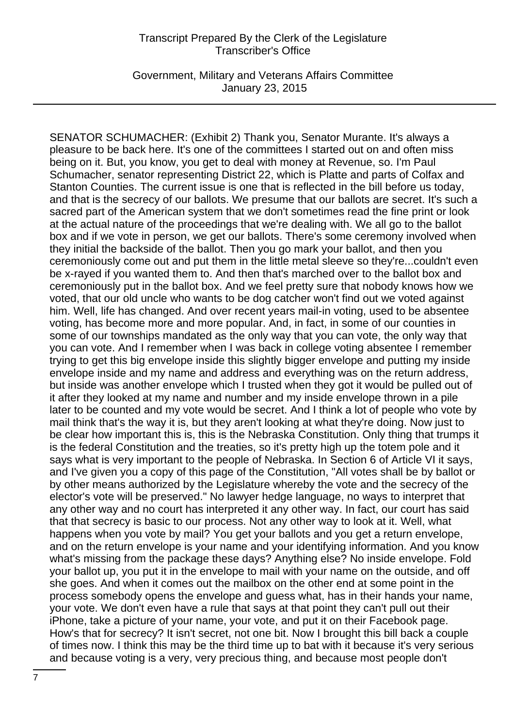Government, Military and Veterans Affairs Committee January 23, 2015

SENATOR SCHUMACHER: (Exhibit 2) Thank you, Senator Murante. It's always a pleasure to be back here. It's one of the committees I started out on and often miss being on it. But, you know, you get to deal with money at Revenue, so. I'm Paul Schumacher, senator representing District 22, which is Platte and parts of Colfax and Stanton Counties. The current issue is one that is reflected in the bill before us today, and that is the secrecy of our ballots. We presume that our ballots are secret. It's such a sacred part of the American system that we don't sometimes read the fine print or look at the actual nature of the proceedings that we're dealing with. We all go to the ballot box and if we vote in person, we get our ballots. There's some ceremony involved when they initial the backside of the ballot. Then you go mark your ballot, and then you ceremoniously come out and put them in the little metal sleeve so they're...couldn't even be x-rayed if you wanted them to. And then that's marched over to the ballot box and ceremoniously put in the ballot box. And we feel pretty sure that nobody knows how we voted, that our old uncle who wants to be dog catcher won't find out we voted against him. Well, life has changed. And over recent years mail-in voting, used to be absentee voting, has become more and more popular. And, in fact, in some of our counties in some of our townships mandated as the only way that you can vote, the only way that you can vote. And I remember when I was back in college voting absentee I remember trying to get this big envelope inside this slightly bigger envelope and putting my inside envelope inside and my name and address and everything was on the return address, but inside was another envelope which I trusted when they got it would be pulled out of it after they looked at my name and number and my inside envelope thrown in a pile later to be counted and my vote would be secret. And I think a lot of people who vote by mail think that's the way it is, but they aren't looking at what they're doing. Now just to be clear how important this is, this is the Nebraska Constitution. Only thing that trumps it is the federal Constitution and the treaties, so it's pretty high up the totem pole and it says what is very important to the people of Nebraska. In Section 6 of Article VI it says, and I've given you a copy of this page of the Constitution, "All votes shall be by ballot or by other means authorized by the Legislature whereby the vote and the secrecy of the elector's vote will be preserved." No lawyer hedge language, no ways to interpret that any other way and no court has interpreted it any other way. In fact, our court has said that that secrecy is basic to our process. Not any other way to look at it. Well, what happens when you vote by mail? You get your ballots and you get a return envelope, and on the return envelope is your name and your identifying information. And you know what's missing from the package these days? Anything else? No inside envelope. Fold your ballot up, you put it in the envelope to mail with your name on the outside, and off she goes. And when it comes out the mailbox on the other end at some point in the process somebody opens the envelope and guess what, has in their hands your name, your vote. We don't even have a rule that says at that point they can't pull out their iPhone, take a picture of your name, your vote, and put it on their Facebook page. How's that for secrecy? It isn't secret, not one bit. Now I brought this bill back a couple of times now. I think this may be the third time up to bat with it because it's very serious and because voting is a very, very precious thing, and because most people don't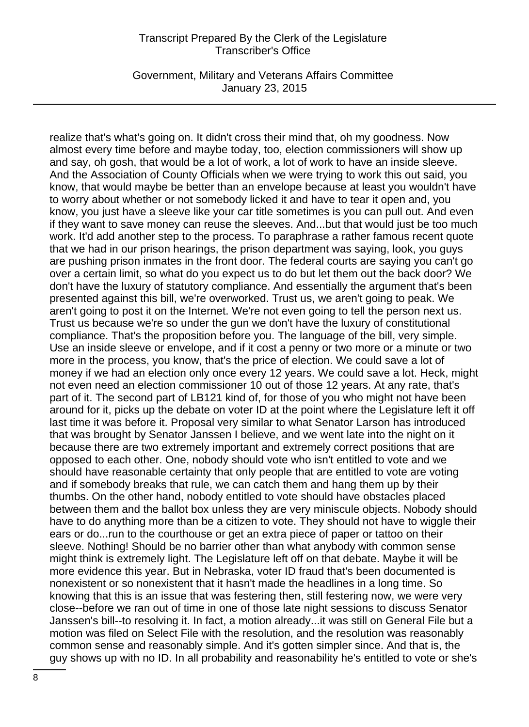Government, Military and Veterans Affairs Committee January 23, 2015

realize that's what's going on. It didn't cross their mind that, oh my goodness. Now almost every time before and maybe today, too, election commissioners will show up and say, oh gosh, that would be a lot of work, a lot of work to have an inside sleeve. And the Association of County Officials when we were trying to work this out said, you know, that would maybe be better than an envelope because at least you wouldn't have to worry about whether or not somebody licked it and have to tear it open and, you know, you just have a sleeve like your car title sometimes is you can pull out. And even if they want to save money can reuse the sleeves. And...but that would just be too much work. It'd add another step to the process. To paraphrase a rather famous recent quote that we had in our prison hearings, the prison department was saying, look, you guys are pushing prison inmates in the front door. The federal courts are saying you can't go over a certain limit, so what do you expect us to do but let them out the back door? We don't have the luxury of statutory compliance. And essentially the argument that's been presented against this bill, we're overworked. Trust us, we aren't going to peak. We aren't going to post it on the Internet. We're not even going to tell the person next us. Trust us because we're so under the gun we don't have the luxury of constitutional compliance. That's the proposition before you. The language of the bill, very simple. Use an inside sleeve or envelope, and if it cost a penny or two more or a minute or two more in the process, you know, that's the price of election. We could save a lot of money if we had an election only once every 12 years. We could save a lot. Heck, might not even need an election commissioner 10 out of those 12 years. At any rate, that's part of it. The second part of LB121 kind of, for those of you who might not have been around for it, picks up the debate on voter ID at the point where the Legislature left it off last time it was before it. Proposal very similar to what Senator Larson has introduced that was brought by Senator Janssen I believe, and we went late into the night on it because there are two extremely important and extremely correct positions that are opposed to each other. One, nobody should vote who isn't entitled to vote and we should have reasonable certainty that only people that are entitled to vote are voting and if somebody breaks that rule, we can catch them and hang them up by their thumbs. On the other hand, nobody entitled to vote should have obstacles placed between them and the ballot box unless they are very miniscule objects. Nobody should have to do anything more than be a citizen to vote. They should not have to wiggle their ears or do...run to the courthouse or get an extra piece of paper or tattoo on their sleeve. Nothing! Should be no barrier other than what anybody with common sense might think is extremely light. The Legislature left off on that debate. Maybe it will be more evidence this year. But in Nebraska, voter ID fraud that's been documented is nonexistent or so nonexistent that it hasn't made the headlines in a long time. So knowing that this is an issue that was festering then, still festering now, we were very close--before we ran out of time in one of those late night sessions to discuss Senator Janssen's bill--to resolving it. In fact, a motion already...it was still on General File but a motion was filed on Select File with the resolution, and the resolution was reasonably common sense and reasonably simple. And it's gotten simpler since. And that is, the guy shows up with no ID. In all probability and reasonability he's entitled to vote or she's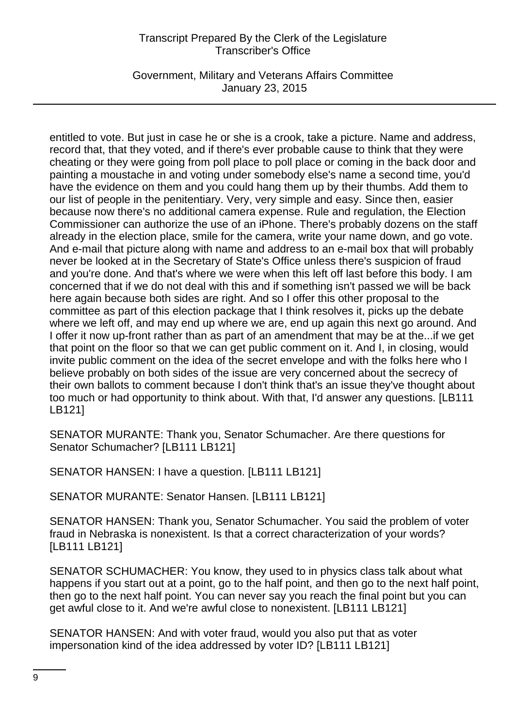Government, Military and Veterans Affairs Committee January 23, 2015

entitled to vote. But just in case he or she is a crook, take a picture. Name and address, record that, that they voted, and if there's ever probable cause to think that they were cheating or they were going from poll place to poll place or coming in the back door and painting a moustache in and voting under somebody else's name a second time, you'd have the evidence on them and you could hang them up by their thumbs. Add them to our list of people in the penitentiary. Very, very simple and easy. Since then, easier because now there's no additional camera expense. Rule and regulation, the Election Commissioner can authorize the use of an iPhone. There's probably dozens on the staff already in the election place, smile for the camera, write your name down, and go vote. And e-mail that picture along with name and address to an e-mail box that will probably never be looked at in the Secretary of State's Office unless there's suspicion of fraud and you're done. And that's where we were when this left off last before this body. I am concerned that if we do not deal with this and if something isn't passed we will be back here again because both sides are right. And so I offer this other proposal to the committee as part of this election package that I think resolves it, picks up the debate where we left off, and may end up where we are, end up again this next go around. And I offer it now up-front rather than as part of an amendment that may be at the...if we get that point on the floor so that we can get public comment on it. And I, in closing, would invite public comment on the idea of the secret envelope and with the folks here who I believe probably on both sides of the issue are very concerned about the secrecy of their own ballots to comment because I don't think that's an issue they've thought about too much or had opportunity to think about. With that, I'd answer any questions. [LB111 LB121]

SENATOR MURANTE: Thank you, Senator Schumacher. Are there questions for Senator Schumacher? [LB111 LB121]

SENATOR HANSEN: I have a question. [LB111 LB121]

SENATOR MURANTE: Senator Hansen. [LB111 LB121]

SENATOR HANSEN: Thank you, Senator Schumacher. You said the problem of voter fraud in Nebraska is nonexistent. Is that a correct characterization of your words? [LB111 LB121]

SENATOR SCHUMACHER: You know, they used to in physics class talk about what happens if you start out at a point, go to the half point, and then go to the next half point, then go to the next half point. You can never say you reach the final point but you can get awful close to it. And we're awful close to nonexistent. [LB111 LB121]

SENATOR HANSEN: And with voter fraud, would you also put that as voter impersonation kind of the idea addressed by voter ID? [LB111 LB121]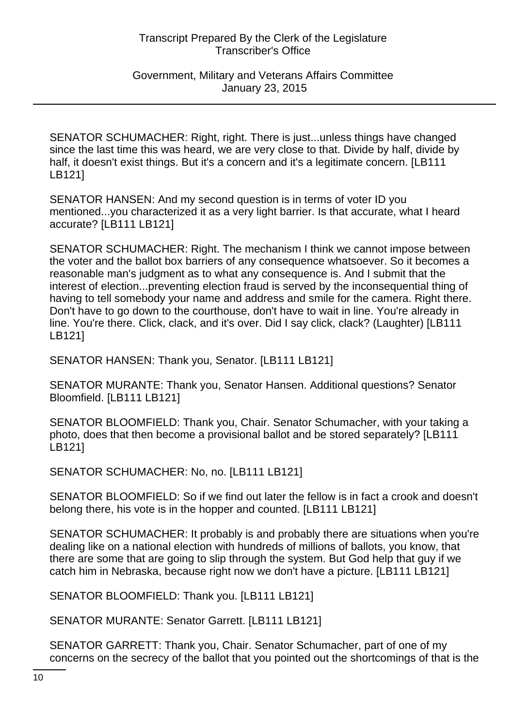Government, Military and Veterans Affairs Committee January 23, 2015

SENATOR SCHUMACHER: Right, right. There is just...unless things have changed since the last time this was heard, we are very close to that. Divide by half, divide by half, it doesn't exist things. But it's a concern and it's a legitimate concern. [LB111 LB121]

SENATOR HANSEN: And my second question is in terms of voter ID you mentioned...you characterized it as a very light barrier. Is that accurate, what I heard accurate? [LB111 LB121]

SENATOR SCHUMACHER: Right. The mechanism I think we cannot impose between the voter and the ballot box barriers of any consequence whatsoever. So it becomes a reasonable man's judgment as to what any consequence is. And I submit that the interest of election...preventing election fraud is served by the inconsequential thing of having to tell somebody your name and address and smile for the camera. Right there. Don't have to go down to the courthouse, don't have to wait in line. You're already in line. You're there. Click, clack, and it's over. Did I say click, clack? (Laughter) [LB111 LB121]

SENATOR HANSEN: Thank you, Senator. [LB111 LB121]

SENATOR MURANTE: Thank you, Senator Hansen. Additional questions? Senator Bloomfield. [LB111 LB121]

SENATOR BLOOMFIELD: Thank you, Chair. Senator Schumacher, with your taking a photo, does that then become a provisional ballot and be stored separately? [LB111 LB121]

SENATOR SCHUMACHER: No, no. [LB111 LB121]

SENATOR BLOOMFIELD: So if we find out later the fellow is in fact a crook and doesn't belong there, his vote is in the hopper and counted. [LB111 LB121]

SENATOR SCHUMACHER: It probably is and probably there are situations when you're dealing like on a national election with hundreds of millions of ballots, you know, that there are some that are going to slip through the system. But God help that guy if we catch him in Nebraska, because right now we don't have a picture. [LB111 LB121]

SENATOR BLOOMFIELD: Thank you. [LB111 LB121]

SENATOR MURANTE: Senator Garrett. [LB111 LB121]

SENATOR GARRETT: Thank you, Chair. Senator Schumacher, part of one of my concerns on the secrecy of the ballot that you pointed out the shortcomings of that is the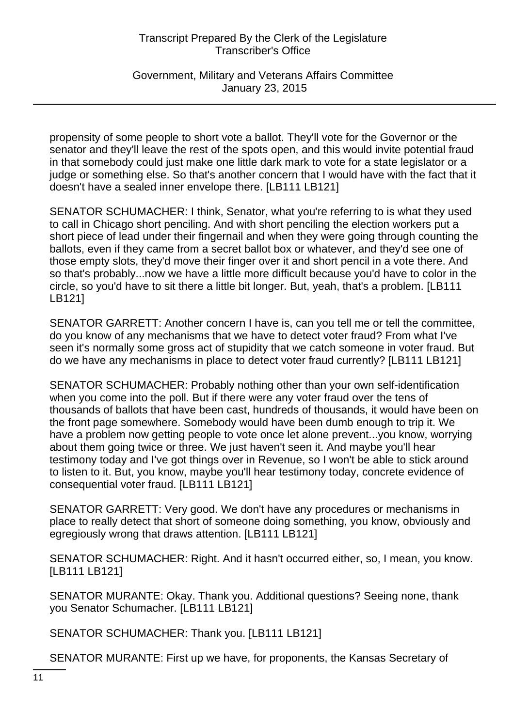Government, Military and Veterans Affairs Committee January 23, 2015

propensity of some people to short vote a ballot. They'll vote for the Governor or the senator and they'll leave the rest of the spots open, and this would invite potential fraud in that somebody could just make one little dark mark to vote for a state legislator or a judge or something else. So that's another concern that I would have with the fact that it doesn't have a sealed inner envelope there. [LB111 LB121]

SENATOR SCHUMACHER: I think, Senator, what you're referring to is what they used to call in Chicago short penciling. And with short penciling the election workers put a short piece of lead under their fingernail and when they were going through counting the ballots, even if they came from a secret ballot box or whatever, and they'd see one of those empty slots, they'd move their finger over it and short pencil in a vote there. And so that's probably...now we have a little more difficult because you'd have to color in the circle, so you'd have to sit there a little bit longer. But, yeah, that's a problem. [LB111 LB121]

SENATOR GARRETT: Another concern I have is, can you tell me or tell the committee, do you know of any mechanisms that we have to detect voter fraud? From what I've seen it's normally some gross act of stupidity that we catch someone in voter fraud. But do we have any mechanisms in place to detect voter fraud currently? [LB111 LB121]

SENATOR SCHUMACHER: Probably nothing other than your own self-identification when you come into the poll. But if there were any voter fraud over the tens of thousands of ballots that have been cast, hundreds of thousands, it would have been on the front page somewhere. Somebody would have been dumb enough to trip it. We have a problem now getting people to vote once let alone prevent...you know, worrying about them going twice or three. We just haven't seen it. And maybe you'll hear testimony today and I've got things over in Revenue, so I won't be able to stick around to listen to it. But, you know, maybe you'll hear testimony today, concrete evidence of consequential voter fraud. [LB111 LB121]

SENATOR GARRETT: Very good. We don't have any procedures or mechanisms in place to really detect that short of someone doing something, you know, obviously and egregiously wrong that draws attention. [LB111 LB121]

SENATOR SCHUMACHER: Right. And it hasn't occurred either, so, I mean, you know. [LB111 LB121]

SENATOR MURANTE: Okay. Thank you. Additional questions? Seeing none, thank you Senator Schumacher. [LB111 LB121]

SENATOR SCHUMACHER: Thank you. [LB111 LB121]

SENATOR MURANTE: First up we have, for proponents, the Kansas Secretary of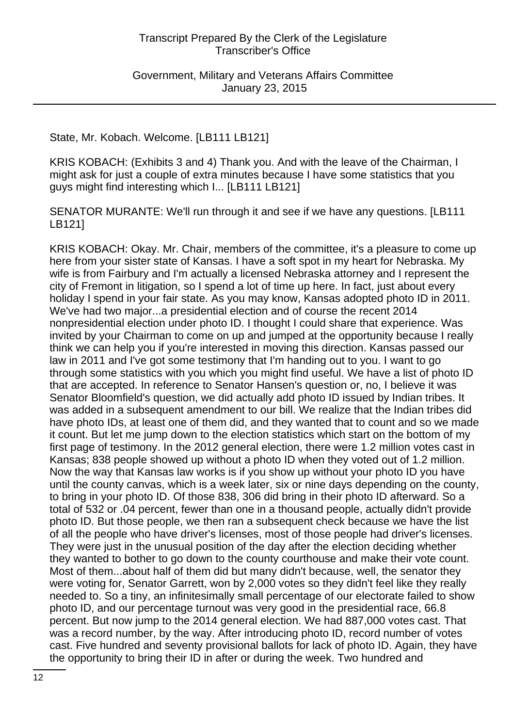Government, Military and Veterans Affairs Committee January 23, 2015

State, Mr. Kobach. Welcome. [LB111 LB121]

KRIS KOBACH: (Exhibits 3 and 4) Thank you. And with the leave of the Chairman, I might ask for just a couple of extra minutes because I have some statistics that you guys might find interesting which I... [LB111 LB121]

SENATOR MURANTE: We'll run through it and see if we have any questions. [LB111 LB121]

KRIS KOBACH: Okay. Mr. Chair, members of the committee, it's a pleasure to come up here from your sister state of Kansas. I have a soft spot in my heart for Nebraska. My wife is from Fairbury and I'm actually a licensed Nebraska attorney and I represent the city of Fremont in litigation, so I spend a lot of time up here. In fact, just about every holiday I spend in your fair state. As you may know, Kansas adopted photo ID in 2011. We've had two major...a presidential election and of course the recent 2014 nonpresidential election under photo ID. I thought I could share that experience. Was invited by your Chairman to come on up and jumped at the opportunity because I really think we can help you if you're interested in moving this direction. Kansas passed our law in 2011 and I've got some testimony that I'm handing out to you. I want to go through some statistics with you which you might find useful. We have a list of photo ID that are accepted. In reference to Senator Hansen's question or, no, I believe it was Senator Bloomfield's question, we did actually add photo ID issued by Indian tribes. It was added in a subsequent amendment to our bill. We realize that the Indian tribes did have photo IDs, at least one of them did, and they wanted that to count and so we made it count. But let me jump down to the election statistics which start on the bottom of my first page of testimony. In the 2012 general election, there were 1.2 million votes cast in Kansas; 838 people showed up without a photo ID when they voted out of 1.2 million. Now the way that Kansas law works is if you show up without your photo ID you have until the county canvas, which is a week later, six or nine days depending on the county, to bring in your photo ID. Of those 838, 306 did bring in their photo ID afterward. So a total of 532 or .04 percent, fewer than one in a thousand people, actually didn't provide photo ID. But those people, we then ran a subsequent check because we have the list of all the people who have driver's licenses, most of those people had driver's licenses. They were just in the unusual position of the day after the election deciding whether they wanted to bother to go down to the county courthouse and make their vote count. Most of them...about half of them did but many didn't because, well, the senator they were voting for, Senator Garrett, won by 2,000 votes so they didn't feel like they really needed to. So a tiny, an infinitesimally small percentage of our electorate failed to show photo ID, and our percentage turnout was very good in the presidential race, 66.8 percent. But now jump to the 2014 general election. We had 887,000 votes cast. That was a record number, by the way. After introducing photo ID, record number of votes cast. Five hundred and seventy provisional ballots for lack of photo ID. Again, they have the opportunity to bring their ID in after or during the week. Two hundred and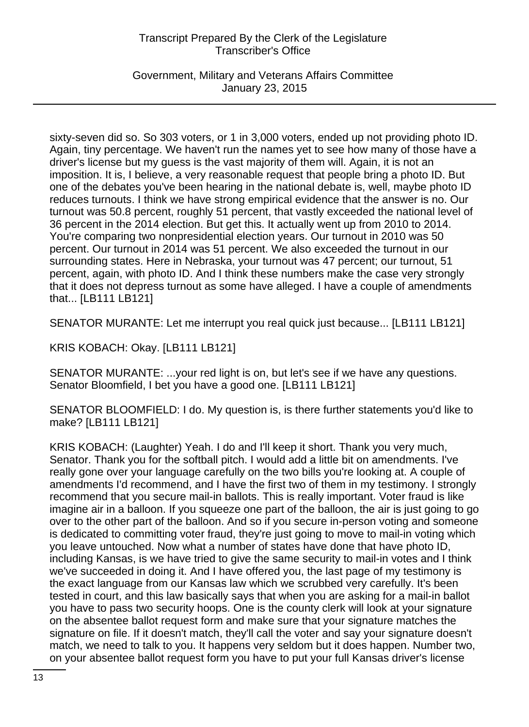Government, Military and Veterans Affairs Committee January 23, 2015

sixty-seven did so. So 303 voters, or 1 in 3,000 voters, ended up not providing photo ID. Again, tiny percentage. We haven't run the names yet to see how many of those have a driver's license but my guess is the vast majority of them will. Again, it is not an imposition. It is, I believe, a very reasonable request that people bring a photo ID. But one of the debates you've been hearing in the national debate is, well, maybe photo ID reduces turnouts. I think we have strong empirical evidence that the answer is no. Our turnout was 50.8 percent, roughly 51 percent, that vastly exceeded the national level of 36 percent in the 2014 election. But get this. It actually went up from 2010 to 2014. You're comparing two nonpresidential election years. Our turnout in 2010 was 50 percent. Our turnout in 2014 was 51 percent. We also exceeded the turnout in our surrounding states. Here in Nebraska, your turnout was 47 percent; our turnout, 51 percent, again, with photo ID. And I think these numbers make the case very strongly that it does not depress turnout as some have alleged. I have a couple of amendments that... [LB111 LB121]

SENATOR MURANTE: Let me interrupt you real quick just because... [LB111 LB121]

KRIS KOBACH: Okay. [LB111 LB121]

SENATOR MURANTE: ...your red light is on, but let's see if we have any questions. Senator Bloomfield, I bet you have a good one. [LB111 LB121]

SENATOR BLOOMFIELD: I do. My question is, is there further statements you'd like to make? [LB111 LB121]

KRIS KOBACH: (Laughter) Yeah. I do and I'll keep it short. Thank you very much, Senator. Thank you for the softball pitch. I would add a little bit on amendments. I've really gone over your language carefully on the two bills you're looking at. A couple of amendments I'd recommend, and I have the first two of them in my testimony. I strongly recommend that you secure mail-in ballots. This is really important. Voter fraud is like imagine air in a balloon. If you squeeze one part of the balloon, the air is just going to go over to the other part of the balloon. And so if you secure in-person voting and someone is dedicated to committing voter fraud, they're just going to move to mail-in voting which you leave untouched. Now what a number of states have done that have photo ID, including Kansas, is we have tried to give the same security to mail-in votes and I think we've succeeded in doing it. And I have offered you, the last page of my testimony is the exact language from our Kansas law which we scrubbed very carefully. It's been tested in court, and this law basically says that when you are asking for a mail-in ballot you have to pass two security hoops. One is the county clerk will look at your signature on the absentee ballot request form and make sure that your signature matches the signature on file. If it doesn't match, they'll call the voter and say your signature doesn't match, we need to talk to you. It happens very seldom but it does happen. Number two, on your absentee ballot request form you have to put your full Kansas driver's license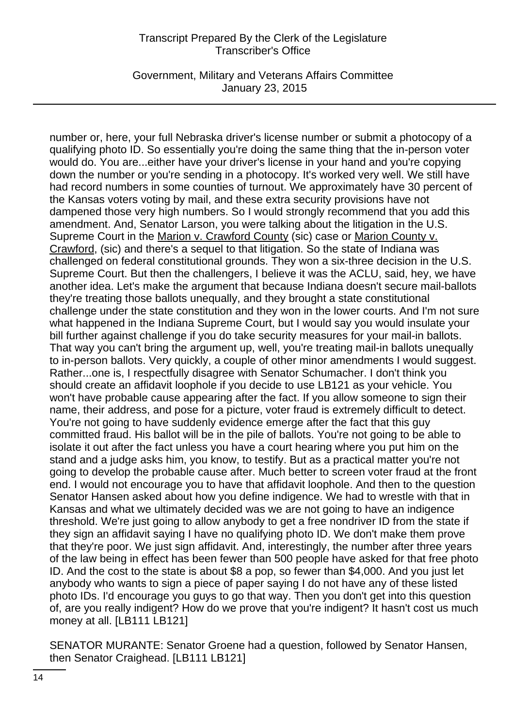Government, Military and Veterans Affairs Committee January 23, 2015

number or, here, your full Nebraska driver's license number or submit a photocopy of a qualifying photo ID. So essentially you're doing the same thing that the in-person voter would do. You are...either have your driver's license in your hand and you're copying down the number or you're sending in a photocopy. It's worked very well. We still have had record numbers in some counties of turnout. We approximately have 30 percent of the Kansas voters voting by mail, and these extra security provisions have not dampened those very high numbers. So I would strongly recommend that you add this amendment. And, Senator Larson, you were talking about the litigation in the U.S. Supreme Court in the Marion v. Crawford County (sic) case or Marion County v. Crawford, (sic) and there's a sequel to that litigation. So the state of Indiana was challenged on federal constitutional grounds. They won a six-three decision in the U.S. Supreme Court. But then the challengers, I believe it was the ACLU, said, hey, we have another idea. Let's make the argument that because Indiana doesn't secure mail-ballots they're treating those ballots unequally, and they brought a state constitutional challenge under the state constitution and they won in the lower courts. And I'm not sure what happened in the Indiana Supreme Court, but I would say you would insulate your bill further against challenge if you do take security measures for your mail-in ballots. That way you can't bring the argument up, well, you're treating mail-in ballots unequally to in-person ballots. Very quickly, a couple of other minor amendments I would suggest. Rather...one is, I respectfully disagree with Senator Schumacher. I don't think you should create an affidavit loophole if you decide to use LB121 as your vehicle. You won't have probable cause appearing after the fact. If you allow someone to sign their name, their address, and pose for a picture, voter fraud is extremely difficult to detect. You're not going to have suddenly evidence emerge after the fact that this guy committed fraud. His ballot will be in the pile of ballots. You're not going to be able to isolate it out after the fact unless you have a court hearing where you put him on the stand and a judge asks him, you know, to testify. But as a practical matter you're not going to develop the probable cause after. Much better to screen voter fraud at the front end. I would not encourage you to have that affidavit loophole. And then to the question Senator Hansen asked about how you define indigence. We had to wrestle with that in Kansas and what we ultimately decided was we are not going to have an indigence threshold. We're just going to allow anybody to get a free nondriver ID from the state if they sign an affidavit saying I have no qualifying photo ID. We don't make them prove that they're poor. We just sign affidavit. And, interestingly, the number after three years of the law being in effect has been fewer than 500 people have asked for that free photo ID. And the cost to the state is about \$8 a pop, so fewer than \$4,000. And you just let anybody who wants to sign a piece of paper saying I do not have any of these listed photo IDs. I'd encourage you guys to go that way. Then you don't get into this question of, are you really indigent? How do we prove that you're indigent? It hasn't cost us much money at all. [LB111 LB121]

SENATOR MURANTE: Senator Groene had a question, followed by Senator Hansen, then Senator Craighead. [LB111 LB121]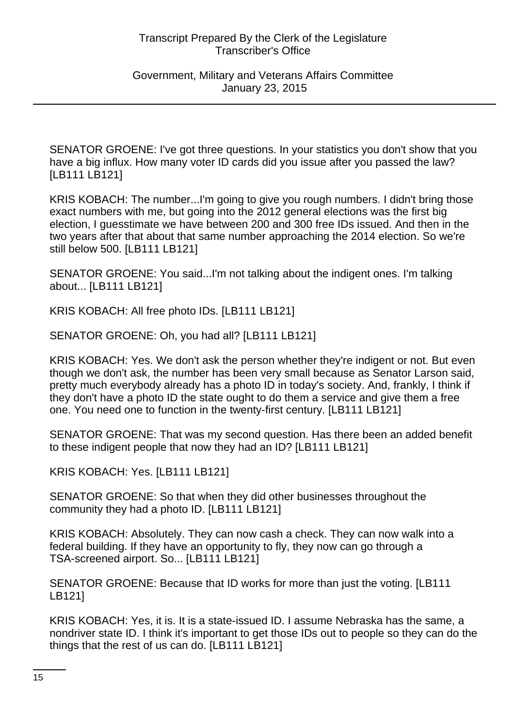#### Government, Military and Veterans Affairs Committee January 23, 2015

SENATOR GROENE: I've got three questions. In your statistics you don't show that you have a big influx. How many voter ID cards did you issue after you passed the law? [LB111 LB121]

KRIS KOBACH: The number...I'm going to give you rough numbers. I didn't bring those exact numbers with me, but going into the 2012 general elections was the first big election, I guesstimate we have between 200 and 300 free IDs issued. And then in the two years after that about that same number approaching the 2014 election. So we're still below 500. [LB111 LB121]

SENATOR GROENE: You said...I'm not talking about the indigent ones. I'm talking about... [LB111 LB121]

KRIS KOBACH: All free photo IDs. [LB111 LB121]

SENATOR GROENE: Oh, you had all? [LB111 LB121]

KRIS KOBACH: Yes. We don't ask the person whether they're indigent or not. But even though we don't ask, the number has been very small because as Senator Larson said, pretty much everybody already has a photo ID in today's society. And, frankly, I think if they don't have a photo ID the state ought to do them a service and give them a free one. You need one to function in the twenty-first century. [LB111 LB121]

SENATOR GROENE: That was my second question. Has there been an added benefit to these indigent people that now they had an ID? [LB111 LB121]

KRIS KOBACH: Yes. [LB111 LB121]

SENATOR GROENE: So that when they did other businesses throughout the community they had a photo ID. [LB111 LB121]

KRIS KOBACH: Absolutely. They can now cash a check. They can now walk into a federal building. If they have an opportunity to fly, they now can go through a TSA-screened airport. So... [LB111 LB121]

SENATOR GROENE: Because that ID works for more than just the voting. [LB111 LB121]

KRIS KOBACH: Yes, it is. It is a state-issued ID. I assume Nebraska has the same, a nondriver state ID. I think it's important to get those IDs out to people so they can do the things that the rest of us can do. [LB111 LB121]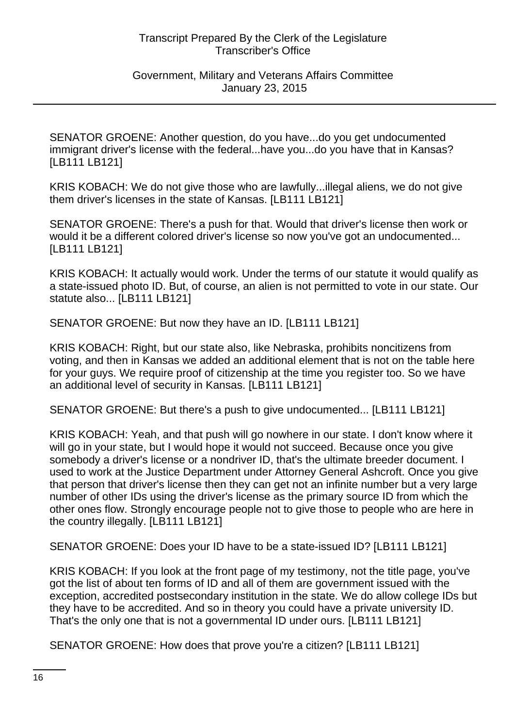#### Government, Military and Veterans Affairs Committee January 23, 2015

SENATOR GROENE: Another question, do you have...do you get undocumented immigrant driver's license with the federal...have you...do you have that in Kansas? [LB111 LB121]

KRIS KOBACH: We do not give those who are lawfully...illegal aliens, we do not give them driver's licenses in the state of Kansas. [LB111 LB121]

SENATOR GROENE: There's a push for that. Would that driver's license then work or would it be a different colored driver's license so now you've got an undocumented... [LB111 LB121]

KRIS KOBACH: It actually would work. Under the terms of our statute it would qualify as a state-issued photo ID. But, of course, an alien is not permitted to vote in our state. Our statute also... [LB111 LB121]

SENATOR GROENE: But now they have an ID. [LB111 LB121]

KRIS KOBACH: Right, but our state also, like Nebraska, prohibits noncitizens from voting, and then in Kansas we added an additional element that is not on the table here for your guys. We require proof of citizenship at the time you register too. So we have an additional level of security in Kansas. [LB111 LB121]

SENATOR GROENE: But there's a push to give undocumented... [LB111 LB121]

KRIS KOBACH: Yeah, and that push will go nowhere in our state. I don't know where it will go in your state, but I would hope it would not succeed. Because once you give somebody a driver's license or a nondriver ID, that's the ultimate breeder document. I used to work at the Justice Department under Attorney General Ashcroft. Once you give that person that driver's license then they can get not an infinite number but a very large number of other IDs using the driver's license as the primary source ID from which the other ones flow. Strongly encourage people not to give those to people who are here in the country illegally. [LB111 LB121]

SENATOR GROENE: Does your ID have to be a state-issued ID? [LB111 LB121]

KRIS KOBACH: If you look at the front page of my testimony, not the title page, you've got the list of about ten forms of ID and all of them are government issued with the exception, accredited postsecondary institution in the state. We do allow college IDs but they have to be accredited. And so in theory you could have a private university ID. That's the only one that is not a governmental ID under ours. [LB111 LB121]

SENATOR GROENE: How does that prove you're a citizen? [LB111 LB121]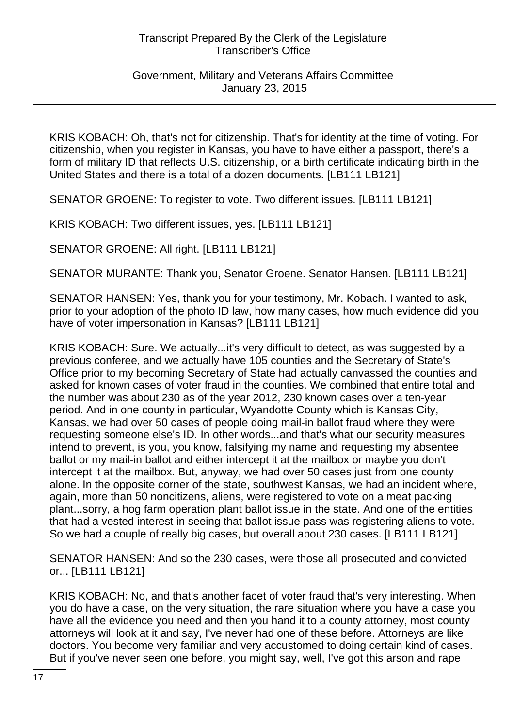#### Government, Military and Veterans Affairs Committee January 23, 2015

KRIS KOBACH: Oh, that's not for citizenship. That's for identity at the time of voting. For citizenship, when you register in Kansas, you have to have either a passport, there's a form of military ID that reflects U.S. citizenship, or a birth certificate indicating birth in the United States and there is a total of a dozen documents. [LB111 LB121]

SENATOR GROENE: To register to vote. Two different issues. [LB111 LB121]

KRIS KOBACH: Two different issues, yes. [LB111 LB121]

SENATOR GROENE: All right. [LB111 LB121]

SENATOR MURANTE: Thank you, Senator Groene. Senator Hansen. [LB111 LB121]

SENATOR HANSEN: Yes, thank you for your testimony, Mr. Kobach. I wanted to ask, prior to your adoption of the photo ID law, how many cases, how much evidence did you have of voter impersonation in Kansas? [LB111 LB121]

KRIS KOBACH: Sure. We actually...it's very difficult to detect, as was suggested by a previous conferee, and we actually have 105 counties and the Secretary of State's Office prior to my becoming Secretary of State had actually canvassed the counties and asked for known cases of voter fraud in the counties. We combined that entire total and the number was about 230 as of the year 2012, 230 known cases over a ten-year period. And in one county in particular, Wyandotte County which is Kansas City, Kansas, we had over 50 cases of people doing mail-in ballot fraud where they were requesting someone else's ID. In other words...and that's what our security measures intend to prevent, is you, you know, falsifying my name and requesting my absentee ballot or my mail-in ballot and either intercept it at the mailbox or maybe you don't intercept it at the mailbox. But, anyway, we had over 50 cases just from one county alone. In the opposite corner of the state, southwest Kansas, we had an incident where, again, more than 50 noncitizens, aliens, were registered to vote on a meat packing plant...sorry, a hog farm operation plant ballot issue in the state. And one of the entities that had a vested interest in seeing that ballot issue pass was registering aliens to vote. So we had a couple of really big cases, but overall about 230 cases. [LB111 LB121]

SENATOR HANSEN: And so the 230 cases, were those all prosecuted and convicted or... [LB111 LB121]

KRIS KOBACH: No, and that's another facet of voter fraud that's very interesting. When you do have a case, on the very situation, the rare situation where you have a case you have all the evidence you need and then you hand it to a county attorney, most county attorneys will look at it and say, I've never had one of these before. Attorneys are like doctors. You become very familiar and very accustomed to doing certain kind of cases. But if you've never seen one before, you might say, well, I've got this arson and rape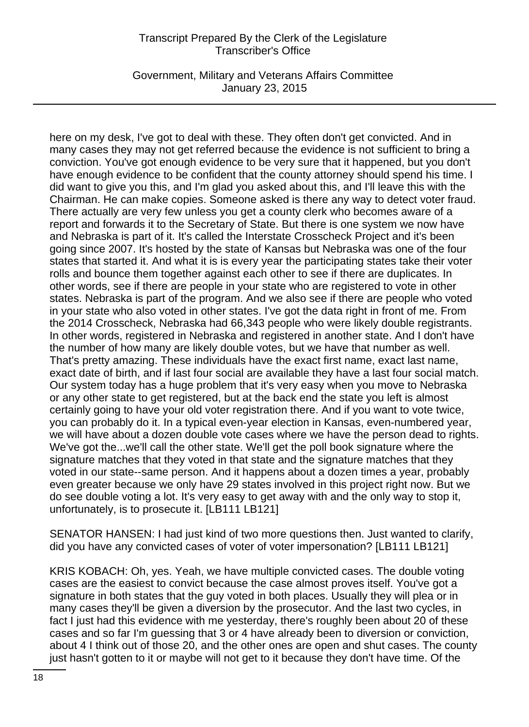Government, Military and Veterans Affairs Committee January 23, 2015

here on my desk, I've got to deal with these. They often don't get convicted. And in many cases they may not get referred because the evidence is not sufficient to bring a conviction. You've got enough evidence to be very sure that it happened, but you don't have enough evidence to be confident that the county attorney should spend his time. I did want to give you this, and I'm glad you asked about this, and I'll leave this with the Chairman. He can make copies. Someone asked is there any way to detect voter fraud. There actually are very few unless you get a county clerk who becomes aware of a report and forwards it to the Secretary of State. But there is one system we now have and Nebraska is part of it. It's called the Interstate Crosscheck Project and it's been going since 2007. It's hosted by the state of Kansas but Nebraska was one of the four states that started it. And what it is is every year the participating states take their voter rolls and bounce them together against each other to see if there are duplicates. In other words, see if there are people in your state who are registered to vote in other states. Nebraska is part of the program. And we also see if there are people who voted in your state who also voted in other states. I've got the data right in front of me. From the 2014 Crosscheck, Nebraska had 66,343 people who were likely double registrants. In other words, registered in Nebraska and registered in another state. And I don't have the number of how many are likely double votes, but we have that number as well. That's pretty amazing. These individuals have the exact first name, exact last name, exact date of birth, and if last four social are available they have a last four social match. Our system today has a huge problem that it's very easy when you move to Nebraska or any other state to get registered, but at the back end the state you left is almost certainly going to have your old voter registration there. And if you want to vote twice, you can probably do it. In a typical even-year election in Kansas, even-numbered year, we will have about a dozen double vote cases where we have the person dead to rights. We've got the...we'll call the other state. We'll get the poll book signature where the signature matches that they voted in that state and the signature matches that they voted in our state--same person. And it happens about a dozen times a year, probably even greater because we only have 29 states involved in this project right now. But we do see double voting a lot. It's very easy to get away with and the only way to stop it, unfortunately, is to prosecute it. [LB111 LB121]

SENATOR HANSEN: I had just kind of two more questions then. Just wanted to clarify, did you have any convicted cases of voter of voter impersonation? [LB111 LB121]

KRIS KOBACH: Oh, yes. Yeah, we have multiple convicted cases. The double voting cases are the easiest to convict because the case almost proves itself. You've got a signature in both states that the guy voted in both places. Usually they will plea or in many cases they'll be given a diversion by the prosecutor. And the last two cycles, in fact I just had this evidence with me yesterday, there's roughly been about 20 of these cases and so far I'm guessing that 3 or 4 have already been to diversion or conviction, about 4 I think out of those 20, and the other ones are open and shut cases. The county just hasn't gotten to it or maybe will not get to it because they don't have time. Of the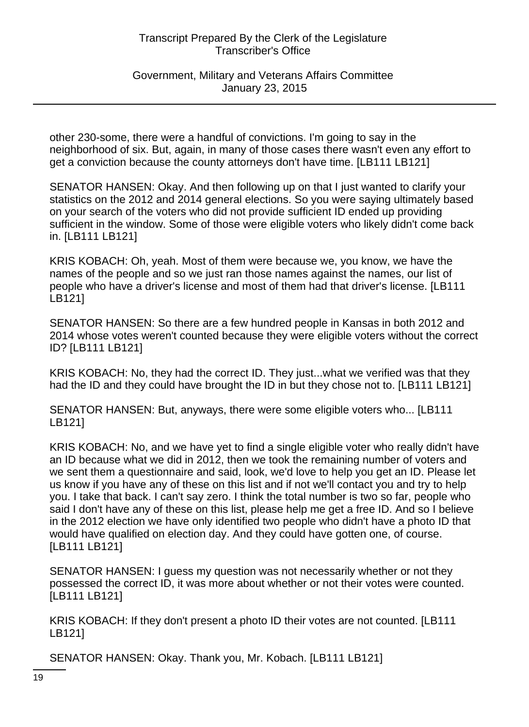Government, Military and Veterans Affairs Committee January 23, 2015

other 230-some, there were a handful of convictions. I'm going to say in the neighborhood of six. But, again, in many of those cases there wasn't even any effort to get a conviction because the county attorneys don't have time. [LB111 LB121]

SENATOR HANSEN: Okay. And then following up on that I just wanted to clarify your statistics on the 2012 and 2014 general elections. So you were saying ultimately based on your search of the voters who did not provide sufficient ID ended up providing sufficient in the window. Some of those were eligible voters who likely didn't come back in. [LB111 LB121]

KRIS KOBACH: Oh, yeah. Most of them were because we, you know, we have the names of the people and so we just ran those names against the names, our list of people who have a driver's license and most of them had that driver's license. [LB111 LB121]

SENATOR HANSEN: So there are a few hundred people in Kansas in both 2012 and 2014 whose votes weren't counted because they were eligible voters without the correct ID? [LB111 LB121]

KRIS KOBACH: No, they had the correct ID. They just...what we verified was that they had the ID and they could have brought the ID in but they chose not to. [LB111 LB121]

SENATOR HANSEN: But, anyways, there were some eligible voters who... [LB111 LB121]

KRIS KOBACH: No, and we have yet to find a single eligible voter who really didn't have an ID because what we did in 2012, then we took the remaining number of voters and we sent them a questionnaire and said, look, we'd love to help you get an ID. Please let us know if you have any of these on this list and if not we'll contact you and try to help you. I take that back. I can't say zero. I think the total number is two so far, people who said I don't have any of these on this list, please help me get a free ID. And so I believe in the 2012 election we have only identified two people who didn't have a photo ID that would have qualified on election day. And they could have gotten one, of course. [LB111 LB121]

SENATOR HANSEN: I guess my question was not necessarily whether or not they possessed the correct ID, it was more about whether or not their votes were counted. [LB111 LB121]

KRIS KOBACH: If they don't present a photo ID their votes are not counted. [LB111 LB121]

SENATOR HANSEN: Okay. Thank you, Mr. Kobach. [LB111 LB121]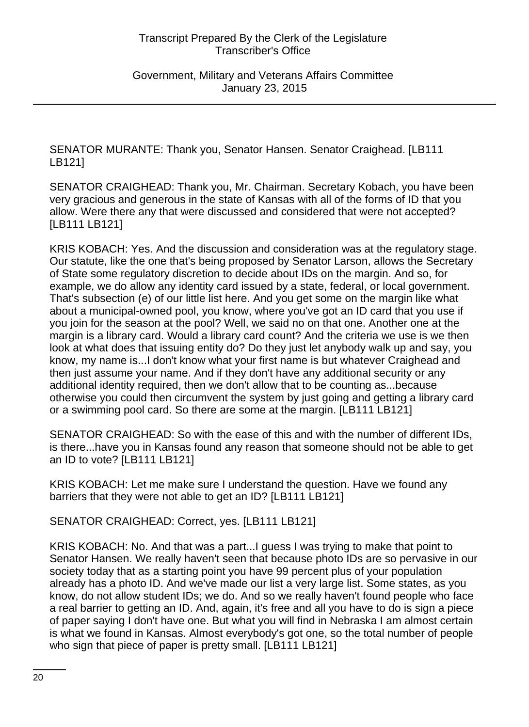Government, Military and Veterans Affairs Committee January 23, 2015

SENATOR MURANTE: Thank you, Senator Hansen. Senator Craighead. [LB111 LB121]

SENATOR CRAIGHEAD: Thank you, Mr. Chairman. Secretary Kobach, you have been very gracious and generous in the state of Kansas with all of the forms of ID that you allow. Were there any that were discussed and considered that were not accepted? [LB111 LB121]

KRIS KOBACH: Yes. And the discussion and consideration was at the regulatory stage. Our statute, like the one that's being proposed by Senator Larson, allows the Secretary of State some regulatory discretion to decide about IDs on the margin. And so, for example, we do allow any identity card issued by a state, federal, or local government. That's subsection (e) of our little list here. And you get some on the margin like what about a municipal-owned pool, you know, where you've got an ID card that you use if you join for the season at the pool? Well, we said no on that one. Another one at the margin is a library card. Would a library card count? And the criteria we use is we then look at what does that issuing entity do? Do they just let anybody walk up and say, you know, my name is...I don't know what your first name is but whatever Craighead and then just assume your name. And if they don't have any additional security or any additional identity required, then we don't allow that to be counting as...because otherwise you could then circumvent the system by just going and getting a library card or a swimming pool card. So there are some at the margin. [LB111 LB121]

SENATOR CRAIGHEAD: So with the ease of this and with the number of different IDs, is there...have you in Kansas found any reason that someone should not be able to get an ID to vote? [LB111 LB121]

KRIS KOBACH: Let me make sure I understand the question. Have we found any barriers that they were not able to get an ID? [LB111 LB121]

SENATOR CRAIGHEAD: Correct, yes. [LB111 LB121]

KRIS KOBACH: No. And that was a part...I guess I was trying to make that point to Senator Hansen. We really haven't seen that because photo IDs are so pervasive in our society today that as a starting point you have 99 percent plus of your population already has a photo ID. And we've made our list a very large list. Some states, as you know, do not allow student IDs; we do. And so we really haven't found people who face a real barrier to getting an ID. And, again, it's free and all you have to do is sign a piece of paper saying I don't have one. But what you will find in Nebraska I am almost certain is what we found in Kansas. Almost everybody's got one, so the total number of people who sign that piece of paper is pretty small. [LB111 LB121]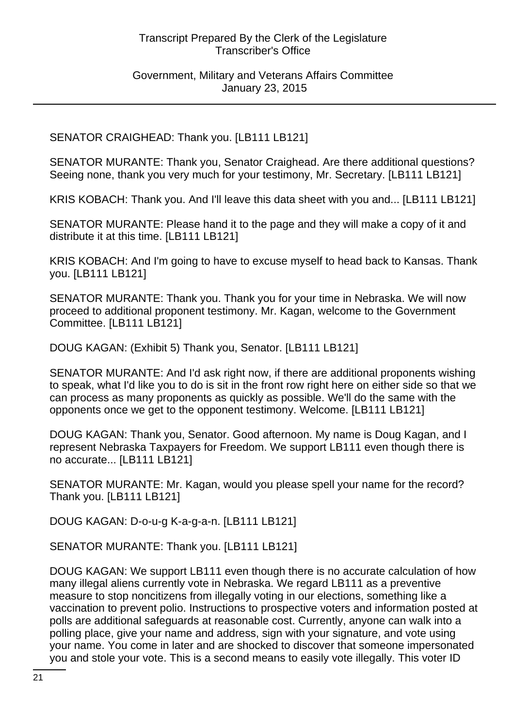# Government, Military and Veterans Affairs Committee January 23, 2015

# SENATOR CRAIGHEAD: Thank you. [LB111 LB121]

SENATOR MURANTE: Thank you, Senator Craighead. Are there additional questions? Seeing none, thank you very much for your testimony, Mr. Secretary. [LB111 LB121]

KRIS KOBACH: Thank you. And I'll leave this data sheet with you and... [LB111 LB121]

SENATOR MURANTE: Please hand it to the page and they will make a copy of it and distribute it at this time. [LB111 LB121]

KRIS KOBACH: And I'm going to have to excuse myself to head back to Kansas. Thank you. [LB111 LB121]

SENATOR MURANTE: Thank you. Thank you for your time in Nebraska. We will now proceed to additional proponent testimony. Mr. Kagan, welcome to the Government Committee. [LB111 LB121]

DOUG KAGAN: (Exhibit 5) Thank you, Senator. [LB111 LB121]

SENATOR MURANTE: And I'd ask right now, if there are additional proponents wishing to speak, what I'd like you to do is sit in the front row right here on either side so that we can process as many proponents as quickly as possible. We'll do the same with the opponents once we get to the opponent testimony. Welcome. [LB111 LB121]

DOUG KAGAN: Thank you, Senator. Good afternoon. My name is Doug Kagan, and I represent Nebraska Taxpayers for Freedom. We support LB111 even though there is no accurate... [LB111 LB121]

SENATOR MURANTE: Mr. Kagan, would you please spell your name for the record? Thank you. [LB111 LB121]

DOUG KAGAN: D-o-u-g K-a-g-a-n. [LB111 LB121]

SENATOR MURANTE: Thank you. [LB111 LB121]

DOUG KAGAN: We support LB111 even though there is no accurate calculation of how many illegal aliens currently vote in Nebraska. We regard LB111 as a preventive measure to stop noncitizens from illegally voting in our elections, something like a vaccination to prevent polio. Instructions to prospective voters and information posted at polls are additional safeguards at reasonable cost. Currently, anyone can walk into a polling place, give your name and address, sign with your signature, and vote using your name. You come in later and are shocked to discover that someone impersonated you and stole your vote. This is a second means to easily vote illegally. This voter ID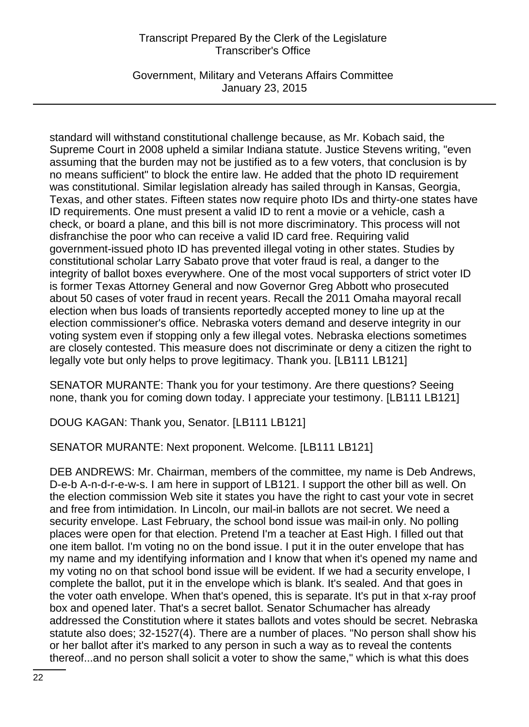Government, Military and Veterans Affairs Committee January 23, 2015

standard will withstand constitutional challenge because, as Mr. Kobach said, the Supreme Court in 2008 upheld a similar Indiana statute. Justice Stevens writing, "even assuming that the burden may not be justified as to a few voters, that conclusion is by no means sufficient" to block the entire law. He added that the photo ID requirement was constitutional. Similar legislation already has sailed through in Kansas, Georgia, Texas, and other states. Fifteen states now require photo IDs and thirty-one states have ID requirements. One must present a valid ID to rent a movie or a vehicle, cash a check, or board a plane, and this bill is not more discriminatory. This process will not disfranchise the poor who can receive a valid ID card free. Requiring valid government-issued photo ID has prevented illegal voting in other states. Studies by constitutional scholar Larry Sabato prove that voter fraud is real, a danger to the integrity of ballot boxes everywhere. One of the most vocal supporters of strict voter ID is former Texas Attorney General and now Governor Greg Abbott who prosecuted about 50 cases of voter fraud in recent years. Recall the 2011 Omaha mayoral recall election when bus loads of transients reportedly accepted money to line up at the election commissioner's office. Nebraska voters demand and deserve integrity in our voting system even if stopping only a few illegal votes. Nebraska elections sometimes are closely contested. This measure does not discriminate or deny a citizen the right to legally vote but only helps to prove legitimacy. Thank you. [LB111 LB121]

SENATOR MURANTE: Thank you for your testimony. Are there questions? Seeing none, thank you for coming down today. I appreciate your testimony. [LB111 LB121]

DOUG KAGAN: Thank you, Senator. [LB111 LB121]

SENATOR MURANTE: Next proponent. Welcome. [LB111 LB121]

DEB ANDREWS: Mr. Chairman, members of the committee, my name is Deb Andrews, D-e-b A-n-d-r-e-w-s. I am here in support of LB121. I support the other bill as well. On the election commission Web site it states you have the right to cast your vote in secret and free from intimidation. In Lincoln, our mail-in ballots are not secret. We need a security envelope. Last February, the school bond issue was mail-in only. No polling places were open for that election. Pretend I'm a teacher at East High. I filled out that one item ballot. I'm voting no on the bond issue. I put it in the outer envelope that has my name and my identifying information and I know that when it's opened my name and my voting no on that school bond issue will be evident. If we had a security envelope, I complete the ballot, put it in the envelope which is blank. It's sealed. And that goes in the voter oath envelope. When that's opened, this is separate. It's put in that x-ray proof box and opened later. That's a secret ballot. Senator Schumacher has already addressed the Constitution where it states ballots and votes should be secret. Nebraska statute also does; 32-1527(4). There are a number of places. "No person shall show his or her ballot after it's marked to any person in such a way as to reveal the contents thereof...and no person shall solicit a voter to show the same," which is what this does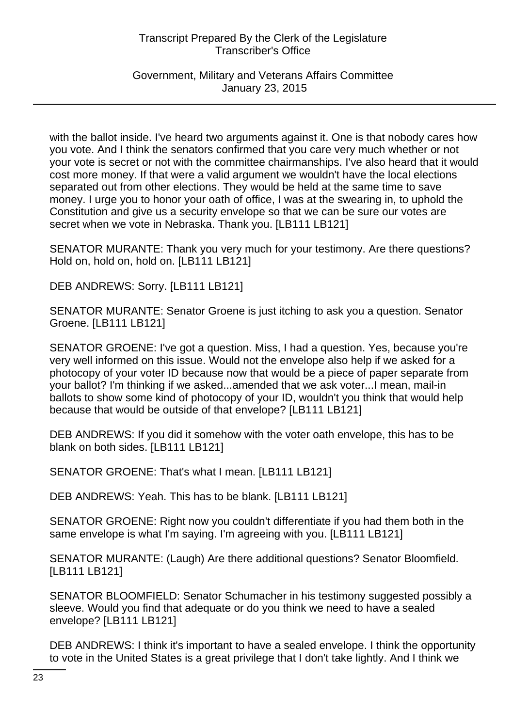Government, Military and Veterans Affairs Committee January 23, 2015

with the ballot inside. I've heard two arguments against it. One is that nobody cares how you vote. And I think the senators confirmed that you care very much whether or not your vote is secret or not with the committee chairmanships. I've also heard that it would cost more money. If that were a valid argument we wouldn't have the local elections separated out from other elections. They would be held at the same time to save money. I urge you to honor your oath of office, I was at the swearing in, to uphold the Constitution and give us a security envelope so that we can be sure our votes are secret when we vote in Nebraska. Thank you. [LB111 LB121]

SENATOR MURANTE: Thank you very much for your testimony. Are there questions? Hold on, hold on, hold on. [LB111 LB121]

DEB ANDREWS: Sorry. [LB111 LB121]

SENATOR MURANTE: Senator Groene is just itching to ask you a question. Senator Groene. [LB111 LB121]

SENATOR GROENE: I've got a question. Miss, I had a question. Yes, because you're very well informed on this issue. Would not the envelope also help if we asked for a photocopy of your voter ID because now that would be a piece of paper separate from your ballot? I'm thinking if we asked...amended that we ask voter...I mean, mail-in ballots to show some kind of photocopy of your ID, wouldn't you think that would help because that would be outside of that envelope? [LB111 LB121]

DEB ANDREWS: If you did it somehow with the voter oath envelope, this has to be blank on both sides. [LB111 LB121]

SENATOR GROENE: That's what I mean. [LB111 LB121]

DEB ANDREWS: Yeah. This has to be blank. [LB111 LB121]

SENATOR GROENE: Right now you couldn't differentiate if you had them both in the same envelope is what I'm saying. I'm agreeing with you. [LB111 LB121]

SENATOR MURANTE: (Laugh) Are there additional questions? Senator Bloomfield. [LB111 LB121]

SENATOR BLOOMFIELD: Senator Schumacher in his testimony suggested possibly a sleeve. Would you find that adequate or do you think we need to have a sealed envelope? [LB111 LB121]

DEB ANDREWS: I think it's important to have a sealed envelope. I think the opportunity to vote in the United States is a great privilege that I don't take lightly. And I think we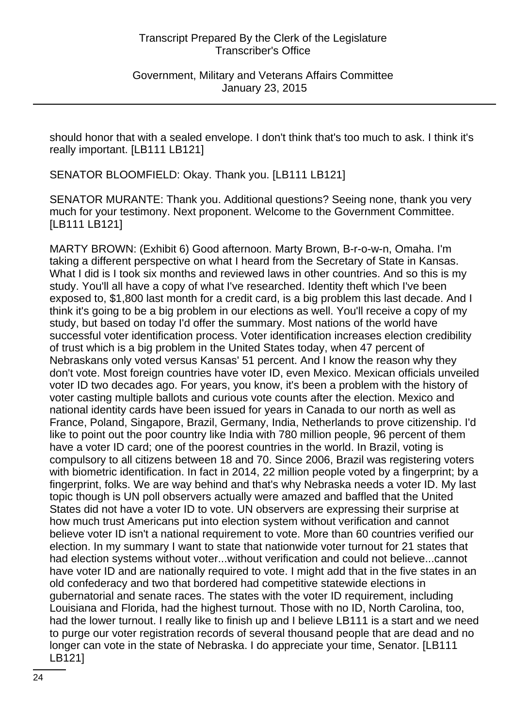Government, Military and Veterans Affairs Committee January 23, 2015

should honor that with a sealed envelope. I don't think that's too much to ask. I think it's really important. [LB111 LB121]

SENATOR BLOOMFIELD: Okay. Thank you. [LB111 LB121]

SENATOR MURANTE: Thank you. Additional questions? Seeing none, thank you very much for your testimony. Next proponent. Welcome to the Government Committee. [LB111 LB121]

MARTY BROWN: (Exhibit 6) Good afternoon. Marty Brown, B-r-o-w-n, Omaha. I'm taking a different perspective on what I heard from the Secretary of State in Kansas. What I did is I took six months and reviewed laws in other countries. And so this is my study. You'll all have a copy of what I've researched. Identity theft which I've been exposed to, \$1,800 last month for a credit card, is a big problem this last decade. And I think it's going to be a big problem in our elections as well. You'll receive a copy of my study, but based on today I'd offer the summary. Most nations of the world have successful voter identification process. Voter identification increases election credibility of trust which is a big problem in the United States today, when 47 percent of Nebraskans only voted versus Kansas' 51 percent. And I know the reason why they don't vote. Most foreign countries have voter ID, even Mexico. Mexican officials unveiled voter ID two decades ago. For years, you know, it's been a problem with the history of voter casting multiple ballots and curious vote counts after the election. Mexico and national identity cards have been issued for years in Canada to our north as well as France, Poland, Singapore, Brazil, Germany, India, Netherlands to prove citizenship. I'd like to point out the poor country like India with 780 million people, 96 percent of them have a voter ID card; one of the poorest countries in the world. In Brazil, voting is compulsory to all citizens between 18 and 70. Since 2006, Brazil was registering voters with biometric identification. In fact in 2014, 22 million people voted by a fingerprint; by a fingerprint, folks. We are way behind and that's why Nebraska needs a voter ID. My last topic though is UN poll observers actually were amazed and baffled that the United States did not have a voter ID to vote. UN observers are expressing their surprise at how much trust Americans put into election system without verification and cannot believe voter ID isn't a national requirement to vote. More than 60 countries verified our election. In my summary I want to state that nationwide voter turnout for 21 states that had election systems without voter...without verification and could not believe...cannot have voter ID and are nationally required to vote. I might add that in the five states in an old confederacy and two that bordered had competitive statewide elections in gubernatorial and senate races. The states with the voter ID requirement, including Louisiana and Florida, had the highest turnout. Those with no ID, North Carolina, too, had the lower turnout. I really like to finish up and I believe LB111 is a start and we need to purge our voter registration records of several thousand people that are dead and no longer can vote in the state of Nebraska. I do appreciate your time, Senator. [LB111 LB121]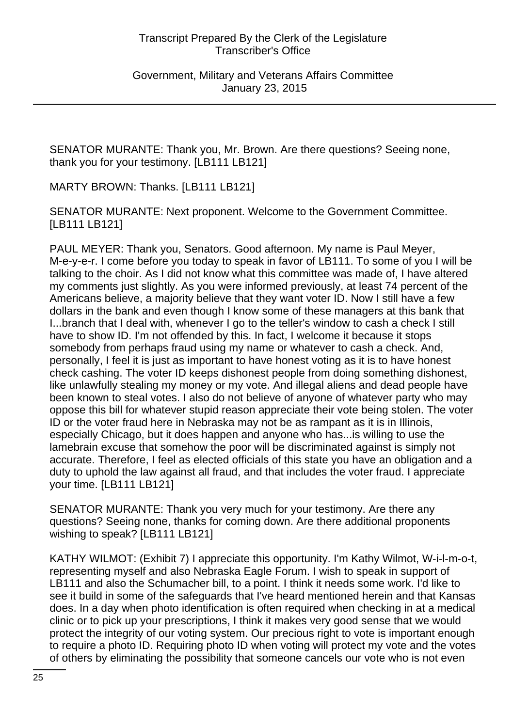Government, Military and Veterans Affairs Committee January 23, 2015

SENATOR MURANTE: Thank you, Mr. Brown. Are there questions? Seeing none, thank you for your testimony. [LB111 LB121]

MARTY BROWN: Thanks. [LB111 LB121]

SENATOR MURANTE: Next proponent. Welcome to the Government Committee. [LB111 LB121]

PAUL MEYER: Thank you, Senators. Good afternoon. My name is Paul Meyer, M-e-y-e-r. I come before you today to speak in favor of LB111. To some of you I will be talking to the choir. As I did not know what this committee was made of, I have altered my comments just slightly. As you were informed previously, at least 74 percent of the Americans believe, a majority believe that they want voter ID. Now I still have a few dollars in the bank and even though I know some of these managers at this bank that I...branch that I deal with, whenever I go to the teller's window to cash a check I still have to show ID. I'm not offended by this. In fact, I welcome it because it stops somebody from perhaps fraud using my name or whatever to cash a check. And, personally, I feel it is just as important to have honest voting as it is to have honest check cashing. The voter ID keeps dishonest people from doing something dishonest, like unlawfully stealing my money or my vote. And illegal aliens and dead people have been known to steal votes. I also do not believe of anyone of whatever party who may oppose this bill for whatever stupid reason appreciate their vote being stolen. The voter ID or the voter fraud here in Nebraska may not be as rampant as it is in Illinois, especially Chicago, but it does happen and anyone who has...is willing to use the lamebrain excuse that somehow the poor will be discriminated against is simply not accurate. Therefore, I feel as elected officials of this state you have an obligation and a duty to uphold the law against all fraud, and that includes the voter fraud. I appreciate your time. [LB111 LB121]

SENATOR MURANTE: Thank you very much for your testimony. Are there any questions? Seeing none, thanks for coming down. Are there additional proponents wishing to speak? [LB111 LB121]

KATHY WILMOT: (Exhibit 7) I appreciate this opportunity. I'm Kathy Wilmot, W-i-l-m-o-t, representing myself and also Nebraska Eagle Forum. I wish to speak in support of LB111 and also the Schumacher bill, to a point. I think it needs some work. I'd like to see it build in some of the safeguards that I've heard mentioned herein and that Kansas does. In a day when photo identification is often required when checking in at a medical clinic or to pick up your prescriptions, I think it makes very good sense that we would protect the integrity of our voting system. Our precious right to vote is important enough to require a photo ID. Requiring photo ID when voting will protect my vote and the votes of others by eliminating the possibility that someone cancels our vote who is not even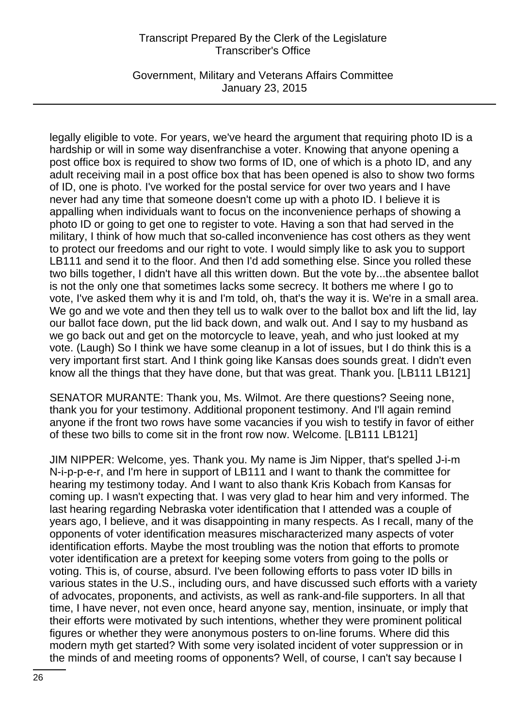Government, Military and Veterans Affairs Committee January 23, 2015

legally eligible to vote. For years, we've heard the argument that requiring photo ID is a hardship or will in some way disenfranchise a voter. Knowing that anyone opening a post office box is required to show two forms of ID, one of which is a photo ID, and any adult receiving mail in a post office box that has been opened is also to show two forms of ID, one is photo. I've worked for the postal service for over two years and I have never had any time that someone doesn't come up with a photo ID. I believe it is appalling when individuals want to focus on the inconvenience perhaps of showing a photo ID or going to get one to register to vote. Having a son that had served in the military, I think of how much that so-called inconvenience has cost others as they went to protect our freedoms and our right to vote. I would simply like to ask you to support LB111 and send it to the floor. And then I'd add something else. Since you rolled these two bills together, I didn't have all this written down. But the vote by...the absentee ballot is not the only one that sometimes lacks some secrecy. It bothers me where I go to vote, I've asked them why it is and I'm told, oh, that's the way it is. We're in a small area. We go and we vote and then they tell us to walk over to the ballot box and lift the lid, lay our ballot face down, put the lid back down, and walk out. And I say to my husband as we go back out and get on the motorcycle to leave, yeah, and who just looked at my vote. (Laugh) So I think we have some cleanup in a lot of issues, but I do think this is a very important first start. And I think going like Kansas does sounds great. I didn't even know all the things that they have done, but that was great. Thank you. [LB111 LB121]

SENATOR MURANTE: Thank you, Ms. Wilmot. Are there questions? Seeing none, thank you for your testimony. Additional proponent testimony. And I'll again remind anyone if the front two rows have some vacancies if you wish to testify in favor of either of these two bills to come sit in the front row now. Welcome. [LB111 LB121]

JIM NIPPER: Welcome, yes. Thank you. My name is Jim Nipper, that's spelled J-i-m N-i-p-p-e-r, and I'm here in support of LB111 and I want to thank the committee for hearing my testimony today. And I want to also thank Kris Kobach from Kansas for coming up. I wasn't expecting that. I was very glad to hear him and very informed. The last hearing regarding Nebraska voter identification that I attended was a couple of years ago, I believe, and it was disappointing in many respects. As I recall, many of the opponents of voter identification measures mischaracterized many aspects of voter identification efforts. Maybe the most troubling was the notion that efforts to promote voter identification are a pretext for keeping some voters from going to the polls or voting. This is, of course, absurd. I've been following efforts to pass voter ID bills in various states in the U.S., including ours, and have discussed such efforts with a variety of advocates, proponents, and activists, as well as rank-and-file supporters. In all that time, I have never, not even once, heard anyone say, mention, insinuate, or imply that their efforts were motivated by such intentions, whether they were prominent political figures or whether they were anonymous posters to on-line forums. Where did this modern myth get started? With some very isolated incident of voter suppression or in the minds of and meeting rooms of opponents? Well, of course, I can't say because I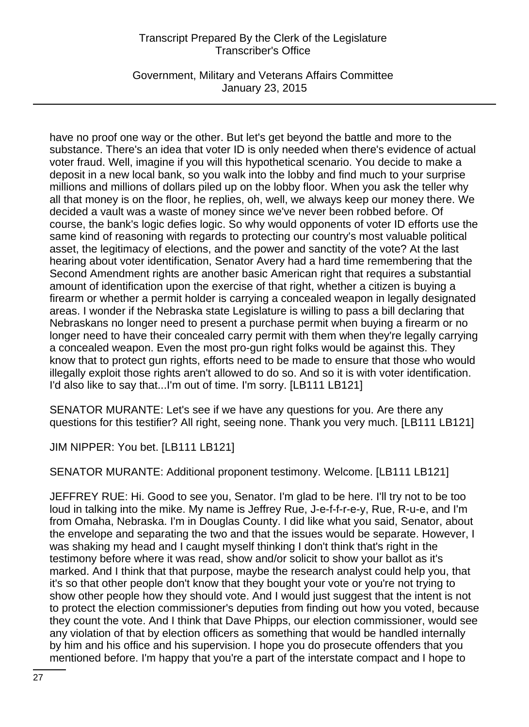Government, Military and Veterans Affairs Committee January 23, 2015

have no proof one way or the other. But let's get beyond the battle and more to the substance. There's an idea that voter ID is only needed when there's evidence of actual voter fraud. Well, imagine if you will this hypothetical scenario. You decide to make a deposit in a new local bank, so you walk into the lobby and find much to your surprise millions and millions of dollars piled up on the lobby floor. When you ask the teller why all that money is on the floor, he replies, oh, well, we always keep our money there. We decided a vault was a waste of money since we've never been robbed before. Of course, the bank's logic defies logic. So why would opponents of voter ID efforts use the same kind of reasoning with regards to protecting our country's most valuable political asset, the legitimacy of elections, and the power and sanctity of the vote? At the last hearing about voter identification, Senator Avery had a hard time remembering that the Second Amendment rights are another basic American right that requires a substantial amount of identification upon the exercise of that right, whether a citizen is buying a firearm or whether a permit holder is carrying a concealed weapon in legally designated areas. I wonder if the Nebraska state Legislature is willing to pass a bill declaring that Nebraskans no longer need to present a purchase permit when buying a firearm or no longer need to have their concealed carry permit with them when they're legally carrying a concealed weapon. Even the most pro-gun right folks would be against this. They know that to protect gun rights, efforts need to be made to ensure that those who would illegally exploit those rights aren't allowed to do so. And so it is with voter identification. I'd also like to say that...I'm out of time. I'm sorry. [LB111 LB121]

SENATOR MURANTE: Let's see if we have any questions for you. Are there any questions for this testifier? All right, seeing none. Thank you very much. [LB111 LB121]

JIM NIPPER: You bet. [LB111 LB121]

SENATOR MURANTE: Additional proponent testimony. Welcome. [LB111 LB121]

JEFFREY RUE: Hi. Good to see you, Senator. I'm glad to be here. I'll try not to be too loud in talking into the mike. My name is Jeffrey Rue, J-e-f-f-r-e-y, Rue, R-u-e, and I'm from Omaha, Nebraska. I'm in Douglas County. I did like what you said, Senator, about the envelope and separating the two and that the issues would be separate. However, I was shaking my head and I caught myself thinking I don't think that's right in the testimony before where it was read, show and/or solicit to show your ballot as it's marked. And I think that that purpose, maybe the research analyst could help you, that it's so that other people don't know that they bought your vote or you're not trying to show other people how they should vote. And I would just suggest that the intent is not to protect the election commissioner's deputies from finding out how you voted, because they count the vote. And I think that Dave Phipps, our election commissioner, would see any violation of that by election officers as something that would be handled internally by him and his office and his supervision. I hope you do prosecute offenders that you mentioned before. I'm happy that you're a part of the interstate compact and I hope to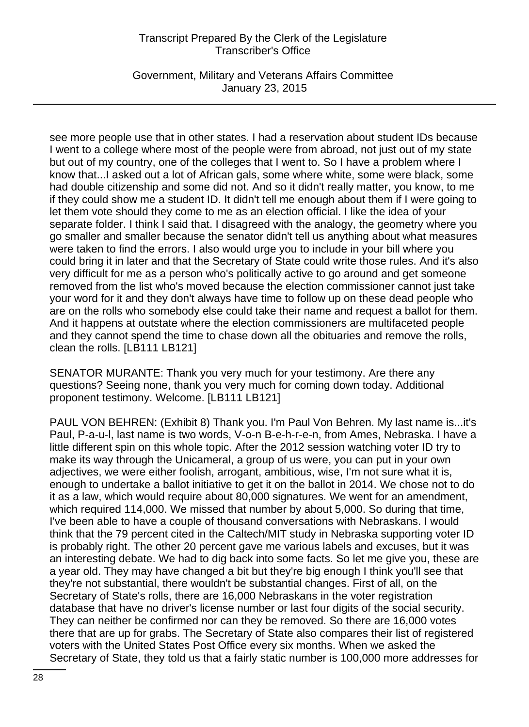Government, Military and Veterans Affairs Committee January 23, 2015

see more people use that in other states. I had a reservation about student IDs because I went to a college where most of the people were from abroad, not just out of my state but out of my country, one of the colleges that I went to. So I have a problem where I know that...I asked out a lot of African gals, some where white, some were black, some had double citizenship and some did not. And so it didn't really matter, you know, to me if they could show me a student ID. It didn't tell me enough about them if I were going to let them vote should they come to me as an election official. I like the idea of your separate folder. I think I said that. I disagreed with the analogy, the geometry where you go smaller and smaller because the senator didn't tell us anything about what measures were taken to find the errors. I also would urge you to include in your bill where you could bring it in later and that the Secretary of State could write those rules. And it's also very difficult for me as a person who's politically active to go around and get someone removed from the list who's moved because the election commissioner cannot just take your word for it and they don't always have time to follow up on these dead people who are on the rolls who somebody else could take their name and request a ballot for them. And it happens at outstate where the election commissioners are multifaceted people and they cannot spend the time to chase down all the obituaries and remove the rolls, clean the rolls. [LB111 LB121]

SENATOR MURANTE: Thank you very much for your testimony. Are there any questions? Seeing none, thank you very much for coming down today. Additional proponent testimony. Welcome. [LB111 LB121]

PAUL VON BEHREN: (Exhibit 8) Thank you. I'm Paul Von Behren. My last name is...it's Paul, P-a-u-l, last name is two words, V-o-n B-e-h-r-e-n, from Ames, Nebraska. I have a little different spin on this whole topic. After the 2012 session watching voter ID try to make its way through the Unicameral, a group of us were, you can put in your own adjectives, we were either foolish, arrogant, ambitious, wise, I'm not sure what it is, enough to undertake a ballot initiative to get it on the ballot in 2014. We chose not to do it as a law, which would require about 80,000 signatures. We went for an amendment, which required 114,000. We missed that number by about 5,000. So during that time, I've been able to have a couple of thousand conversations with Nebraskans. I would think that the 79 percent cited in the Caltech/MIT study in Nebraska supporting voter ID is probably right. The other 20 percent gave me various labels and excuses, but it was an interesting debate. We had to dig back into some facts. So let me give you, these are a year old. They may have changed a bit but they're big enough I think you'll see that they're not substantial, there wouldn't be substantial changes. First of all, on the Secretary of State's rolls, there are 16,000 Nebraskans in the voter registration database that have no driver's license number or last four digits of the social security. They can neither be confirmed nor can they be removed. So there are 16,000 votes there that are up for grabs. The Secretary of State also compares their list of registered voters with the United States Post Office every six months. When we asked the Secretary of State, they told us that a fairly static number is 100,000 more addresses for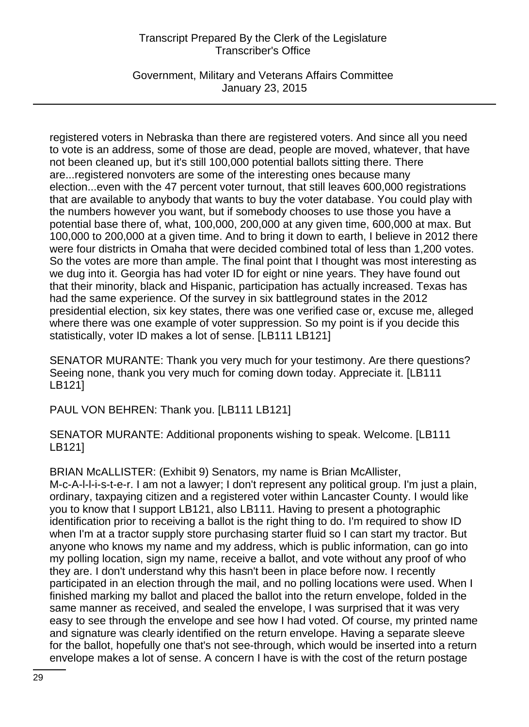Government, Military and Veterans Affairs Committee January 23, 2015

registered voters in Nebraska than there are registered voters. And since all you need to vote is an address, some of those are dead, people are moved, whatever, that have not been cleaned up, but it's still 100,000 potential ballots sitting there. There are...registered nonvoters are some of the interesting ones because many election...even with the 47 percent voter turnout, that still leaves 600,000 registrations that are available to anybody that wants to buy the voter database. You could play with the numbers however you want, but if somebody chooses to use those you have a potential base there of, what, 100,000, 200,000 at any given time, 600,000 at max. But 100,000 to 200,000 at a given time. And to bring it down to earth, I believe in 2012 there were four districts in Omaha that were decided combined total of less than 1,200 votes. So the votes are more than ample. The final point that I thought was most interesting as we dug into it. Georgia has had voter ID for eight or nine years. They have found out that their minority, black and Hispanic, participation has actually increased. Texas has had the same experience. Of the survey in six battleground states in the 2012 presidential election, six key states, there was one verified case or, excuse me, alleged where there was one example of voter suppression. So my point is if you decide this statistically, voter ID makes a lot of sense. [LB111 LB121]

SENATOR MURANTE: Thank you very much for your testimony. Are there questions? Seeing none, thank you very much for coming down today. Appreciate it. [LB111 LB121]

PAUL VON BEHREN: Thank you. [LB111 LB121]

SENATOR MURANTE: Additional proponents wishing to speak. Welcome. [LB111 LB121]

BRIAN McALLISTER: (Exhibit 9) Senators, my name is Brian McAllister, M-c-A-l-l-i-s-t-e-r. I am not a lawyer; I don't represent any political group. I'm just a plain, ordinary, taxpaying citizen and a registered voter within Lancaster County. I would like you to know that I support LB121, also LB111. Having to present a photographic identification prior to receiving a ballot is the right thing to do. I'm required to show ID when I'm at a tractor supply store purchasing starter fluid so I can start my tractor. But anyone who knows my name and my address, which is public information, can go into my polling location, sign my name, receive a ballot, and vote without any proof of who they are. I don't understand why this hasn't been in place before now. I recently participated in an election through the mail, and no polling locations were used. When I finished marking my ballot and placed the ballot into the return envelope, folded in the same manner as received, and sealed the envelope, I was surprised that it was very easy to see through the envelope and see how I had voted. Of course, my printed name and signature was clearly identified on the return envelope. Having a separate sleeve for the ballot, hopefully one that's not see-through, which would be inserted into a return envelope makes a lot of sense. A concern I have is with the cost of the return postage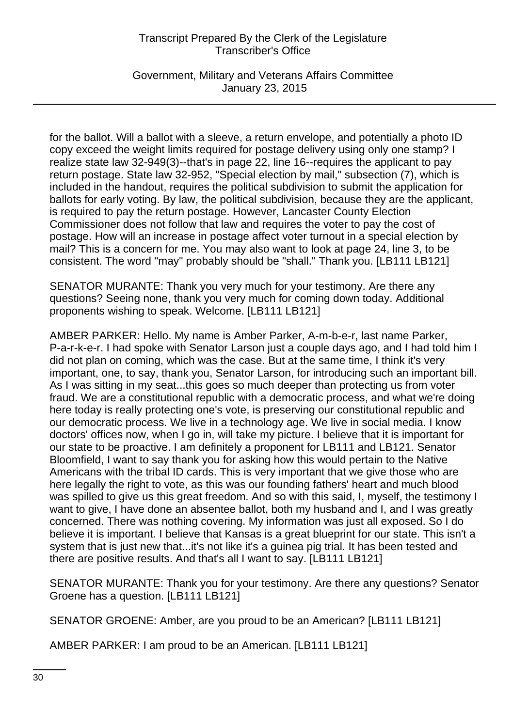Government, Military and Veterans Affairs Committee January 23, 2015

for the ballot. Will a ballot with a sleeve, a return envelope, and potentially a photo ID copy exceed the weight limits required for postage delivery using only one stamp? I realize state law 32-949(3)--that's in page 22, line 16--requires the applicant to pay return postage. State law 32-952, "Special election by mail," subsection (7), which is included in the handout, requires the political subdivision to submit the application for ballots for early voting. By law, the political subdivision, because they are the applicant, is required to pay the return postage. However, Lancaster County Election Commissioner does not follow that law and requires the voter to pay the cost of postage. How will an increase in postage affect voter turnout in a special election by mail? This is a concern for me. You may also want to look at page 24, line 3, to be consistent. The word "may" probably should be "shall." Thank you. [LB111 LB121]

SENATOR MURANTE: Thank you very much for your testimony. Are there any questions? Seeing none, thank you very much for coming down today. Additional proponents wishing to speak. Welcome. [LB111 LB121]

AMBER PARKER: Hello. My name is Amber Parker, A-m-b-e-r, last name Parker, P-a-r-k-e-r. I had spoke with Senator Larson just a couple days ago, and I had told him I did not plan on coming, which was the case. But at the same time, I think it's very important, one, to say, thank you, Senator Larson, for introducing such an important bill. As I was sitting in my seat...this goes so much deeper than protecting us from voter fraud. We are a constitutional republic with a democratic process, and what we're doing here today is really protecting one's vote, is preserving our constitutional republic and our democratic process. We live in a technology age. We live in social media. I know doctors' offices now, when I go in, will take my picture. I believe that it is important for our state to be proactive. I am definitely a proponent for LB111 and LB121. Senator Bloomfield, I want to say thank you for asking how this would pertain to the Native Americans with the tribal ID cards. This is very important that we give those who are here legally the right to vote, as this was our founding fathers' heart and much blood was spilled to give us this great freedom. And so with this said, I, myself, the testimony I want to give, I have done an absentee ballot, both my husband and I, and I was greatly concerned. There was nothing covering. My information was just all exposed. So I do believe it is important. I believe that Kansas is a great blueprint for our state. This isn't a system that is just new that...it's not like it's a guinea pig trial. It has been tested and there are positive results. And that's all I want to say. [LB111 LB121]

SENATOR MURANTE: Thank you for your testimony. Are there any questions? Senator Groene has a question. [LB111 LB121]

SENATOR GROENE: Amber, are you proud to be an American? [LB111 LB121]

AMBER PARKER: I am proud to be an American. [LB111 LB121]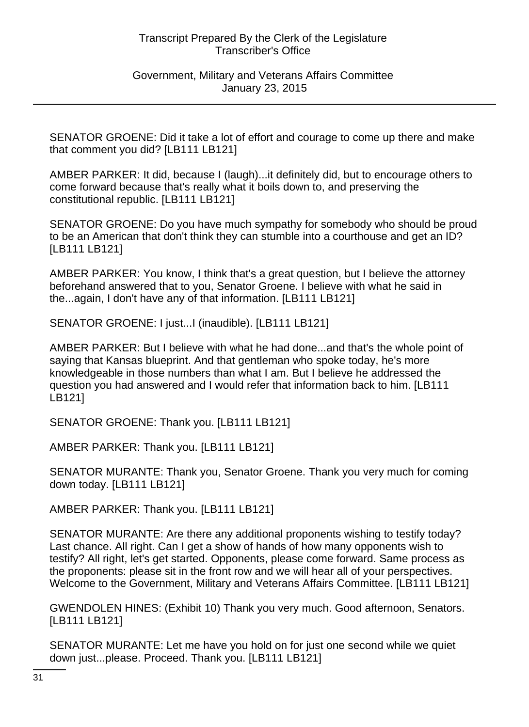### Government, Military and Veterans Affairs Committee January 23, 2015

SENATOR GROENE: Did it take a lot of effort and courage to come up there and make that comment you did? [LB111 LB121]

AMBER PARKER: It did, because I (laugh)...it definitely did, but to encourage others to come forward because that's really what it boils down to, and preserving the constitutional republic. [LB111 LB121]

SENATOR GROENE: Do you have much sympathy for somebody who should be proud to be an American that don't think they can stumble into a courthouse and get an ID? [LB111 LB121]

AMBER PARKER: You know, I think that's a great question, but I believe the attorney beforehand answered that to you, Senator Groene. I believe with what he said in the...again, I don't have any of that information. [LB111 LB121]

SENATOR GROENE: I just...I (inaudible). [LB111 LB121]

AMBER PARKER: But I believe with what he had done...and that's the whole point of saying that Kansas blueprint. And that gentleman who spoke today, he's more knowledgeable in those numbers than what I am. But I believe he addressed the question you had answered and I would refer that information back to him. [LB111 LB121]

SENATOR GROENE: Thank you. [LB111 LB121]

AMBER PARKER: Thank you. [LB111 LB121]

SENATOR MURANTE: Thank you, Senator Groene. Thank you very much for coming down today. [LB111 LB121]

AMBER PARKER: Thank you. [LB111 LB121]

SENATOR MURANTE: Are there any additional proponents wishing to testify today? Last chance. All right. Can I get a show of hands of how many opponents wish to testify? All right, let's get started. Opponents, please come forward. Same process as the proponents: please sit in the front row and we will hear all of your perspectives. Welcome to the Government, Military and Veterans Affairs Committee. [LB111 LB121]

GWENDOLEN HINES: (Exhibit 10) Thank you very much. Good afternoon, Senators. [LB111 LB121]

SENATOR MURANTE: Let me have you hold on for just one second while we quiet down just...please. Proceed. Thank you. [LB111 LB121]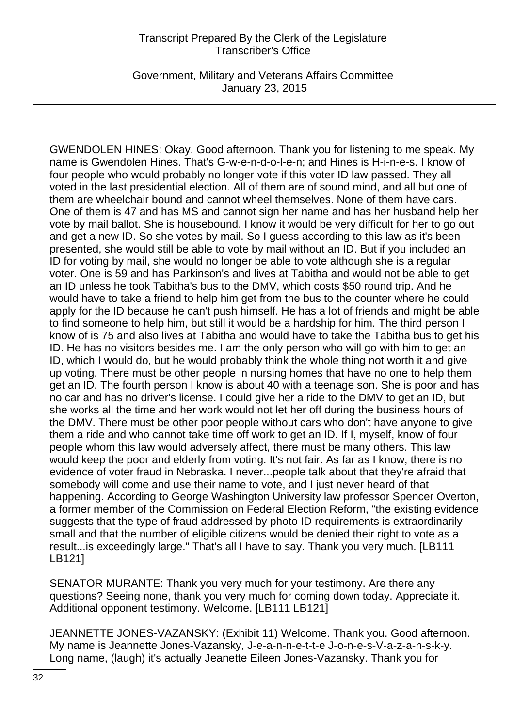Government, Military and Veterans Affairs Committee January 23, 2015

GWENDOLEN HINES: Okay. Good afternoon. Thank you for listening to me speak. My name is Gwendolen Hines. That's G-w-e-n-d-o-l-e-n; and Hines is H-i-n-e-s. I know of four people who would probably no longer vote if this voter ID law passed. They all voted in the last presidential election. All of them are of sound mind, and all but one of them are wheelchair bound and cannot wheel themselves. None of them have cars. One of them is 47 and has MS and cannot sign her name and has her husband help her vote by mail ballot. She is housebound. I know it would be very difficult for her to go out and get a new ID. So she votes by mail. So I guess according to this law as it's been presented, she would still be able to vote by mail without an ID. But if you included an ID for voting by mail, she would no longer be able to vote although she is a regular voter. One is 59 and has Parkinson's and lives at Tabitha and would not be able to get an ID unless he took Tabitha's bus to the DMV, which costs \$50 round trip. And he would have to take a friend to help him get from the bus to the counter where he could apply for the ID because he can't push himself. He has a lot of friends and might be able to find someone to help him, but still it would be a hardship for him. The third person I know of is 75 and also lives at Tabitha and would have to take the Tabitha bus to get his ID. He has no visitors besides me. I am the only person who will go with him to get an ID, which I would do, but he would probably think the whole thing not worth it and give up voting. There must be other people in nursing homes that have no one to help them get an ID. The fourth person I know is about 40 with a teenage son. She is poor and has no car and has no driver's license. I could give her a ride to the DMV to get an ID, but she works all the time and her work would not let her off during the business hours of the DMV. There must be other poor people without cars who don't have anyone to give them a ride and who cannot take time off work to get an ID. If I, myself, know of four people whom this law would adversely affect, there must be many others. This law would keep the poor and elderly from voting. It's not fair. As far as I know, there is no evidence of voter fraud in Nebraska. I never...people talk about that they're afraid that somebody will come and use their name to vote, and I just never heard of that happening. According to George Washington University law professor Spencer Overton, a former member of the Commission on Federal Election Reform, "the existing evidence suggests that the type of fraud addressed by photo ID requirements is extraordinarily small and that the number of eligible citizens would be denied their right to vote as a result...is exceedingly large." That's all I have to say. Thank you very much. [LB111 LB121]

SENATOR MURANTE: Thank you very much for your testimony. Are there any questions? Seeing none, thank you very much for coming down today. Appreciate it. Additional opponent testimony. Welcome. [LB111 LB121]

JEANNETTE JONES-VAZANSKY: (Exhibit 11) Welcome. Thank you. Good afternoon. My name is Jeannette Jones-Vazansky, J-e-a-n-n-e-t-t-e J-o-n-e-s-V-a-z-a-n-s-k-y. Long name, (laugh) it's actually Jeanette Eileen Jones-Vazansky. Thank you for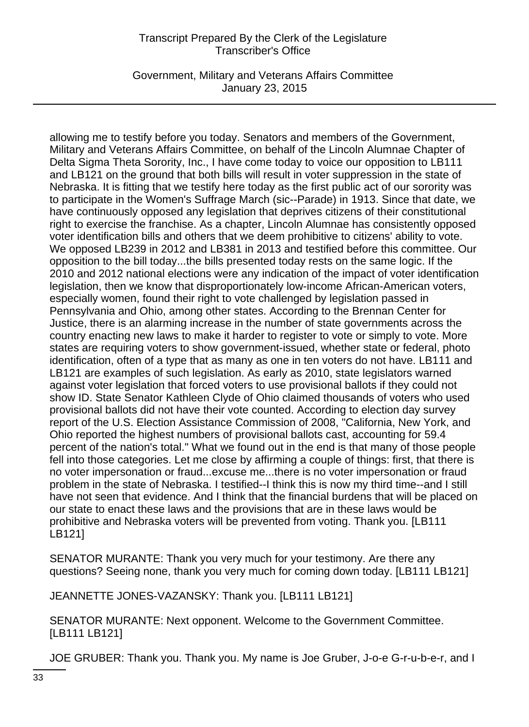Government, Military and Veterans Affairs Committee January 23, 2015

allowing me to testify before you today. Senators and members of the Government, Military and Veterans Affairs Committee, on behalf of the Lincoln Alumnae Chapter of Delta Sigma Theta Sorority, Inc., I have come today to voice our opposition to LB111 and LB121 on the ground that both bills will result in voter suppression in the state of Nebraska. It is fitting that we testify here today as the first public act of our sorority was to participate in the Women's Suffrage March (sic--Parade) in 1913. Since that date, we have continuously opposed any legislation that deprives citizens of their constitutional right to exercise the franchise. As a chapter, Lincoln Alumnae has consistently opposed voter identification bills and others that we deem prohibitive to citizens' ability to vote. We opposed LB239 in 2012 and LB381 in 2013 and testified before this committee. Our opposition to the bill today...the bills presented today rests on the same logic. If the 2010 and 2012 national elections were any indication of the impact of voter identification legislation, then we know that disproportionately low-income African-American voters, especially women, found their right to vote challenged by legislation passed in Pennsylvania and Ohio, among other states. According to the Brennan Center for Justice, there is an alarming increase in the number of state governments across the country enacting new laws to make it harder to register to vote or simply to vote. More states are requiring voters to show government-issued, whether state or federal, photo identification, often of a type that as many as one in ten voters do not have. LB111 and LB121 are examples of such legislation. As early as 2010, state legislators warned against voter legislation that forced voters to use provisional ballots if they could not show ID. State Senator Kathleen Clyde of Ohio claimed thousands of voters who used provisional ballots did not have their vote counted. According to election day survey report of the U.S. Election Assistance Commission of 2008, "California, New York, and Ohio reported the highest numbers of provisional ballots cast, accounting for 59.4 percent of the nation's total." What we found out in the end is that many of those people fell into those categories. Let me close by affirming a couple of things: first, that there is no voter impersonation or fraud...excuse me...there is no voter impersonation or fraud problem in the state of Nebraska. I testified--I think this is now my third time--and I still have not seen that evidence. And I think that the financial burdens that will be placed on our state to enact these laws and the provisions that are in these laws would be prohibitive and Nebraska voters will be prevented from voting. Thank you. [LB111 LB121]

SENATOR MURANTE: Thank you very much for your testimony. Are there any questions? Seeing none, thank you very much for coming down today. [LB111 LB121]

JEANNETTE JONES-VAZANSKY: Thank you. [LB111 LB121]

SENATOR MURANTE: Next opponent. Welcome to the Government Committee. [LB111 LB121]

JOE GRUBER: Thank you. Thank you. My name is Joe Gruber, J-o-e G-r-u-b-e-r, and I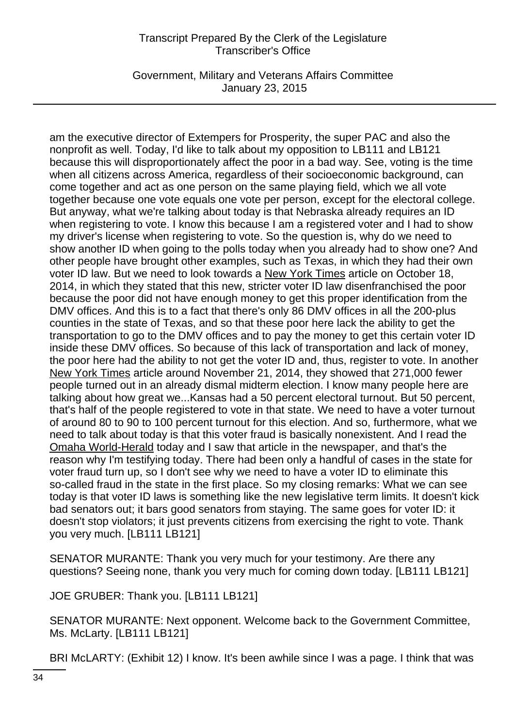Government, Military and Veterans Affairs Committee January 23, 2015

am the executive director of Extempers for Prosperity, the super PAC and also the nonprofit as well. Today, I'd like to talk about my opposition to LB111 and LB121 because this will disproportionately affect the poor in a bad way. See, voting is the time when all citizens across America, regardless of their socioeconomic background, can come together and act as one person on the same playing field, which we all vote together because one vote equals one vote per person, except for the electoral college. But anyway, what we're talking about today is that Nebraska already requires an ID when registering to vote. I know this because I am a registered voter and I had to show my driver's license when registering to vote. So the question is, why do we need to show another ID when going to the polls today when you already had to show one? And other people have brought other examples, such as Texas, in which they had their own voter ID law. But we need to look towards a New York Times article on October 18, 2014, in which they stated that this new, stricter voter ID law disenfranchised the poor because the poor did not have enough money to get this proper identification from the DMV offices. And this is to a fact that there's only 86 DMV offices in all the 200-plus counties in the state of Texas, and so that these poor here lack the ability to get the transportation to go to the DMV offices and to pay the money to get this certain voter ID inside these DMV offices. So because of this lack of transportation and lack of money, the poor here had the ability to not get the voter ID and, thus, register to vote. In another New York Times article around November 21, 2014, they showed that 271,000 fewer people turned out in an already dismal midterm election. I know many people here are talking about how great we...Kansas had a 50 percent electoral turnout. But 50 percent, that's half of the people registered to vote in that state. We need to have a voter turnout of around 80 to 90 to 100 percent turnout for this election. And so, furthermore, what we need to talk about today is that this voter fraud is basically nonexistent. And I read the Omaha World-Herald today and I saw that article in the newspaper, and that's the reason why I'm testifying today. There had been only a handful of cases in the state for voter fraud turn up, so I don't see why we need to have a voter ID to eliminate this so-called fraud in the state in the first place. So my closing remarks: What we can see today is that voter ID laws is something like the new legislative term limits. It doesn't kick bad senators out; it bars good senators from staying. The same goes for voter ID: it doesn't stop violators; it just prevents citizens from exercising the right to vote. Thank you very much. [LB111 LB121]

SENATOR MURANTE: Thank you very much for your testimony. Are there any questions? Seeing none, thank you very much for coming down today. [LB111 LB121]

JOE GRUBER: Thank you. [LB111 LB121]

SENATOR MURANTE: Next opponent. Welcome back to the Government Committee, Ms. McLarty. [LB111 LB121]

BRI McLARTY: (Exhibit 12) I know. It's been awhile since I was a page. I think that was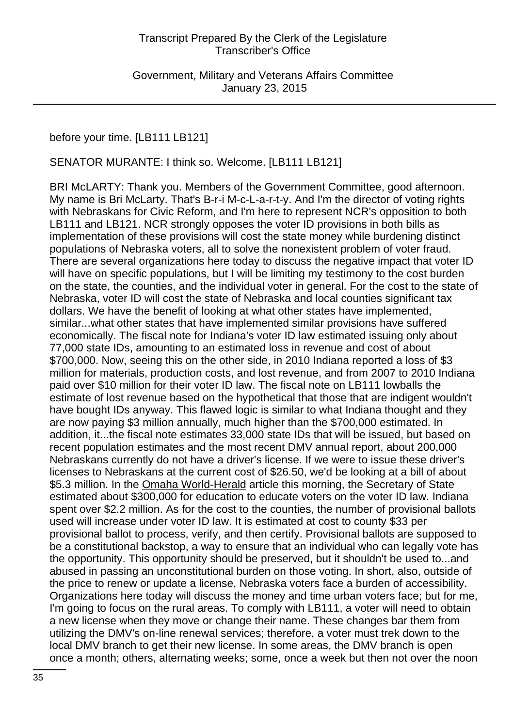Government, Military and Veterans Affairs Committee January 23, 2015

# before your time. [LB111 LB121]

#### SENATOR MURANTE: I think so. Welcome. [LB111 LB121]

BRI McLARTY: Thank you. Members of the Government Committee, good afternoon. My name is Bri McLarty. That's B-r-i M-c-L-a-r-t-y. And I'm the director of voting rights with Nebraskans for Civic Reform, and I'm here to represent NCR's opposition to both LB111 and LB121. NCR strongly opposes the voter ID provisions in both bills as implementation of these provisions will cost the state money while burdening distinct populations of Nebraska voters, all to solve the nonexistent problem of voter fraud. There are several organizations here today to discuss the negative impact that voter ID will have on specific populations, but I will be limiting my testimony to the cost burden on the state, the counties, and the individual voter in general. For the cost to the state of Nebraska, voter ID will cost the state of Nebraska and local counties significant tax dollars. We have the benefit of looking at what other states have implemented, similar...what other states that have implemented similar provisions have suffered economically. The fiscal note for Indiana's voter ID law estimated issuing only about 77,000 state IDs, amounting to an estimated loss in revenue and cost of about \$700,000. Now, seeing this on the other side, in 2010 Indiana reported a loss of \$3 million for materials, production costs, and lost revenue, and from 2007 to 2010 Indiana paid over \$10 million for their voter ID law. The fiscal note on LB111 lowballs the estimate of lost revenue based on the hypothetical that those that are indigent wouldn't have bought IDs anyway. This flawed logic is similar to what Indiana thought and they are now paying \$3 million annually, much higher than the \$700,000 estimated. In addition, it...the fiscal note estimates 33,000 state IDs that will be issued, but based on recent population estimates and the most recent DMV annual report, about 200,000 Nebraskans currently do not have a driver's license. If we were to issue these driver's licenses to Nebraskans at the current cost of \$26.50, we'd be looking at a bill of about \$5.3 million. In the Omaha World-Herald article this morning, the Secretary of State estimated about \$300,000 for education to educate voters on the voter ID law. Indiana spent over \$2.2 million. As for the cost to the counties, the number of provisional ballots used will increase under voter ID law. It is estimated at cost to county \$33 per provisional ballot to process, verify, and then certify. Provisional ballots are supposed to be a constitutional backstop, a way to ensure that an individual who can legally vote has the opportunity. This opportunity should be preserved, but it shouldn't be used to...and abused in passing an unconstitutional burden on those voting. In short, also, outside of the price to renew or update a license, Nebraska voters face a burden of accessibility. Organizations here today will discuss the money and time urban voters face; but for me, I'm going to focus on the rural areas. To comply with LB111, a voter will need to obtain a new license when they move or change their name. These changes bar them from utilizing the DMV's on-line renewal services; therefore, a voter must trek down to the local DMV branch to get their new license. In some areas, the DMV branch is open once a month; others, alternating weeks; some, once a week but then not over the noon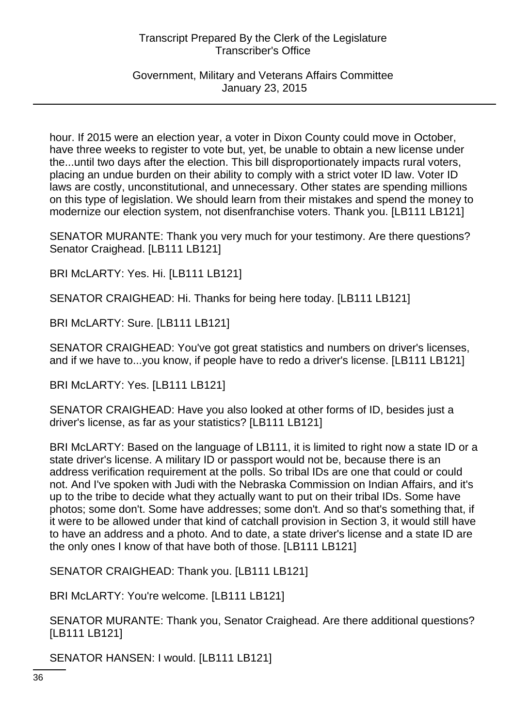Government, Military and Veterans Affairs Committee January 23, 2015

hour. If 2015 were an election year, a voter in Dixon County could move in October, have three weeks to register to vote but, yet, be unable to obtain a new license under the...until two days after the election. This bill disproportionately impacts rural voters, placing an undue burden on their ability to comply with a strict voter ID law. Voter ID laws are costly, unconstitutional, and unnecessary. Other states are spending millions on this type of legislation. We should learn from their mistakes and spend the money to modernize our election system, not disenfranchise voters. Thank you. [LB111 LB121]

SENATOR MURANTE: Thank you very much for your testimony. Are there questions? Senator Craighead. [LB111 LB121]

BRI McLARTY: Yes. Hi. [LB111 LB121]

SENATOR CRAIGHEAD: Hi. Thanks for being here today. [LB111 LB121]

BRI McLARTY: Sure. [LB111 LB121]

SENATOR CRAIGHEAD: You've got great statistics and numbers on driver's licenses, and if we have to...you know, if people have to redo a driver's license. [LB111 LB121]

BRI McLARTY: Yes. [LB111 LB121]

SENATOR CRAIGHEAD: Have you also looked at other forms of ID, besides just a driver's license, as far as your statistics? [LB111 LB121]

BRI McLARTY: Based on the language of LB111, it is limited to right now a state ID or a state driver's license. A military ID or passport would not be, because there is an address verification requirement at the polls. So tribal IDs are one that could or could not. And I've spoken with Judi with the Nebraska Commission on Indian Affairs, and it's up to the tribe to decide what they actually want to put on their tribal IDs. Some have photos; some don't. Some have addresses; some don't. And so that's something that, if it were to be allowed under that kind of catchall provision in Section 3, it would still have to have an address and a photo. And to date, a state driver's license and a state ID are the only ones I know of that have both of those. [LB111 LB121]

SENATOR CRAIGHEAD: Thank you. [LB111 LB121]

BRI McLARTY: You're welcome. [LB111 LB121]

SENATOR MURANTE: Thank you, Senator Craighead. Are there additional questions? [LB111 LB121]

SENATOR HANSEN: I would. [LB111 LB121]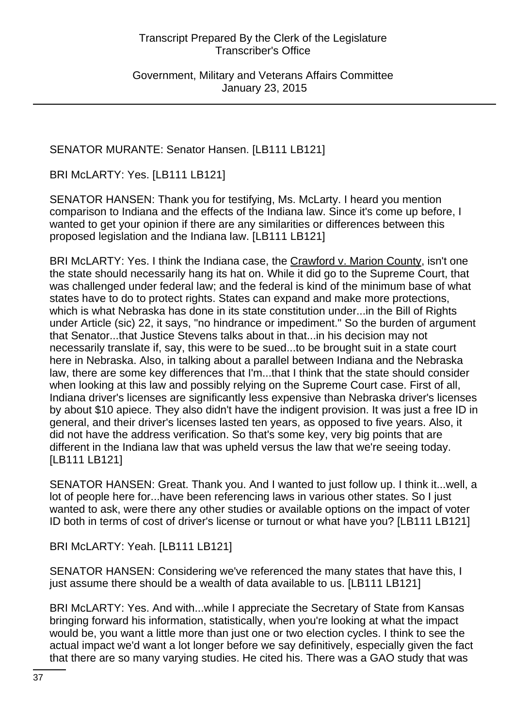Government, Military and Veterans Affairs Committee January 23, 2015

## SENATOR MURANTE: Senator Hansen. [LB111 LB121]

BRI McLARTY: Yes. [LB111 LB121]

SENATOR HANSEN: Thank you for testifying, Ms. McLarty. I heard you mention comparison to Indiana and the effects of the Indiana law. Since it's come up before, I wanted to get your opinion if there are any similarities or differences between this proposed legislation and the Indiana law. [LB111 LB121]

BRI McLARTY: Yes. I think the Indiana case, the Crawford v. Marion County, isn't one the state should necessarily hang its hat on. While it did go to the Supreme Court, that was challenged under federal law; and the federal is kind of the minimum base of what states have to do to protect rights. States can expand and make more protections, which is what Nebraska has done in its state constitution under...in the Bill of Rights under Article (sic) 22, it says, "no hindrance or impediment." So the burden of argument that Senator...that Justice Stevens talks about in that...in his decision may not necessarily translate if, say, this were to be sued...to be brought suit in a state court here in Nebraska. Also, in talking about a parallel between Indiana and the Nebraska law, there are some key differences that I'm...that I think that the state should consider when looking at this law and possibly relying on the Supreme Court case. First of all, Indiana driver's licenses are significantly less expensive than Nebraska driver's licenses by about \$10 apiece. They also didn't have the indigent provision. It was just a free ID in general, and their driver's licenses lasted ten years, as opposed to five years. Also, it did not have the address verification. So that's some key, very big points that are different in the Indiana law that was upheld versus the law that we're seeing today. [LB111 LB121]

SENATOR HANSEN: Great. Thank you. And I wanted to just follow up. I think it...well, a lot of people here for...have been referencing laws in various other states. So I just wanted to ask, were there any other studies or available options on the impact of voter ID both in terms of cost of driver's license or turnout or what have you? [LB111 LB121]

BRI McLARTY: Yeah. [LB111 LB121]

SENATOR HANSEN: Considering we've referenced the many states that have this, I just assume there should be a wealth of data available to us. [LB111 LB121]

BRI McLARTY: Yes. And with...while I appreciate the Secretary of State from Kansas bringing forward his information, statistically, when you're looking at what the impact would be, you want a little more than just one or two election cycles. I think to see the actual impact we'd want a lot longer before we say definitively, especially given the fact that there are so many varying studies. He cited his. There was a GAO study that was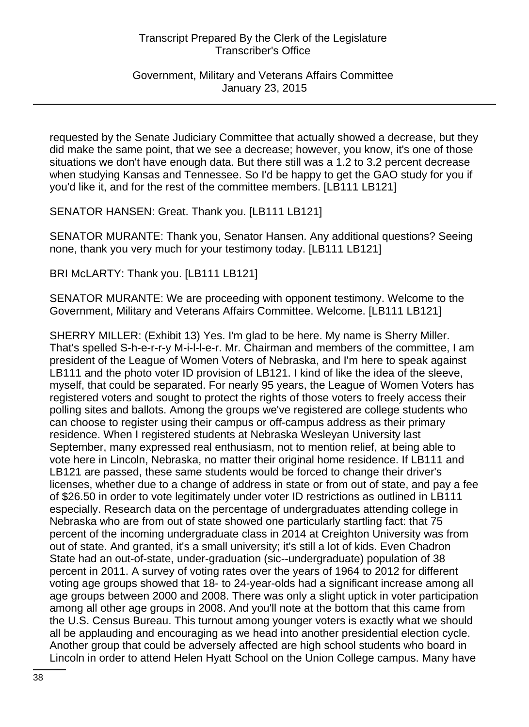Government, Military and Veterans Affairs Committee January 23, 2015

requested by the Senate Judiciary Committee that actually showed a decrease, but they did make the same point, that we see a decrease; however, you know, it's one of those situations we don't have enough data. But there still was a 1.2 to 3.2 percent decrease when studying Kansas and Tennessee. So I'd be happy to get the GAO study for you if you'd like it, and for the rest of the committee members. [LB111 LB121]

SENATOR HANSEN: Great. Thank you. [LB111 LB121]

SENATOR MURANTE: Thank you, Senator Hansen. Any additional questions? Seeing none, thank you very much for your testimony today. [LB111 LB121]

BRI McLARTY: Thank you. [LB111 LB121]

SENATOR MURANTE: We are proceeding with opponent testimony. Welcome to the Government, Military and Veterans Affairs Committee. Welcome. [LB111 LB121]

SHERRY MILLER: (Exhibit 13) Yes. I'm glad to be here. My name is Sherry Miller. That's spelled S-h-e-r-r-y M-i-l-l-e-r. Mr. Chairman and members of the committee, I am president of the League of Women Voters of Nebraska, and I'm here to speak against LB111 and the photo voter ID provision of LB121. I kind of like the idea of the sleeve, myself, that could be separated. For nearly 95 years, the League of Women Voters has registered voters and sought to protect the rights of those voters to freely access their polling sites and ballots. Among the groups we've registered are college students who can choose to register using their campus or off-campus address as their primary residence. When I registered students at Nebraska Wesleyan University last September, many expressed real enthusiasm, not to mention relief, at being able to vote here in Lincoln, Nebraska, no matter their original home residence. If LB111 and LB121 are passed, these same students would be forced to change their driver's licenses, whether due to a change of address in state or from out of state, and pay a fee of \$26.50 in order to vote legitimately under voter ID restrictions as outlined in LB111 especially. Research data on the percentage of undergraduates attending college in Nebraska who are from out of state showed one particularly startling fact: that 75 percent of the incoming undergraduate class in 2014 at Creighton University was from out of state. And granted, it's a small university; it's still a lot of kids. Even Chadron State had an out-of-state, under-graduation (sic--undergraduate) population of 38 percent in 2011. A survey of voting rates over the years of 1964 to 2012 for different voting age groups showed that 18- to 24-year-olds had a significant increase among all age groups between 2000 and 2008. There was only a slight uptick in voter participation among all other age groups in 2008. And you'll note at the bottom that this came from the U.S. Census Bureau. This turnout among younger voters is exactly what we should all be applauding and encouraging as we head into another presidential election cycle. Another group that could be adversely affected are high school students who board in Lincoln in order to attend Helen Hyatt School on the Union College campus. Many have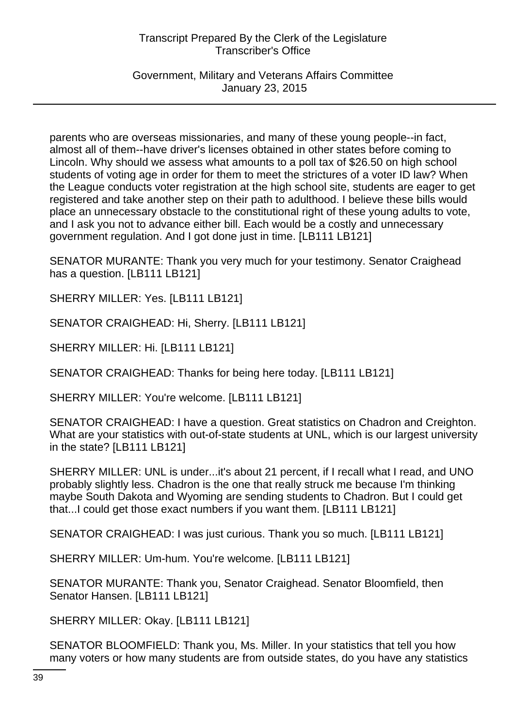Government, Military and Veterans Affairs Committee January 23, 2015

parents who are overseas missionaries, and many of these young people--in fact, almost all of them--have driver's licenses obtained in other states before coming to Lincoln. Why should we assess what amounts to a poll tax of \$26.50 on high school students of voting age in order for them to meet the strictures of a voter ID law? When the League conducts voter registration at the high school site, students are eager to get registered and take another step on their path to adulthood. I believe these bills would place an unnecessary obstacle to the constitutional right of these young adults to vote, and I ask you not to advance either bill. Each would be a costly and unnecessary government regulation. And I got done just in time. [LB111 LB121]

SENATOR MURANTE: Thank you very much for your testimony. Senator Craighead has a question. [LB111 LB121]

SHERRY MILLER: Yes. [LB111 LB121]

SENATOR CRAIGHEAD: Hi, Sherry. [LB111 LB121]

SHERRY MILLER: Hi. [LB111 LB121]

SENATOR CRAIGHEAD: Thanks for being here today. [LB111 LB121]

SHERRY MILLER: You're welcome. [LB111 LB121]

SENATOR CRAIGHEAD: I have a question. Great statistics on Chadron and Creighton. What are your statistics with out-of-state students at UNL, which is our largest university in the state? [LB111 LB121]

SHERRY MILLER: UNL is under...it's about 21 percent, if I recall what I read, and UNO probably slightly less. Chadron is the one that really struck me because I'm thinking maybe South Dakota and Wyoming are sending students to Chadron. But I could get that...I could get those exact numbers if you want them. [LB111 LB121]

SENATOR CRAIGHEAD: I was just curious. Thank you so much. [LB111 LB121]

SHERRY MILLER: Um-hum. You're welcome. [LB111 LB121]

SENATOR MURANTE: Thank you, Senator Craighead. Senator Bloomfield, then Senator Hansen. [LB111 LB121]

SHERRY MILLER: Okay. [LB111 LB121]

SENATOR BLOOMFIELD: Thank you, Ms. Miller. In your statistics that tell you how many voters or how many students are from outside states, do you have any statistics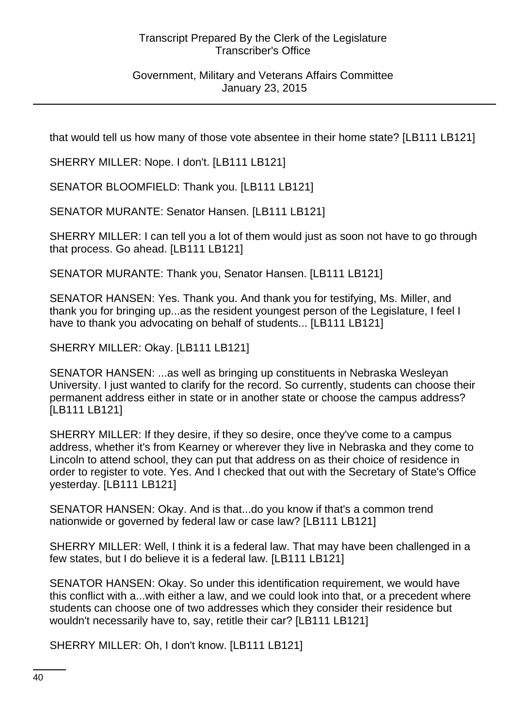Government, Military and Veterans Affairs Committee January 23, 2015

that would tell us how many of those vote absentee in their home state? [LB111 LB121]

SHERRY MILLER: Nope. I don't. [LB111 LB121]

SENATOR BLOOMFIELD: Thank you. [LB111 LB121]

SENATOR MURANTE: Senator Hansen. [LB111 LB121]

SHERRY MILLER: I can tell you a lot of them would just as soon not have to go through that process. Go ahead. [LB111 LB121]

SENATOR MURANTE: Thank you, Senator Hansen. [LB111 LB121]

SENATOR HANSEN: Yes. Thank you. And thank you for testifying, Ms. Miller, and thank you for bringing up...as the resident youngest person of the Legislature, I feel I have to thank you advocating on behalf of students... [LB111 LB121]

SHERRY MILLER: Okay. [LB111 LB121]

SENATOR HANSEN: ...as well as bringing up constituents in Nebraska Wesleyan University. I just wanted to clarify for the record. So currently, students can choose their permanent address either in state or in another state or choose the campus address? [LB111 LB121]

SHERRY MILLER: If they desire, if they so desire, once they've come to a campus address, whether it's from Kearney or wherever they live in Nebraska and they come to Lincoln to attend school, they can put that address on as their choice of residence in order to register to vote. Yes. And I checked that out with the Secretary of State's Office yesterday. [LB111 LB121]

SENATOR HANSEN: Okay. And is that...do you know if that's a common trend nationwide or governed by federal law or case law? [LB111 LB121]

SHERRY MILLER: Well, I think it is a federal law. That may have been challenged in a few states, but I do believe it is a federal law. [LB111 LB121]

SENATOR HANSEN: Okay. So under this identification requirement, we would have this conflict with a...with either a law, and we could look into that, or a precedent where students can choose one of two addresses which they consider their residence but wouldn't necessarily have to, say, retitle their car? [LB111 LB121]

SHERRY MILLER: Oh, I don't know. [LB111 LB121]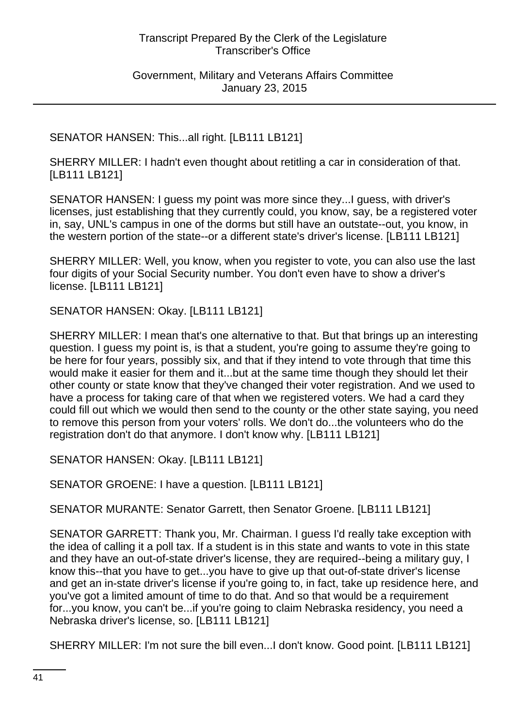Government, Military and Veterans Affairs Committee January 23, 2015

### SENATOR HANSEN: This...all right. [LB111 LB121]

SHERRY MILLER: I hadn't even thought about retitling a car in consideration of that. [LB111 LB121]

SENATOR HANSEN: I guess my point was more since they...I guess, with driver's licenses, just establishing that they currently could, you know, say, be a registered voter in, say, UNL's campus in one of the dorms but still have an outstate--out, you know, in the western portion of the state--or a different state's driver's license. [LB111 LB121]

SHERRY MILLER: Well, you know, when you register to vote, you can also use the last four digits of your Social Security number. You don't even have to show a driver's license. [LB111 LB121]

SENATOR HANSEN: Okay. [LB111 LB121]

SHERRY MILLER: I mean that's one alternative to that. But that brings up an interesting question. I guess my point is, is that a student, you're going to assume they're going to be here for four years, possibly six, and that if they intend to vote through that time this would make it easier for them and it...but at the same time though they should let their other county or state know that they've changed their voter registration. And we used to have a process for taking care of that when we registered voters. We had a card they could fill out which we would then send to the county or the other state saying, you need to remove this person from your voters' rolls. We don't do...the volunteers who do the registration don't do that anymore. I don't know why. [LB111 LB121]

SENATOR HANSEN: Okay. [LB111 LB121]

SENATOR GROENE: I have a question. [LB111 LB121]

SENATOR MURANTE: Senator Garrett, then Senator Groene. [LB111 LB121]

SENATOR GARRETT: Thank you, Mr. Chairman. I guess I'd really take exception with the idea of calling it a poll tax. If a student is in this state and wants to vote in this state and they have an out-of-state driver's license, they are required--being a military guy, I know this--that you have to get...you have to give up that out-of-state driver's license and get an in-state driver's license if you're going to, in fact, take up residence here, and you've got a limited amount of time to do that. And so that would be a requirement for...you know, you can't be...if you're going to claim Nebraska residency, you need a Nebraska driver's license, so. [LB111 LB121]

SHERRY MILLER: I'm not sure the bill even...I don't know. Good point. [LB111 LB121]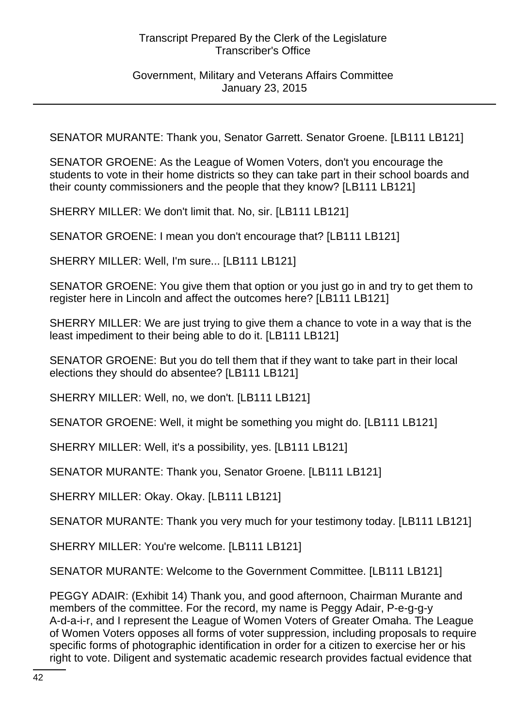### Government, Military and Veterans Affairs Committee January 23, 2015

SENATOR MURANTE: Thank you, Senator Garrett. Senator Groene. [LB111 LB121]

SENATOR GROENE: As the League of Women Voters, don't you encourage the students to vote in their home districts so they can take part in their school boards and their county commissioners and the people that they know? [LB111 LB121]

SHERRY MILLER: We don't limit that. No, sir. [LB111 LB121]

SENATOR GROENE: I mean you don't encourage that? [LB111 LB121]

SHERRY MILLER: Well, I'm sure... [LB111 LB121]

SENATOR GROENE: You give them that option or you just go in and try to get them to register here in Lincoln and affect the outcomes here? [LB111 LB121]

SHERRY MILLER: We are just trying to give them a chance to vote in a way that is the least impediment to their being able to do it. [LB111 LB121]

SENATOR GROENE: But you do tell them that if they want to take part in their local elections they should do absentee? [LB111 LB121]

SHERRY MILLER: Well, no, we don't. [LB111 LB121]

SENATOR GROENE: Well, it might be something you might do. [LB111 LB121]

SHERRY MILLER: Well, it's a possibility, yes. [LB111 LB121]

SENATOR MURANTE: Thank you, Senator Groene. [LB111 LB121]

SHERRY MILLER: Okay. Okay. [LB111 LB121]

SENATOR MURANTE: Thank you very much for your testimony today. [LB111 LB121]

SHERRY MILLER: You're welcome. [LB111 LB121]

SENATOR MURANTE: Welcome to the Government Committee. [LB111 LB121]

PEGGY ADAIR: (Exhibit 14) Thank you, and good afternoon, Chairman Murante and members of the committee. For the record, my name is Peggy Adair, P-e-g-g-y A-d-a-i-r, and I represent the League of Women Voters of Greater Omaha. The League of Women Voters opposes all forms of voter suppression, including proposals to require specific forms of photographic identification in order for a citizen to exercise her or his right to vote. Diligent and systematic academic research provides factual evidence that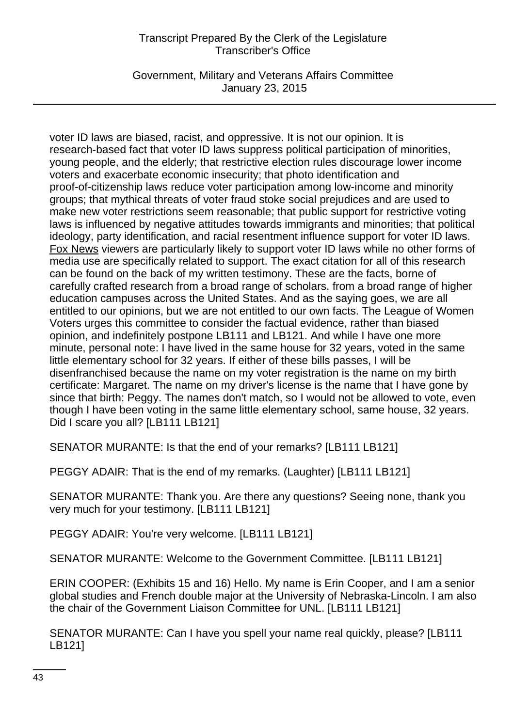Government, Military and Veterans Affairs Committee January 23, 2015

voter ID laws are biased, racist, and oppressive. It is not our opinion. It is research-based fact that voter ID laws suppress political participation of minorities, young people, and the elderly; that restrictive election rules discourage lower income voters and exacerbate economic insecurity; that photo identification and proof-of-citizenship laws reduce voter participation among low-income and minority groups; that mythical threats of voter fraud stoke social prejudices and are used to make new voter restrictions seem reasonable; that public support for restrictive voting laws is influenced by negative attitudes towards immigrants and minorities; that political ideology, party identification, and racial resentment influence support for voter ID laws. Fox News viewers are particularly likely to support voter ID laws while no other forms of media use are specifically related to support. The exact citation for all of this research can be found on the back of my written testimony. These are the facts, borne of carefully crafted research from a broad range of scholars, from a broad range of higher education campuses across the United States. And as the saying goes, we are all entitled to our opinions, but we are not entitled to our own facts. The League of Women Voters urges this committee to consider the factual evidence, rather than biased opinion, and indefinitely postpone LB111 and LB121. And while I have one more minute, personal note: I have lived in the same house for 32 years, voted in the same little elementary school for 32 years. If either of these bills passes, I will be disenfranchised because the name on my voter registration is the name on my birth certificate: Margaret. The name on my driver's license is the name that I have gone by since that birth: Peggy. The names don't match, so I would not be allowed to vote, even though I have been voting in the same little elementary school, same house, 32 years. Did I scare you all? [LB111 LB121]

SENATOR MURANTE: Is that the end of your remarks? [LB111 LB121]

PEGGY ADAIR: That is the end of my remarks. (Laughter) [LB111 LB121]

SENATOR MURANTE: Thank you. Are there any questions? Seeing none, thank you very much for your testimony. [LB111 LB121]

PEGGY ADAIR: You're very welcome. [LB111 LB121]

SENATOR MURANTE: Welcome to the Government Committee. [LB111 LB121]

ERIN COOPER: (Exhibits 15 and 16) Hello. My name is Erin Cooper, and I am a senior global studies and French double major at the University of Nebraska-Lincoln. I am also the chair of the Government Liaison Committee for UNL. [LB111 LB121]

SENATOR MURANTE: Can I have you spell your name real quickly, please? [LB111 LB121]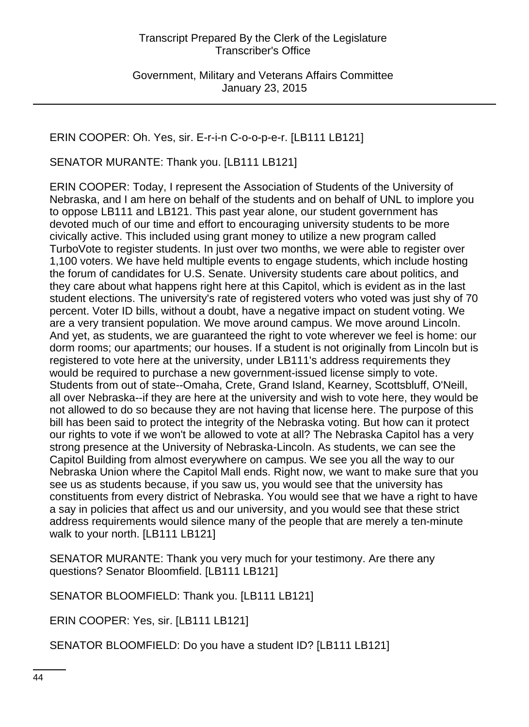# ERIN COOPER: Oh. Yes, sir. E-r-i-n C-o-o-p-e-r. [LB111 LB121]

SENATOR MURANTE: Thank you. [LB111 LB121]

ERIN COOPER: Today, I represent the Association of Students of the University of Nebraska, and I am here on behalf of the students and on behalf of UNL to implore you to oppose LB111 and LB121. This past year alone, our student government has devoted much of our time and effort to encouraging university students to be more civically active. This included using grant money to utilize a new program called TurboVote to register students. In just over two months, we were able to register over 1,100 voters. We have held multiple events to engage students, which include hosting the forum of candidates for U.S. Senate. University students care about politics, and they care about what happens right here at this Capitol, which is evident as in the last student elections. The university's rate of registered voters who voted was just shy of 70 percent. Voter ID bills, without a doubt, have a negative impact on student voting. We are a very transient population. We move around campus. We move around Lincoln. And yet, as students, we are guaranteed the right to vote wherever we feel is home: our dorm rooms; our apartments; our houses. If a student is not originally from Lincoln but is registered to vote here at the university, under LB111's address requirements they would be required to purchase a new government-issued license simply to vote. Students from out of state--Omaha, Crete, Grand Island, Kearney, Scottsbluff, O'Neill, all over Nebraska--if they are here at the university and wish to vote here, they would be not allowed to do so because they are not having that license here. The purpose of this bill has been said to protect the integrity of the Nebraska voting. But how can it protect our rights to vote if we won't be allowed to vote at all? The Nebraska Capitol has a very strong presence at the University of Nebraska-Lincoln. As students, we can see the Capitol Building from almost everywhere on campus. We see you all the way to our Nebraska Union where the Capitol Mall ends. Right now, we want to make sure that you see us as students because, if you saw us, you would see that the university has constituents from every district of Nebraska. You would see that we have a right to have a say in policies that affect us and our university, and you would see that these strict address requirements would silence many of the people that are merely a ten-minute walk to your north. [LB111 LB121]

SENATOR MURANTE: Thank you very much for your testimony. Are there any questions? Senator Bloomfield. [LB111 LB121]

SENATOR BLOOMFIELD: Thank you. [LB111 LB121]

ERIN COOPER: Yes, sir. [LB111 LB121]

SENATOR BLOOMFIELD: Do you have a student ID? [LB111 LB121]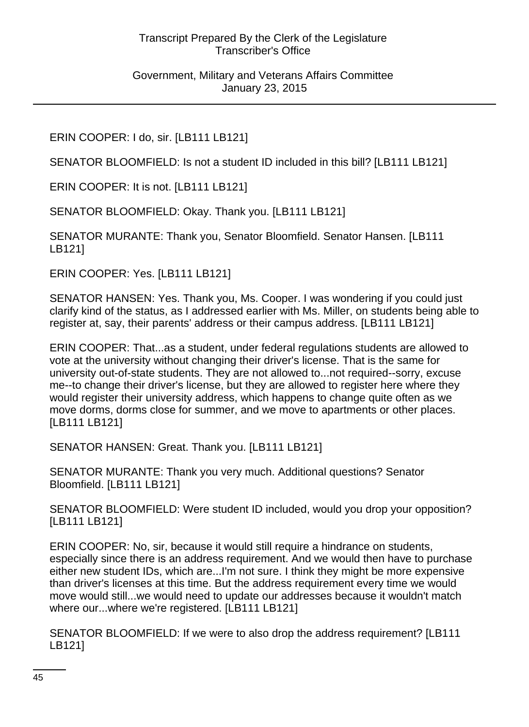Government, Military and Veterans Affairs Committee January 23, 2015

ERIN COOPER: I do, sir. [LB111 LB121]

SENATOR BLOOMFIELD: Is not a student ID included in this bill? [LB111 LB121]

ERIN COOPER: It is not. [LB111 LB121]

SENATOR BLOOMFIELD: Okay. Thank you. [LB111 LB121]

SENATOR MURANTE: Thank you, Senator Bloomfield. Senator Hansen. [LB111 LB121]

ERIN COOPER: Yes. [LB111 LB121]

SENATOR HANSEN: Yes. Thank you, Ms. Cooper. I was wondering if you could just clarify kind of the status, as I addressed earlier with Ms. Miller, on students being able to register at, say, their parents' address or their campus address. [LB111 LB121]

ERIN COOPER: That...as a student, under federal regulations students are allowed to vote at the university without changing their driver's license. That is the same for university out-of-state students. They are not allowed to...not required--sorry, excuse me--to change their driver's license, but they are allowed to register here where they would register their university address, which happens to change quite often as we move dorms, dorms close for summer, and we move to apartments or other places. [LB111 LB121]

SENATOR HANSEN: Great. Thank you. [LB111 LB121]

SENATOR MURANTE: Thank you very much. Additional questions? Senator Bloomfield. [LB111 LB121]

SENATOR BLOOMFIELD: Were student ID included, would you drop your opposition? [LB111 LB121]

ERIN COOPER: No, sir, because it would still require a hindrance on students, especially since there is an address requirement. And we would then have to purchase either new student IDs, which are...I'm not sure. I think they might be more expensive than driver's licenses at this time. But the address requirement every time we would move would still...we would need to update our addresses because it wouldn't match where our...where we're registered. [LB111 LB121]

SENATOR BLOOMFIELD: If we were to also drop the address requirement? [LB111 LB121]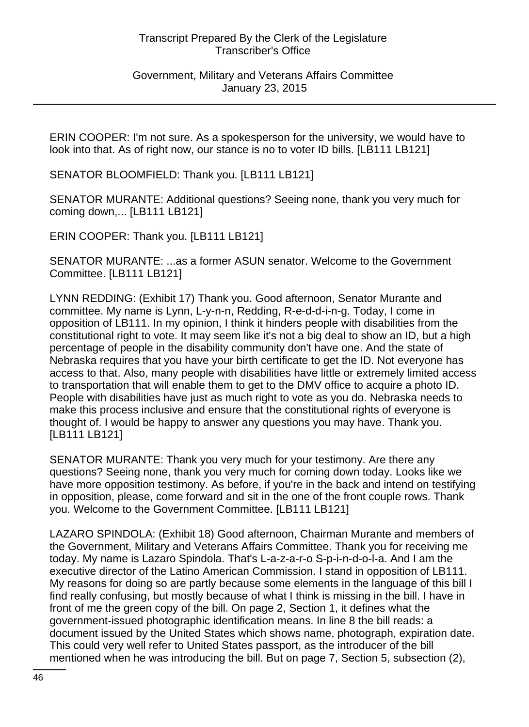Government, Military and Veterans Affairs Committee January 23, 2015

ERIN COOPER: I'm not sure. As a spokesperson for the university, we would have to look into that. As of right now, our stance is no to voter ID bills. [LB111 LB121]

SENATOR BLOOMFIELD: Thank you. [LB111 LB121]

SENATOR MURANTE: Additional questions? Seeing none, thank you very much for coming down,... [LB111 LB121]

ERIN COOPER: Thank you. [LB111 LB121]

SENATOR MURANTE: ...as a former ASUN senator. Welcome to the Government Committee. [LB111 LB121]

LYNN REDDING: (Exhibit 17) Thank you. Good afternoon, Senator Murante and committee. My name is Lynn, L-y-n-n, Redding, R-e-d-d-i-n-g. Today, I come in opposition of LB111. In my opinion, I think it hinders people with disabilities from the constitutional right to vote. It may seem like it's not a big deal to show an ID, but a high percentage of people in the disability community don't have one. And the state of Nebraska requires that you have your birth certificate to get the ID. Not everyone has access to that. Also, many people with disabilities have little or extremely limited access to transportation that will enable them to get to the DMV office to acquire a photo ID. People with disabilities have just as much right to vote as you do. Nebraska needs to make this process inclusive and ensure that the constitutional rights of everyone is thought of. I would be happy to answer any questions you may have. Thank you. [LB111 LB121]

SENATOR MURANTE: Thank you very much for your testimony. Are there any questions? Seeing none, thank you very much for coming down today. Looks like we have more opposition testimony. As before, if you're in the back and intend on testifying in opposition, please, come forward and sit in the one of the front couple rows. Thank you. Welcome to the Government Committee. [LB111 LB121]

LAZARO SPINDOLA: (Exhibit 18) Good afternoon, Chairman Murante and members of the Government, Military and Veterans Affairs Committee. Thank you for receiving me today. My name is Lazaro Spindola. That's L-a-z-a-r-o S-p-i-n-d-o-l-a. And I am the executive director of the Latino American Commission. I stand in opposition of LB111. My reasons for doing so are partly because some elements in the language of this bill I find really confusing, but mostly because of what I think is missing in the bill. I have in front of me the green copy of the bill. On page 2, Section 1, it defines what the government-issued photographic identification means. In line 8 the bill reads: a document issued by the United States which shows name, photograph, expiration date. This could very well refer to United States passport, as the introducer of the bill mentioned when he was introducing the bill. But on page 7, Section 5, subsection (2),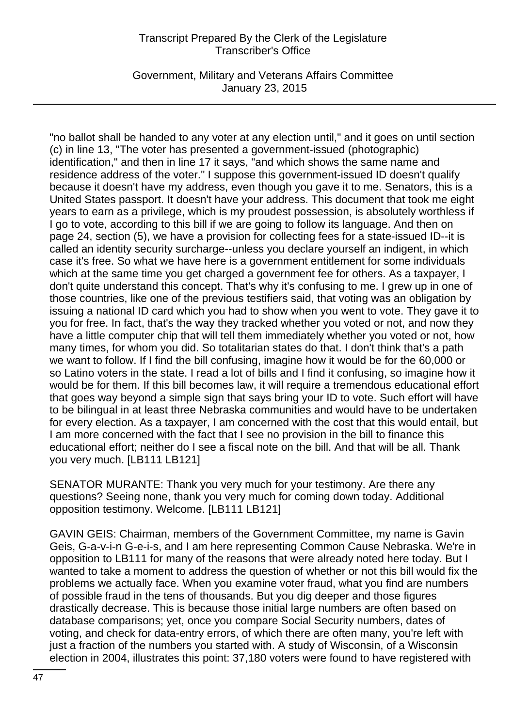Government, Military and Veterans Affairs Committee January 23, 2015

"no ballot shall be handed to any voter at any election until," and it goes on until section (c) in line 13, "The voter has presented a government-issued (photographic) identification," and then in line 17 it says, "and which shows the same name and residence address of the voter." I suppose this government-issued ID doesn't qualify because it doesn't have my address, even though you gave it to me. Senators, this is a United States passport. It doesn't have your address. This document that took me eight years to earn as a privilege, which is my proudest possession, is absolutely worthless if I go to vote, according to this bill if we are going to follow its language. And then on page 24, section (5), we have a provision for collecting fees for a state-issued ID--it is called an identity security surcharge--unless you declare yourself an indigent, in which case it's free. So what we have here is a government entitlement for some individuals which at the same time you get charged a government fee for others. As a taxpayer, I don't quite understand this concept. That's why it's confusing to me. I grew up in one of those countries, like one of the previous testifiers said, that voting was an obligation by issuing a national ID card which you had to show when you went to vote. They gave it to you for free. In fact, that's the way they tracked whether you voted or not, and now they have a little computer chip that will tell them immediately whether you voted or not, how many times, for whom you did. So totalitarian states do that. I don't think that's a path we want to follow. If I find the bill confusing, imagine how it would be for the 60,000 or so Latino voters in the state. I read a lot of bills and I find it confusing, so imagine how it would be for them. If this bill becomes law, it will require a tremendous educational effort that goes way beyond a simple sign that says bring your ID to vote. Such effort will have to be bilingual in at least three Nebraska communities and would have to be undertaken for every election. As a taxpayer, I am concerned with the cost that this would entail, but I am more concerned with the fact that I see no provision in the bill to finance this educational effort; neither do I see a fiscal note on the bill. And that will be all. Thank you very much. [LB111 LB121]

SENATOR MURANTE: Thank you very much for your testimony. Are there any questions? Seeing none, thank you very much for coming down today. Additional opposition testimony. Welcome. [LB111 LB121]

GAVIN GEIS: Chairman, members of the Government Committee, my name is Gavin Geis, G-a-v-i-n G-e-i-s, and I am here representing Common Cause Nebraska. We're in opposition to LB111 for many of the reasons that were already noted here today. But I wanted to take a moment to address the question of whether or not this bill would fix the problems we actually face. When you examine voter fraud, what you find are numbers of possible fraud in the tens of thousands. But you dig deeper and those figures drastically decrease. This is because those initial large numbers are often based on database comparisons; yet, once you compare Social Security numbers, dates of voting, and check for data-entry errors, of which there are often many, you're left with just a fraction of the numbers you started with. A study of Wisconsin, of a Wisconsin election in 2004, illustrates this point: 37,180 voters were found to have registered with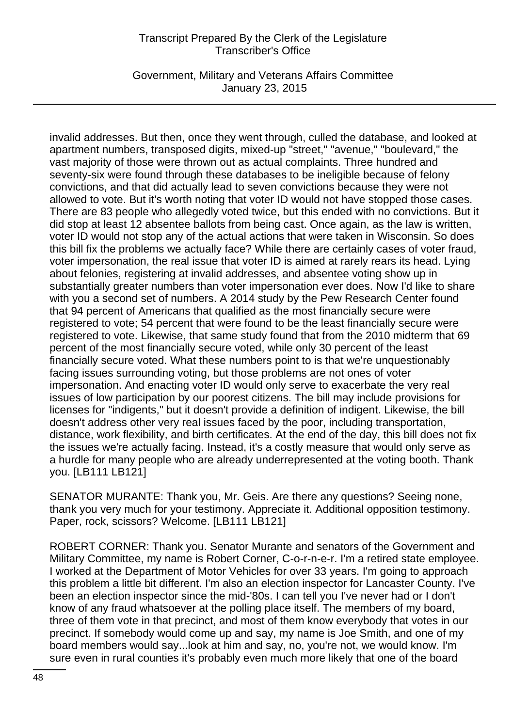Government, Military and Veterans Affairs Committee January 23, 2015

invalid addresses. But then, once they went through, culled the database, and looked at apartment numbers, transposed digits, mixed-up "street," "avenue," "boulevard," the vast majority of those were thrown out as actual complaints. Three hundred and seventy-six were found through these databases to be ineligible because of felony convictions, and that did actually lead to seven convictions because they were not allowed to vote. But it's worth noting that voter ID would not have stopped those cases. There are 83 people who allegedly voted twice, but this ended with no convictions. But it did stop at least 12 absentee ballots from being cast. Once again, as the law is written, voter ID would not stop any of the actual actions that were taken in Wisconsin. So does this bill fix the problems we actually face? While there are certainly cases of voter fraud, voter impersonation, the real issue that voter ID is aimed at rarely rears its head. Lying about felonies, registering at invalid addresses, and absentee voting show up in substantially greater numbers than voter impersonation ever does. Now I'd like to share with you a second set of numbers. A 2014 study by the Pew Research Center found that 94 percent of Americans that qualified as the most financially secure were registered to vote; 54 percent that were found to be the least financially secure were registered to vote. Likewise, that same study found that from the 2010 midterm that 69 percent of the most financially secure voted, while only 30 percent of the least financially secure voted. What these numbers point to is that we're unquestionably facing issues surrounding voting, but those problems are not ones of voter impersonation. And enacting voter ID would only serve to exacerbate the very real issues of low participation by our poorest citizens. The bill may include provisions for licenses for "indigents," but it doesn't provide a definition of indigent. Likewise, the bill doesn't address other very real issues faced by the poor, including transportation, distance, work flexibility, and birth certificates. At the end of the day, this bill does not fix the issues we're actually facing. Instead, it's a costly measure that would only serve as a hurdle for many people who are already underrepresented at the voting booth. Thank you. [LB111 LB121]

SENATOR MURANTE: Thank you, Mr. Geis. Are there any questions? Seeing none, thank you very much for your testimony. Appreciate it. Additional opposition testimony. Paper, rock, scissors? Welcome. [LB111 LB121]

ROBERT CORNER: Thank you. Senator Murante and senators of the Government and Military Committee, my name is Robert Corner, C-o-r-n-e-r. I'm a retired state employee. I worked at the Department of Motor Vehicles for over 33 years. I'm going to approach this problem a little bit different. I'm also an election inspector for Lancaster County. I've been an election inspector since the mid-'80s. I can tell you I've never had or I don't know of any fraud whatsoever at the polling place itself. The members of my board, three of them vote in that precinct, and most of them know everybody that votes in our precinct. If somebody would come up and say, my name is Joe Smith, and one of my board members would say...look at him and say, no, you're not, we would know. I'm sure even in rural counties it's probably even much more likely that one of the board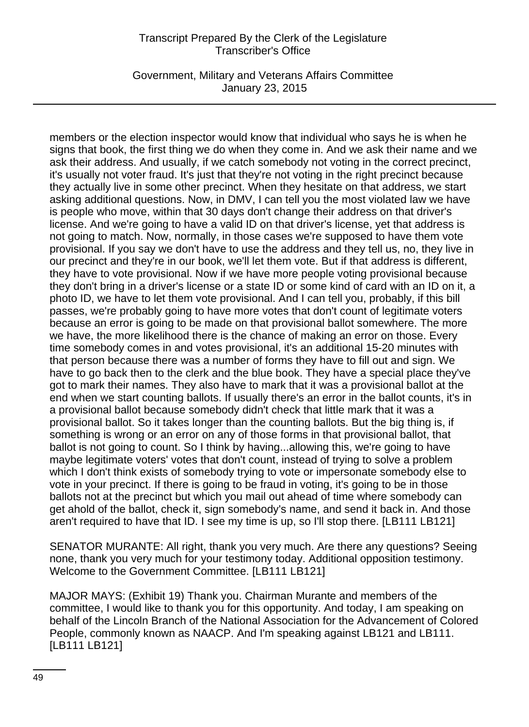Government, Military and Veterans Affairs Committee January 23, 2015

members or the election inspector would know that individual who says he is when he signs that book, the first thing we do when they come in. And we ask their name and we ask their address. And usually, if we catch somebody not voting in the correct precinct, it's usually not voter fraud. It's just that they're not voting in the right precinct because they actually live in some other precinct. When they hesitate on that address, we start asking additional questions. Now, in DMV, I can tell you the most violated law we have is people who move, within that 30 days don't change their address on that driver's license. And we're going to have a valid ID on that driver's license, yet that address is not going to match. Now, normally, in those cases we're supposed to have them vote provisional. If you say we don't have to use the address and they tell us, no, they live in our precinct and they're in our book, we'll let them vote. But if that address is different, they have to vote provisional. Now if we have more people voting provisional because they don't bring in a driver's license or a state ID or some kind of card with an ID on it, a photo ID, we have to let them vote provisional. And I can tell you, probably, if this bill passes, we're probably going to have more votes that don't count of legitimate voters because an error is going to be made on that provisional ballot somewhere. The more we have, the more likelihood there is the chance of making an error on those. Every time somebody comes in and votes provisional, it's an additional 15-20 minutes with that person because there was a number of forms they have to fill out and sign. We have to go back then to the clerk and the blue book. They have a special place they've got to mark their names. They also have to mark that it was a provisional ballot at the end when we start counting ballots. If usually there's an error in the ballot counts, it's in a provisional ballot because somebody didn't check that little mark that it was a provisional ballot. So it takes longer than the counting ballots. But the big thing is, if something is wrong or an error on any of those forms in that provisional ballot, that ballot is not going to count. So I think by having...allowing this, we're going to have maybe legitimate voters' votes that don't count, instead of trying to solve a problem which I don't think exists of somebody trying to vote or impersonate somebody else to vote in your precinct. If there is going to be fraud in voting, it's going to be in those ballots not at the precinct but which you mail out ahead of time where somebody can get ahold of the ballot, check it, sign somebody's name, and send it back in. And those aren't required to have that ID. I see my time is up, so I'll stop there. [LB111 LB121]

SENATOR MURANTE: All right, thank you very much. Are there any questions? Seeing none, thank you very much for your testimony today. Additional opposition testimony. Welcome to the Government Committee. [LB111 LB121]

MAJOR MAYS: (Exhibit 19) Thank you. Chairman Murante and members of the committee, I would like to thank you for this opportunity. And today, I am speaking on behalf of the Lincoln Branch of the National Association for the Advancement of Colored People, commonly known as NAACP. And I'm speaking against LB121 and LB111. [LB111 LB121]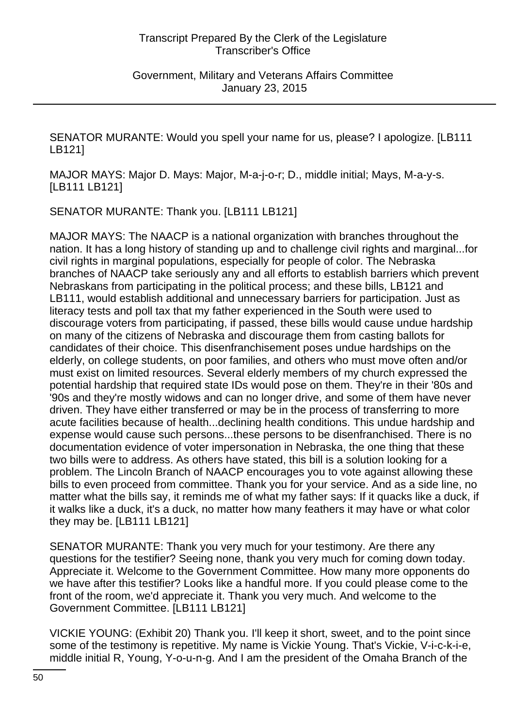Government, Military and Veterans Affairs Committee January 23, 2015

SENATOR MURANTE: Would you spell your name for us, please? I apologize. [LB111 LB121]

MAJOR MAYS: Major D. Mays: Major, M-a-j-o-r; D., middle initial; Mays, M-a-y-s. [LB111 LB121]

SENATOR MURANTE: Thank you. [LB111 LB121]

MAJOR MAYS: The NAACP is a national organization with branches throughout the nation. It has a long history of standing up and to challenge civil rights and marginal...for civil rights in marginal populations, especially for people of color. The Nebraska branches of NAACP take seriously any and all efforts to establish barriers which prevent Nebraskans from participating in the political process; and these bills, LB121 and LB111, would establish additional and unnecessary barriers for participation. Just as literacy tests and poll tax that my father experienced in the South were used to discourage voters from participating, if passed, these bills would cause undue hardship on many of the citizens of Nebraska and discourage them from casting ballots for candidates of their choice. This disenfranchisement poses undue hardships on the elderly, on college students, on poor families, and others who must move often and/or must exist on limited resources. Several elderly members of my church expressed the potential hardship that required state IDs would pose on them. They're in their '80s and '90s and they're mostly widows and can no longer drive, and some of them have never driven. They have either transferred or may be in the process of transferring to more acute facilities because of health...declining health conditions. This undue hardship and expense would cause such persons...these persons to be disenfranchised. There is no documentation evidence of voter impersonation in Nebraska, the one thing that these two bills were to address. As others have stated, this bill is a solution looking for a problem. The Lincoln Branch of NAACP encourages you to vote against allowing these bills to even proceed from committee. Thank you for your service. And as a side line, no matter what the bills say, it reminds me of what my father says: If it quacks like a duck, if it walks like a duck, it's a duck, no matter how many feathers it may have or what color they may be. [LB111 LB121]

SENATOR MURANTE: Thank you very much for your testimony. Are there any questions for the testifier? Seeing none, thank you very much for coming down today. Appreciate it. Welcome to the Government Committee. How many more opponents do we have after this testifier? Looks like a handful more. If you could please come to the front of the room, we'd appreciate it. Thank you very much. And welcome to the Government Committee. [LB111 LB121]

VICKIE YOUNG: (Exhibit 20) Thank you. I'll keep it short, sweet, and to the point since some of the testimony is repetitive. My name is Vickie Young. That's Vickie, V-i-c-k-i-e, middle initial R, Young, Y-o-u-n-g. And I am the president of the Omaha Branch of the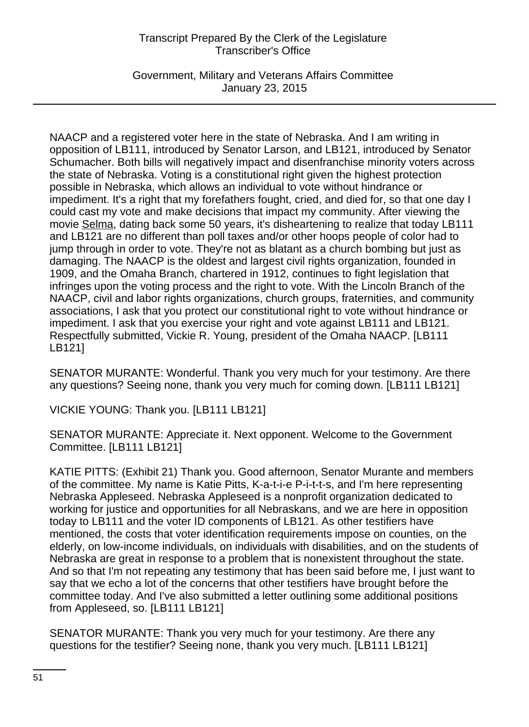Government, Military and Veterans Affairs Committee January 23, 2015

NAACP and a registered voter here in the state of Nebraska. And I am writing in opposition of LB111, introduced by Senator Larson, and LB121, introduced by Senator Schumacher. Both bills will negatively impact and disenfranchise minority voters across the state of Nebraska. Voting is a constitutional right given the highest protection possible in Nebraska, which allows an individual to vote without hindrance or impediment. It's a right that my forefathers fought, cried, and died for, so that one day I could cast my vote and make decisions that impact my community. After viewing the movie Selma, dating back some 50 years, it's disheartening to realize that today LB111 and LB121 are no different than poll taxes and/or other hoops people of color had to jump through in order to vote. They're not as blatant as a church bombing but just as damaging. The NAACP is the oldest and largest civil rights organization, founded in 1909, and the Omaha Branch, chartered in 1912, continues to fight legislation that infringes upon the voting process and the right to vote. With the Lincoln Branch of the NAACP, civil and labor rights organizations, church groups, fraternities, and community associations, I ask that you protect our constitutional right to vote without hindrance or impediment. I ask that you exercise your right and vote against LB111 and LB121. Respectfully submitted, Vickie R. Young, president of the Omaha NAACP. [LB111 LB121]

SENATOR MURANTE: Wonderful. Thank you very much for your testimony. Are there any questions? Seeing none, thank you very much for coming down. [LB111 LB121]

VICKIE YOUNG: Thank you. [LB111 LB121]

SENATOR MURANTE: Appreciate it. Next opponent. Welcome to the Government Committee. [LB111 LB121]

KATIE PITTS: (Exhibit 21) Thank you. Good afternoon, Senator Murante and members of the committee. My name is Katie Pitts, K-a-t-i-e P-i-t-t-s, and I'm here representing Nebraska Appleseed. Nebraska Appleseed is a nonprofit organization dedicated to working for justice and opportunities for all Nebraskans, and we are here in opposition today to LB111 and the voter ID components of LB121. As other testifiers have mentioned, the costs that voter identification requirements impose on counties, on the elderly, on low-income individuals, on individuals with disabilities, and on the students of Nebraska are great in response to a problem that is nonexistent throughout the state. And so that I'm not repeating any testimony that has been said before me, I just want to say that we echo a lot of the concerns that other testifiers have brought before the committee today. And I've also submitted a letter outlining some additional positions from Appleseed, so. [LB111 LB121]

SENATOR MURANTE: Thank you very much for your testimony. Are there any questions for the testifier? Seeing none, thank you very much. [LB111 LB121]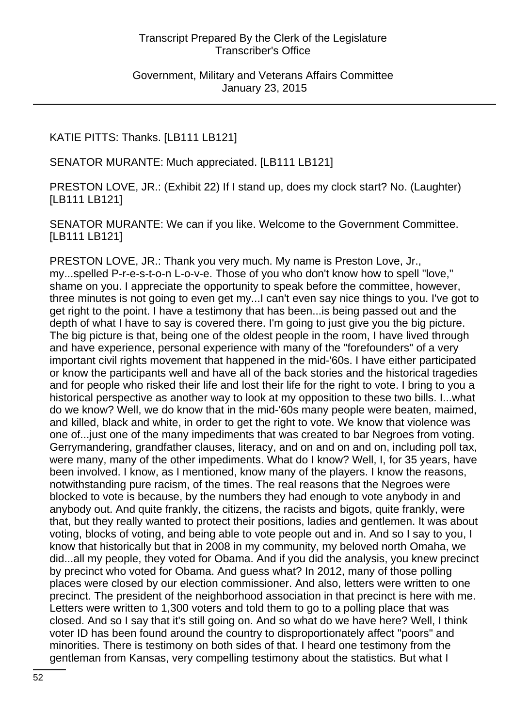Government, Military and Veterans Affairs Committee January 23, 2015

KATIE PITTS: Thanks. [LB111 LB121]

SENATOR MURANTE: Much appreciated. [LB111 LB121]

PRESTON LOVE, JR.: (Exhibit 22) If I stand up, does my clock start? No. (Laughter) [LB111 LB121]

SENATOR MURANTE: We can if you like. Welcome to the Government Committee. [LB111 LB121]

PRESTON LOVE, JR.: Thank you very much. My name is Preston Love, Jr., my...spelled P-r-e-s-t-o-n L-o-v-e. Those of you who don't know how to spell "love," shame on you. I appreciate the opportunity to speak before the committee, however, three minutes is not going to even get my...I can't even say nice things to you. I've got to get right to the point. I have a testimony that has been...is being passed out and the depth of what I have to say is covered there. I'm going to just give you the big picture. The big picture is that, being one of the oldest people in the room, I have lived through and have experience, personal experience with many of the "forefounders" of a very important civil rights movement that happened in the mid-'60s. I have either participated or know the participants well and have all of the back stories and the historical tragedies and for people who risked their life and lost their life for the right to vote. I bring to you a historical perspective as another way to look at my opposition to these two bills. I...what do we know? Well, we do know that in the mid-'60s many people were beaten, maimed, and killed, black and white, in order to get the right to vote. We know that violence was one of...just one of the many impediments that was created to bar Negroes from voting. Gerrymandering, grandfather clauses, literacy, and on and on and on, including poll tax, were many, many of the other impediments. What do I know? Well, I, for 35 years, have been involved. I know, as I mentioned, know many of the players. I know the reasons, notwithstanding pure racism, of the times. The real reasons that the Negroes were blocked to vote is because, by the numbers they had enough to vote anybody in and anybody out. And quite frankly, the citizens, the racists and bigots, quite frankly, were that, but they really wanted to protect their positions, ladies and gentlemen. It was about voting, blocks of voting, and being able to vote people out and in. And so I say to you, I know that historically but that in 2008 in my community, my beloved north Omaha, we did...all my people, they voted for Obama. And if you did the analysis, you knew precinct by precinct who voted for Obama. And guess what? In 2012, many of those polling places were closed by our election commissioner. And also, letters were written to one precinct. The president of the neighborhood association in that precinct is here with me. Letters were written to 1,300 voters and told them to go to a polling place that was closed. And so I say that it's still going on. And so what do we have here? Well, I think voter ID has been found around the country to disproportionately affect "poors" and minorities. There is testimony on both sides of that. I heard one testimony from the gentleman from Kansas, very compelling testimony about the statistics. But what I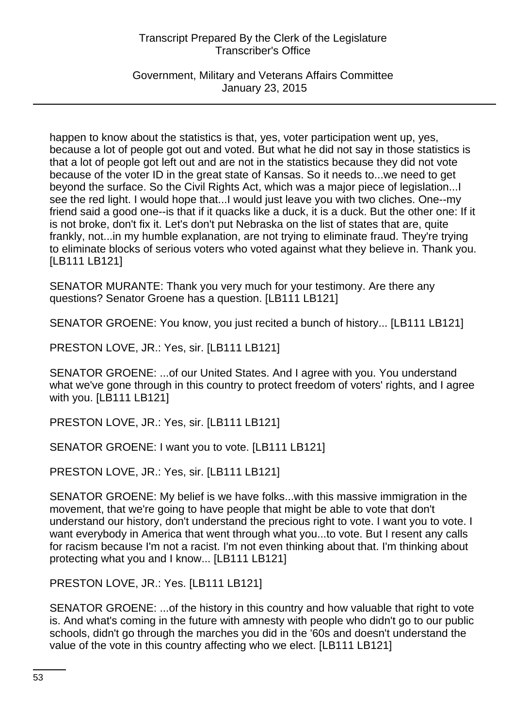Government, Military and Veterans Affairs Committee January 23, 2015

happen to know about the statistics is that, yes, voter participation went up, yes, because a lot of people got out and voted. But what he did not say in those statistics is that a lot of people got left out and are not in the statistics because they did not vote because of the voter ID in the great state of Kansas. So it needs to...we need to get beyond the surface. So the Civil Rights Act, which was a major piece of legislation...I see the red light. I would hope that...I would just leave you with two cliches. One--my friend said a good one--is that if it quacks like a duck, it is a duck. But the other one: If it is not broke, don't fix it. Let's don't put Nebraska on the list of states that are, quite frankly, not...in my humble explanation, are not trying to eliminate fraud. They're trying to eliminate blocks of serious voters who voted against what they believe in. Thank you. [LB111 LB121]

SENATOR MURANTE: Thank you very much for your testimony. Are there any questions? Senator Groene has a question. [LB111 LB121]

SENATOR GROENE: You know, you just recited a bunch of history... [LB111 LB121]

PRESTON LOVE, JR.: Yes, sir. [LB111 LB121]

SENATOR GROENE: ...of our United States. And I agree with you. You understand what we've gone through in this country to protect freedom of voters' rights, and I agree with you. [LB111 LB121]

PRESTON LOVE, JR.: Yes, sir. [LB111 LB121]

SENATOR GROENE: I want you to vote. [LB111 LB121]

PRESTON LOVE, JR.: Yes, sir. [LB111 LB121]

SENATOR GROENE: My belief is we have folks...with this massive immigration in the movement, that we're going to have people that might be able to vote that don't understand our history, don't understand the precious right to vote. I want you to vote. I want everybody in America that went through what you...to vote. But I resent any calls for racism because I'm not a racist. I'm not even thinking about that. I'm thinking about protecting what you and I know... [LB111 LB121]

PRESTON LOVE, JR.: Yes. [LB111 LB121]

SENATOR GROENE: ...of the history in this country and how valuable that right to vote is. And what's coming in the future with amnesty with people who didn't go to our public schools, didn't go through the marches you did in the '60s and doesn't understand the value of the vote in this country affecting who we elect. [LB111 LB121]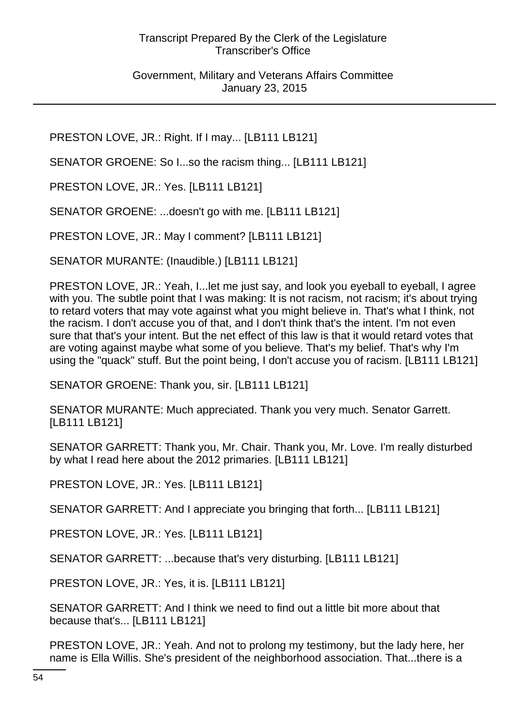Government, Military and Veterans Affairs Committee January 23, 2015

PRESTON LOVE, JR.: Right. If I may... [LB111 LB121]

SENATOR GROENE: So I...so the racism thing... [LB111 LB121]

PRESTON LOVE, JR.: Yes. [LB111 LB121]

SENATOR GROENE: ...doesn't go with me. [LB111 LB121]

PRESTON LOVE, JR.: May I comment? [LB111 LB121]

SENATOR MURANTE: (Inaudible.) [LB111 LB121]

PRESTON LOVE, JR.: Yeah, I...let me just say, and look you eyeball to eyeball, I agree with you. The subtle point that I was making: It is not racism, not racism; it's about trying to retard voters that may vote against what you might believe in. That's what I think, not the racism. I don't accuse you of that, and I don't think that's the intent. I'm not even sure that that's your intent. But the net effect of this law is that it would retard votes that are voting against maybe what some of you believe. That's my belief. That's why I'm using the "quack" stuff. But the point being, I don't accuse you of racism. [LB111 LB121]

SENATOR GROENE: Thank you, sir. [LB111 LB121]

SENATOR MURANTE: Much appreciated. Thank you very much. Senator Garrett. [LB111 LB121]

SENATOR GARRETT: Thank you, Mr. Chair. Thank you, Mr. Love. I'm really disturbed by what I read here about the 2012 primaries. [LB111 LB121]

PRESTON LOVE, JR.: Yes. [LB111 LB121]

SENATOR GARRETT: And I appreciate you bringing that forth... [LB111 LB121]

PRESTON LOVE, JR.: Yes. [LB111 LB121]

SENATOR GARRETT: ...because that's very disturbing. [LB111 LB121]

PRESTON LOVE, JR.: Yes, it is. [LB111 LB121]

SENATOR GARRETT: And I think we need to find out a little bit more about that because that's... [LB111 LB121]

PRESTON LOVE, JR.: Yeah. And not to prolong my testimony, but the lady here, her name is Ella Willis. She's president of the neighborhood association. That...there is a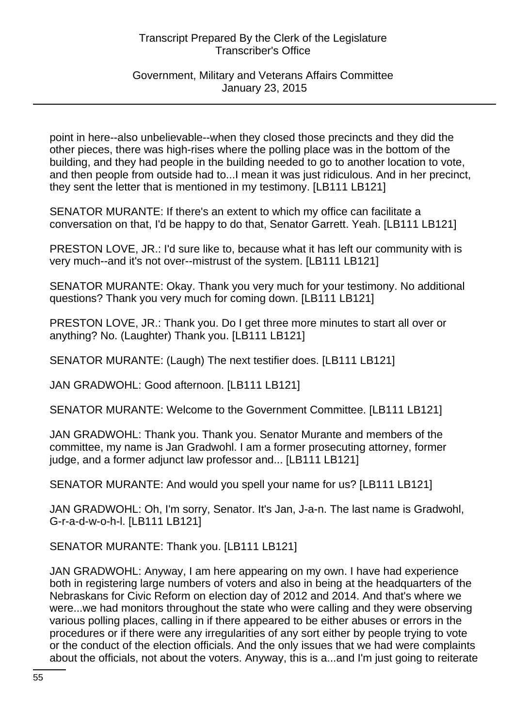### Government, Military and Veterans Affairs Committee January 23, 2015

point in here--also unbelievable--when they closed those precincts and they did the other pieces, there was high-rises where the polling place was in the bottom of the building, and they had people in the building needed to go to another location to vote, and then people from outside had to...I mean it was just ridiculous. And in her precinct, they sent the letter that is mentioned in my testimony. [LB111 LB121]

SENATOR MURANTE: If there's an extent to which my office can facilitate a conversation on that, I'd be happy to do that, Senator Garrett. Yeah. [LB111 LB121]

PRESTON LOVE, JR.: I'd sure like to, because what it has left our community with is very much--and it's not over--mistrust of the system. [LB111 LB121]

SENATOR MURANTE: Okay. Thank you very much for your testimony. No additional questions? Thank you very much for coming down. [LB111 LB121]

PRESTON LOVE, JR.: Thank you. Do I get three more minutes to start all over or anything? No. (Laughter) Thank you. [LB111 LB121]

SENATOR MURANTE: (Laugh) The next testifier does. [LB111 LB121]

JAN GRADWOHL: Good afternoon. [LB111 LB121]

SENATOR MURANTE: Welcome to the Government Committee. [LB111 LB121]

JAN GRADWOHL: Thank you. Thank you. Senator Murante and members of the committee, my name is Jan Gradwohl. I am a former prosecuting attorney, former judge, and a former adjunct law professor and... [LB111 LB121]

SENATOR MURANTE: And would you spell your name for us? [LB111 LB121]

JAN GRADWOHL: Oh, I'm sorry, Senator. It's Jan, J-a-n. The last name is Gradwohl, G-r-a-d-w-o-h-l. [LB111 LB121]

SENATOR MURANTE: Thank you. [LB111 LB121]

JAN GRADWOHL: Anyway, I am here appearing on my own. I have had experience both in registering large numbers of voters and also in being at the headquarters of the Nebraskans for Civic Reform on election day of 2012 and 2014. And that's where we were...we had monitors throughout the state who were calling and they were observing various polling places, calling in if there appeared to be either abuses or errors in the procedures or if there were any irregularities of any sort either by people trying to vote or the conduct of the election officials. And the only issues that we had were complaints about the officials, not about the voters. Anyway, this is a...and I'm just going to reiterate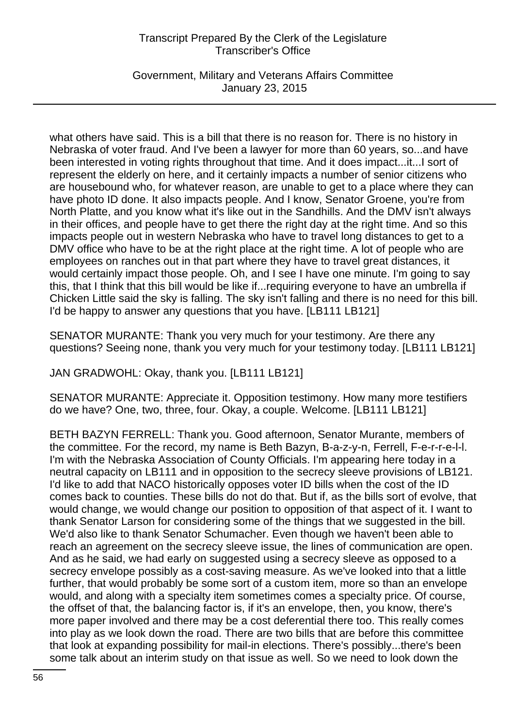Government, Military and Veterans Affairs Committee January 23, 2015

what others have said. This is a bill that there is no reason for. There is no history in Nebraska of voter fraud. And I've been a lawyer for more than 60 years, so...and have been interested in voting rights throughout that time. And it does impact...it...I sort of represent the elderly on here, and it certainly impacts a number of senior citizens who are housebound who, for whatever reason, are unable to get to a place where they can have photo ID done. It also impacts people. And I know, Senator Groene, you're from North Platte, and you know what it's like out in the Sandhills. And the DMV isn't always in their offices, and people have to get there the right day at the right time. And so this impacts people out in western Nebraska who have to travel long distances to get to a DMV office who have to be at the right place at the right time. A lot of people who are employees on ranches out in that part where they have to travel great distances, it would certainly impact those people. Oh, and I see I have one minute. I'm going to say this, that I think that this bill would be like if...requiring everyone to have an umbrella if Chicken Little said the sky is falling. The sky isn't falling and there is no need for this bill. I'd be happy to answer any questions that you have. [LB111 LB121]

SENATOR MURANTE: Thank you very much for your testimony. Are there any questions? Seeing none, thank you very much for your testimony today. [LB111 LB121]

JAN GRADWOHL: Okay, thank you. [LB111 LB121]

SENATOR MURANTE: Appreciate it. Opposition testimony. How many more testifiers do we have? One, two, three, four. Okay, a couple. Welcome. [LB111 LB121]

BETH BAZYN FERRELL: Thank you. Good afternoon, Senator Murante, members of the committee. For the record, my name is Beth Bazyn, B-a-z-y-n, Ferrell, F-e-r-r-e-l-l. I'm with the Nebraska Association of County Officials. I'm appearing here today in a neutral capacity on LB111 and in opposition to the secrecy sleeve provisions of LB121. I'd like to add that NACO historically opposes voter ID bills when the cost of the ID comes back to counties. These bills do not do that. But if, as the bills sort of evolve, that would change, we would change our position to opposition of that aspect of it. I want to thank Senator Larson for considering some of the things that we suggested in the bill. We'd also like to thank Senator Schumacher. Even though we haven't been able to reach an agreement on the secrecy sleeve issue, the lines of communication are open. And as he said, we had early on suggested using a secrecy sleeve as opposed to a secrecy envelope possibly as a cost-saving measure. As we've looked into that a little further, that would probably be some sort of a custom item, more so than an envelope would, and along with a specialty item sometimes comes a specialty price. Of course, the offset of that, the balancing factor is, if it's an envelope, then, you know, there's more paper involved and there may be a cost deferential there too. This really comes into play as we look down the road. There are two bills that are before this committee that look at expanding possibility for mail-in elections. There's possibly...there's been some talk about an interim study on that issue as well. So we need to look down the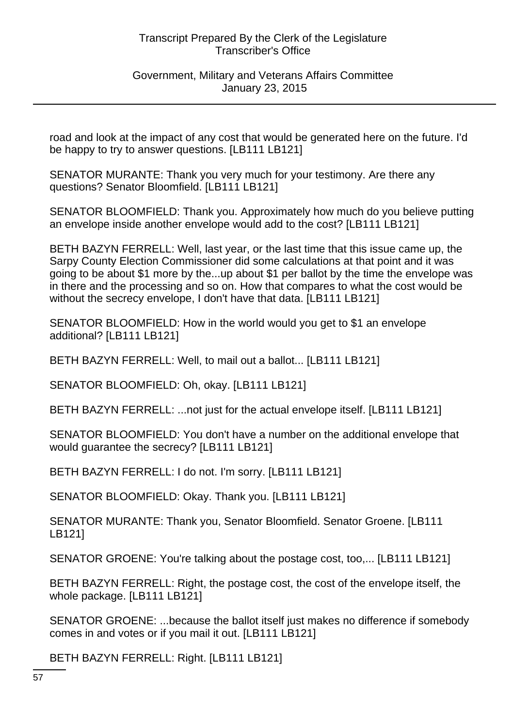Government, Military and Veterans Affairs Committee January 23, 2015

road and look at the impact of any cost that would be generated here on the future. I'd be happy to try to answer questions. [LB111 LB121]

SENATOR MURANTE: Thank you very much for your testimony. Are there any questions? Senator Bloomfield. [LB111 LB121]

SENATOR BLOOMFIELD: Thank you. Approximately how much do you believe putting an envelope inside another envelope would add to the cost? [LB111 LB121]

BETH BAZYN FERRELL: Well, last year, or the last time that this issue came up, the Sarpy County Election Commissioner did some calculations at that point and it was going to be about \$1 more by the...up about \$1 per ballot by the time the envelope was in there and the processing and so on. How that compares to what the cost would be without the secrecy envelope, I don't have that data. [LB111 LB121]

SENATOR BLOOMFIELD: How in the world would you get to \$1 an envelope additional? [LB111 LB121]

BETH BAZYN FERRELL: Well, to mail out a ballot... [LB111 LB121]

SENATOR BLOOMFIELD: Oh, okay. [LB111 LB121]

BETH BAZYN FERRELL: ...not just for the actual envelope itself. [LB111 LB121]

SENATOR BLOOMFIELD: You don't have a number on the additional envelope that would guarantee the secrecy? [LB111 LB121]

BETH BAZYN FERRELL: I do not. I'm sorry. [LB111 LB121]

SENATOR BLOOMFIELD: Okay. Thank you. [LB111 LB121]

SENATOR MURANTE: Thank you, Senator Bloomfield. Senator Groene. [LB111 LB121]

SENATOR GROENE: You're talking about the postage cost, too,... [LB111 LB121]

BETH BAZYN FERRELL: Right, the postage cost, the cost of the envelope itself, the whole package. [LB111 LB121]

SENATOR GROENE: ...because the ballot itself just makes no difference if somebody comes in and votes or if you mail it out. [LB111 LB121]

BETH BAZYN FERRELL: Right. [LB111 LB121]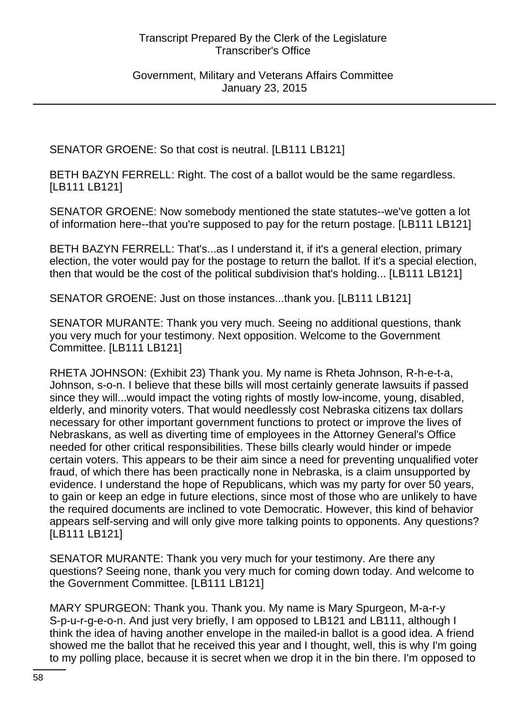Government, Military and Veterans Affairs Committee January 23, 2015

SENATOR GROENE: So that cost is neutral. [LB111 LB121]

BETH BAZYN FERRELL: Right. The cost of a ballot would be the same regardless. [LB111 LB121]

SENATOR GROENE: Now somebody mentioned the state statutes--we've gotten a lot of information here--that you're supposed to pay for the return postage. [LB111 LB121]

BETH BAZYN FERRELL: That's...as I understand it, if it's a general election, primary election, the voter would pay for the postage to return the ballot. If it's a special election, then that would be the cost of the political subdivision that's holding... [LB111 LB121]

SENATOR GROENE: Just on those instances...thank you. [LB111 LB121]

SENATOR MURANTE: Thank you very much. Seeing no additional questions, thank you very much for your testimony. Next opposition. Welcome to the Government Committee. [LB111 LB121]

RHETA JOHNSON: (Exhibit 23) Thank you. My name is Rheta Johnson, R-h-e-t-a, Johnson, s-o-n. I believe that these bills will most certainly generate lawsuits if passed since they will...would impact the voting rights of mostly low-income, young, disabled, elderly, and minority voters. That would needlessly cost Nebraska citizens tax dollars necessary for other important government functions to protect or improve the lives of Nebraskans, as well as diverting time of employees in the Attorney General's Office needed for other critical responsibilities. These bills clearly would hinder or impede certain voters. This appears to be their aim since a need for preventing unqualified voter fraud, of which there has been practically none in Nebraska, is a claim unsupported by evidence. I understand the hope of Republicans, which was my party for over 50 years, to gain or keep an edge in future elections, since most of those who are unlikely to have the required documents are inclined to vote Democratic. However, this kind of behavior appears self-serving and will only give more talking points to opponents. Any questions? [LB111 LB121]

SENATOR MURANTE: Thank you very much for your testimony. Are there any questions? Seeing none, thank you very much for coming down today. And welcome to the Government Committee. [LB111 LB121]

MARY SPURGEON: Thank you. Thank you. My name is Mary Spurgeon, M-a-r-y S-p-u-r-g-e-o-n. And just very briefly, I am opposed to LB121 and LB111, although I think the idea of having another envelope in the mailed-in ballot is a good idea. A friend showed me the ballot that he received this year and I thought, well, this is why I'm going to my polling place, because it is secret when we drop it in the bin there. I'm opposed to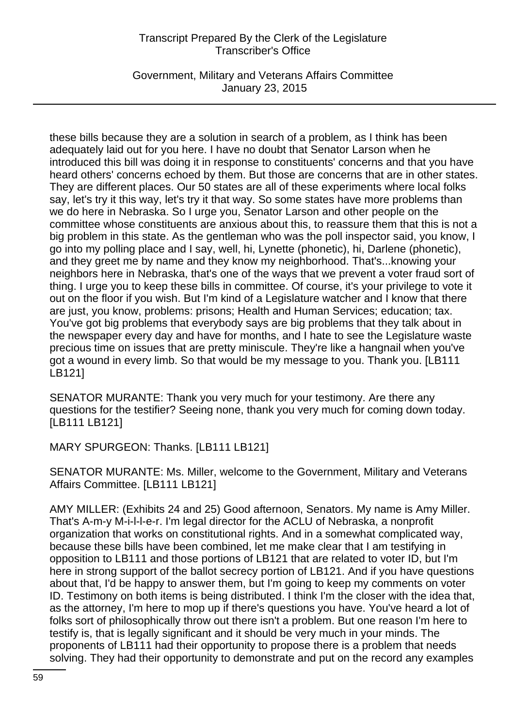Government, Military and Veterans Affairs Committee January 23, 2015

these bills because they are a solution in search of a problem, as I think has been adequately laid out for you here. I have no doubt that Senator Larson when he introduced this bill was doing it in response to constituents' concerns and that you have heard others' concerns echoed by them. But those are concerns that are in other states. They are different places. Our 50 states are all of these experiments where local folks say, let's try it this way, let's try it that way. So some states have more problems than we do here in Nebraska. So I urge you, Senator Larson and other people on the committee whose constituents are anxious about this, to reassure them that this is not a big problem in this state. As the gentleman who was the poll inspector said, you know, I go into my polling place and I say, well, hi, Lynette (phonetic), hi, Darlene (phonetic), and they greet me by name and they know my neighborhood. That's...knowing your neighbors here in Nebraska, that's one of the ways that we prevent a voter fraud sort of thing. I urge you to keep these bills in committee. Of course, it's your privilege to vote it out on the floor if you wish. But I'm kind of a Legislature watcher and I know that there are just, you know, problems: prisons; Health and Human Services; education; tax. You've got big problems that everybody says are big problems that they talk about in the newspaper every day and have for months, and I hate to see the Legislature waste precious time on issues that are pretty miniscule. They're like a hangnail when you've got a wound in every limb. So that would be my message to you. Thank you. [LB111 LB121]

SENATOR MURANTE: Thank you very much for your testimony. Are there any questions for the testifier? Seeing none, thank you very much for coming down today. [LB111 LB121]

MARY SPURGEON: Thanks. [LB111 LB121]

SENATOR MURANTE: Ms. Miller, welcome to the Government, Military and Veterans Affairs Committee. [LB111 LB121]

AMY MILLER: (Exhibits 24 and 25) Good afternoon, Senators. My name is Amy Miller. That's A-m-y M-i-l-l-e-r. I'm legal director for the ACLU of Nebraska, a nonprofit organization that works on constitutional rights. And in a somewhat complicated way, because these bills have been combined, let me make clear that I am testifying in opposition to LB111 and those portions of LB121 that are related to voter ID, but I'm here in strong support of the ballot secrecy portion of LB121. And if you have questions about that, I'd be happy to answer them, but I'm going to keep my comments on voter ID. Testimony on both items is being distributed. I think I'm the closer with the idea that, as the attorney, I'm here to mop up if there's questions you have. You've heard a lot of folks sort of philosophically throw out there isn't a problem. But one reason I'm here to testify is, that is legally significant and it should be very much in your minds. The proponents of LB111 had their opportunity to propose there is a problem that needs solving. They had their opportunity to demonstrate and put on the record any examples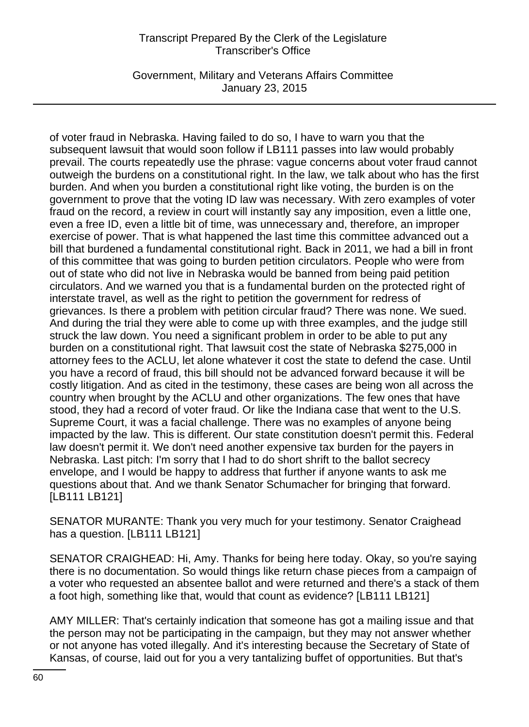Government, Military and Veterans Affairs Committee January 23, 2015

of voter fraud in Nebraska. Having failed to do so, I have to warn you that the subsequent lawsuit that would soon follow if LB111 passes into law would probably prevail. The courts repeatedly use the phrase: vague concerns about voter fraud cannot outweigh the burdens on a constitutional right. In the law, we talk about who has the first burden. And when you burden a constitutional right like voting, the burden is on the government to prove that the voting ID law was necessary. With zero examples of voter fraud on the record, a review in court will instantly say any imposition, even a little one, even a free ID, even a little bit of time, was unnecessary and, therefore, an improper exercise of power. That is what happened the last time this committee advanced out a bill that burdened a fundamental constitutional right. Back in 2011, we had a bill in front of this committee that was going to burden petition circulators. People who were from out of state who did not live in Nebraska would be banned from being paid petition circulators. And we warned you that is a fundamental burden on the protected right of interstate travel, as well as the right to petition the government for redress of grievances. Is there a problem with petition circular fraud? There was none. We sued. And during the trial they were able to come up with three examples, and the judge still struck the law down. You need a significant problem in order to be able to put any burden on a constitutional right. That lawsuit cost the state of Nebraska \$275,000 in attorney fees to the ACLU, let alone whatever it cost the state to defend the case. Until you have a record of fraud, this bill should not be advanced forward because it will be costly litigation. And as cited in the testimony, these cases are being won all across the country when brought by the ACLU and other organizations. The few ones that have stood, they had a record of voter fraud. Or like the Indiana case that went to the U.S. Supreme Court, it was a facial challenge. There was no examples of anyone being impacted by the law. This is different. Our state constitution doesn't permit this. Federal law doesn't permit it. We don't need another expensive tax burden for the payers in Nebraska. Last pitch: I'm sorry that I had to do short shrift to the ballot secrecy envelope, and I would be happy to address that further if anyone wants to ask me questions about that. And we thank Senator Schumacher for bringing that forward. [LB111 LB121]

SENATOR MURANTE: Thank you very much for your testimony. Senator Craighead has a question. [LB111 LB121]

SENATOR CRAIGHEAD: Hi, Amy. Thanks for being here today. Okay, so you're saying there is no documentation. So would things like return chase pieces from a campaign of a voter who requested an absentee ballot and were returned and there's a stack of them a foot high, something like that, would that count as evidence? [LB111 LB121]

AMY MILLER: That's certainly indication that someone has got a mailing issue and that the person may not be participating in the campaign, but they may not answer whether or not anyone has voted illegally. And it's interesting because the Secretary of State of Kansas, of course, laid out for you a very tantalizing buffet of opportunities. But that's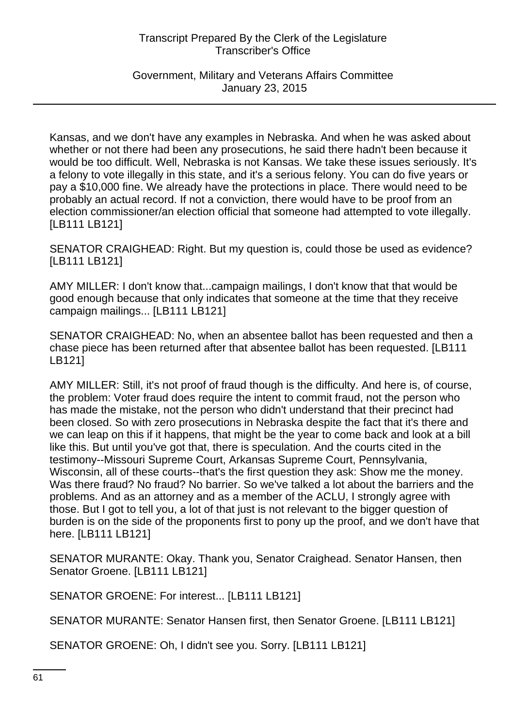Government, Military and Veterans Affairs Committee January 23, 2015

Kansas, and we don't have any examples in Nebraska. And when he was asked about whether or not there had been any prosecutions, he said there hadn't been because it would be too difficult. Well, Nebraska is not Kansas. We take these issues seriously. It's a felony to vote illegally in this state, and it's a serious felony. You can do five years or pay a \$10,000 fine. We already have the protections in place. There would need to be probably an actual record. If not a conviction, there would have to be proof from an election commissioner/an election official that someone had attempted to vote illegally. [LB111 LB121]

SENATOR CRAIGHEAD: Right. But my question is, could those be used as evidence? [LB111 LB121]

AMY MILLER: I don't know that...campaign mailings, I don't know that that would be good enough because that only indicates that someone at the time that they receive campaign mailings... [LB111 LB121]

SENATOR CRAIGHEAD: No, when an absentee ballot has been requested and then a chase piece has been returned after that absentee ballot has been requested. [LB111 LB121]

AMY MILLER: Still, it's not proof of fraud though is the difficulty. And here is, of course, the problem: Voter fraud does require the intent to commit fraud, not the person who has made the mistake, not the person who didn't understand that their precinct had been closed. So with zero prosecutions in Nebraska despite the fact that it's there and we can leap on this if it happens, that might be the year to come back and look at a bill like this. But until you've got that, there is speculation. And the courts cited in the testimony--Missouri Supreme Court, Arkansas Supreme Court, Pennsylvania, Wisconsin, all of these courts--that's the first question they ask: Show me the money. Was there fraud? No fraud? No barrier. So we've talked a lot about the barriers and the problems. And as an attorney and as a member of the ACLU, I strongly agree with those. But I got to tell you, a lot of that just is not relevant to the bigger question of burden is on the side of the proponents first to pony up the proof, and we don't have that here. [LB111 LB121]

SENATOR MURANTE: Okay. Thank you, Senator Craighead. Senator Hansen, then Senator Groene. [LB111 LB121]

SENATOR GROENE: For interest... [LB111 LB121]

SENATOR MURANTE: Senator Hansen first, then Senator Groene. [LB111 LB121]

SENATOR GROENE: Oh, I didn't see you. Sorry. [LB111 LB121]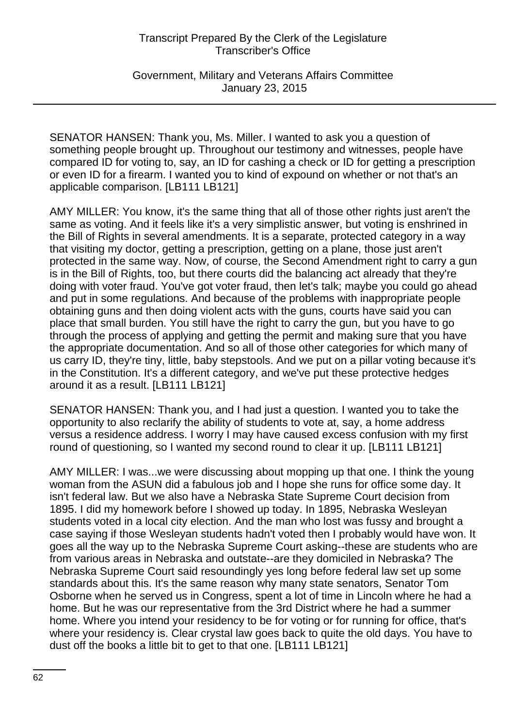Government, Military and Veterans Affairs Committee January 23, 2015

SENATOR HANSEN: Thank you, Ms. Miller. I wanted to ask you a question of something people brought up. Throughout our testimony and witnesses, people have compared ID for voting to, say, an ID for cashing a check or ID for getting a prescription or even ID for a firearm. I wanted you to kind of expound on whether or not that's an applicable comparison. [LB111 LB121]

AMY MILLER: You know, it's the same thing that all of those other rights just aren't the same as voting. And it feels like it's a very simplistic answer, but voting is enshrined in the Bill of Rights in several amendments. It is a separate, protected category in a way that visiting my doctor, getting a prescription, getting on a plane, those just aren't protected in the same way. Now, of course, the Second Amendment right to carry a gun is in the Bill of Rights, too, but there courts did the balancing act already that they're doing with voter fraud. You've got voter fraud, then let's talk; maybe you could go ahead and put in some regulations. And because of the problems with inappropriate people obtaining guns and then doing violent acts with the guns, courts have said you can place that small burden. You still have the right to carry the gun, but you have to go through the process of applying and getting the permit and making sure that you have the appropriate documentation. And so all of those other categories for which many of us carry ID, they're tiny, little, baby stepstools. And we put on a pillar voting because it's in the Constitution. It's a different category, and we've put these protective hedges around it as a result. [LB111 LB121]

SENATOR HANSEN: Thank you, and I had just a question. I wanted you to take the opportunity to also reclarify the ability of students to vote at, say, a home address versus a residence address. I worry I may have caused excess confusion with my first round of questioning, so I wanted my second round to clear it up. [LB111 LB121]

AMY MILLER: I was...we were discussing about mopping up that one. I think the young woman from the ASUN did a fabulous job and I hope she runs for office some day. It isn't federal law. But we also have a Nebraska State Supreme Court decision from 1895. I did my homework before I showed up today. In 1895, Nebraska Wesleyan students voted in a local city election. And the man who lost was fussy and brought a case saying if those Wesleyan students hadn't voted then I probably would have won. It goes all the way up to the Nebraska Supreme Court asking--these are students who are from various areas in Nebraska and outstate--are they domiciled in Nebraska? The Nebraska Supreme Court said resoundingly yes long before federal law set up some standards about this. It's the same reason why many state senators, Senator Tom Osborne when he served us in Congress, spent a lot of time in Lincoln where he had a home. But he was our representative from the 3rd District where he had a summer home. Where you intend your residency to be for voting or for running for office, that's where your residency is. Clear crystal law goes back to quite the old days. You have to dust off the books a little bit to get to that one. [LB111 LB121]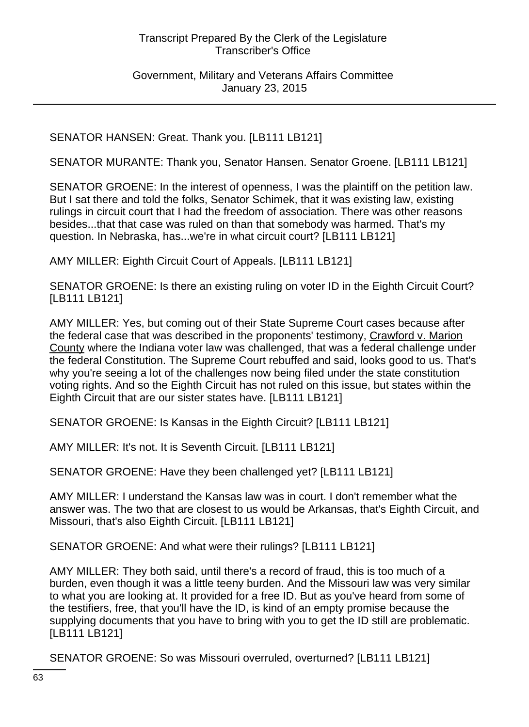Government, Military and Veterans Affairs Committee January 23, 2015

SENATOR HANSEN: Great. Thank you. [LB111 LB121]

SENATOR MURANTE: Thank you, Senator Hansen. Senator Groene. [LB111 LB121]

SENATOR GROENE: In the interest of openness, I was the plaintiff on the petition law. But I sat there and told the folks, Senator Schimek, that it was existing law, existing rulings in circuit court that I had the freedom of association. There was other reasons besides...that that case was ruled on than that somebody was harmed. That's my question. In Nebraska, has...we're in what circuit court? [LB111 LB121]

AMY MILLER: Eighth Circuit Court of Appeals. [LB111 LB121]

SENATOR GROENE: Is there an existing ruling on voter ID in the Eighth Circuit Court? [LB111 LB121]

AMY MILLER: Yes, but coming out of their State Supreme Court cases because after the federal case that was described in the proponents' testimony, Crawford v. Marion County where the Indiana voter law was challenged, that was a federal challenge under the federal Constitution. The Supreme Court rebuffed and said, looks good to us. That's why you're seeing a lot of the challenges now being filed under the state constitution voting rights. And so the Eighth Circuit has not ruled on this issue, but states within the Eighth Circuit that are our sister states have. [LB111 LB121]

SENATOR GROENE: Is Kansas in the Eighth Circuit? [LB111 LB121]

AMY MILLER: It's not. It is Seventh Circuit. [LB111 LB121]

SENATOR GROENE: Have they been challenged yet? [LB111 LB121]

AMY MILLER: I understand the Kansas law was in court. I don't remember what the answer was. The two that are closest to us would be Arkansas, that's Eighth Circuit, and Missouri, that's also Eighth Circuit. [LB111 LB121]

SENATOR GROENE: And what were their rulings? [LB111 LB121]

AMY MILLER: They both said, until there's a record of fraud, this is too much of a burden, even though it was a little teeny burden. And the Missouri law was very similar to what you are looking at. It provided for a free ID. But as you've heard from some of the testifiers, free, that you'll have the ID, is kind of an empty promise because the supplying documents that you have to bring with you to get the ID still are problematic. [LB111 LB121]

SENATOR GROENE: So was Missouri overruled, overturned? [LB111 LB121]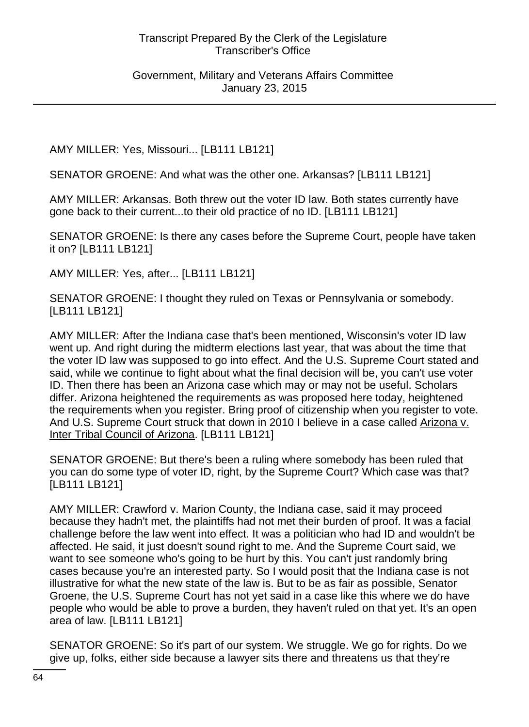Government, Military and Veterans Affairs Committee January 23, 2015

AMY MILLER: Yes, Missouri... [LB111 LB121]

SENATOR GROENE: And what was the other one. Arkansas? [LB111 LB121]

AMY MILLER: Arkansas. Both threw out the voter ID law. Both states currently have gone back to their current...to their old practice of no ID. [LB111 LB121]

SENATOR GROENE: Is there any cases before the Supreme Court, people have taken it on? [LB111 LB121]

AMY MILLER: Yes, after... [LB111 LB121]

SENATOR GROENE: I thought they ruled on Texas or Pennsylvania or somebody. [LB111 LB121]

AMY MILLER: After the Indiana case that's been mentioned, Wisconsin's voter ID law went up. And right during the midterm elections last year, that was about the time that the voter ID law was supposed to go into effect. And the U.S. Supreme Court stated and said, while we continue to fight about what the final decision will be, you can't use voter ID. Then there has been an Arizona case which may or may not be useful. Scholars differ. Arizona heightened the requirements as was proposed here today, heightened the requirements when you register. Bring proof of citizenship when you register to vote. And U.S. Supreme Court struck that down in 2010 I believe in a case called Arizona v. Inter Tribal Council of Arizona. [LB111 LB121]

SENATOR GROENE: But there's been a ruling where somebody has been ruled that you can do some type of voter ID, right, by the Supreme Court? Which case was that? [LB111 LB121]

AMY MILLER: Crawford v. Marion County, the Indiana case, said it may proceed because they hadn't met, the plaintiffs had not met their burden of proof. It was a facial challenge before the law went into effect. It was a politician who had ID and wouldn't be affected. He said, it just doesn't sound right to me. And the Supreme Court said, we want to see someone who's going to be hurt by this. You can't just randomly bring cases because you're an interested party. So I would posit that the Indiana case is not illustrative for what the new state of the law is. But to be as fair as possible, Senator Groene, the U.S. Supreme Court has not yet said in a case like this where we do have people who would be able to prove a burden, they haven't ruled on that yet. It's an open area of law. [LB111 LB121]

SENATOR GROENE: So it's part of our system. We struggle. We go for rights. Do we give up, folks, either side because a lawyer sits there and threatens us that they're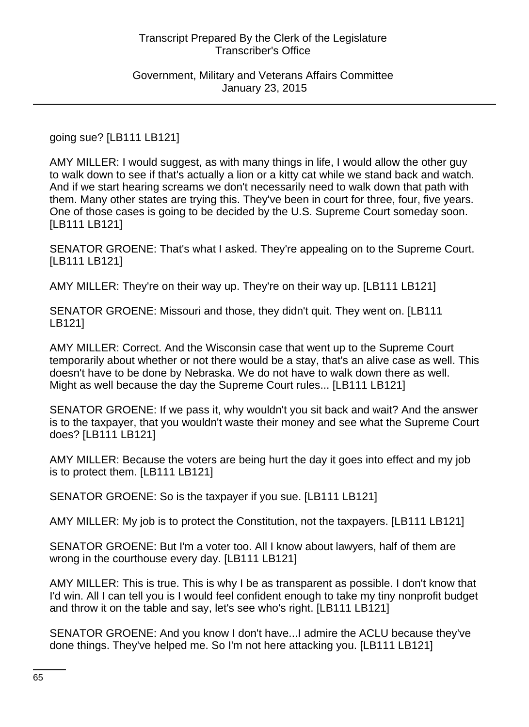Government, Military and Veterans Affairs Committee January 23, 2015

going sue? [LB111 LB121]

AMY MILLER: I would suggest, as with many things in life, I would allow the other guy to walk down to see if that's actually a lion or a kitty cat while we stand back and watch. And if we start hearing screams we don't necessarily need to walk down that path with them. Many other states are trying this. They've been in court for three, four, five years. One of those cases is going to be decided by the U.S. Supreme Court someday soon. [LB111 LB121]

SENATOR GROENE: That's what I asked. They're appealing on to the Supreme Court. [LB111 LB121]

AMY MILLER: They're on their way up. They're on their way up. [LB111 LB121]

SENATOR GROENE: Missouri and those, they didn't quit. They went on. [LB111 LB121]

AMY MILLER: Correct. And the Wisconsin case that went up to the Supreme Court temporarily about whether or not there would be a stay, that's an alive case as well. This doesn't have to be done by Nebraska. We do not have to walk down there as well. Might as well because the day the Supreme Court rules... [LB111 LB121]

SENATOR GROENE: If we pass it, why wouldn't you sit back and wait? And the answer is to the taxpayer, that you wouldn't waste their money and see what the Supreme Court does? [LB111 LB121]

AMY MILLER: Because the voters are being hurt the day it goes into effect and my job is to protect them. [LB111 LB121]

SENATOR GROENE: So is the taxpayer if you sue. [LB111 LB121]

AMY MILLER: My job is to protect the Constitution, not the taxpayers. [LB111 LB121]

SENATOR GROENE: But I'm a voter too. All I know about lawyers, half of them are wrong in the courthouse every day. [LB111 LB121]

AMY MILLER: This is true. This is why I be as transparent as possible. I don't know that I'd win. All I can tell you is I would feel confident enough to take my tiny nonprofit budget and throw it on the table and say, let's see who's right. [LB111 LB121]

SENATOR GROENE: And you know I don't have...I admire the ACLU because they've done things. They've helped me. So I'm not here attacking you. [LB111 LB121]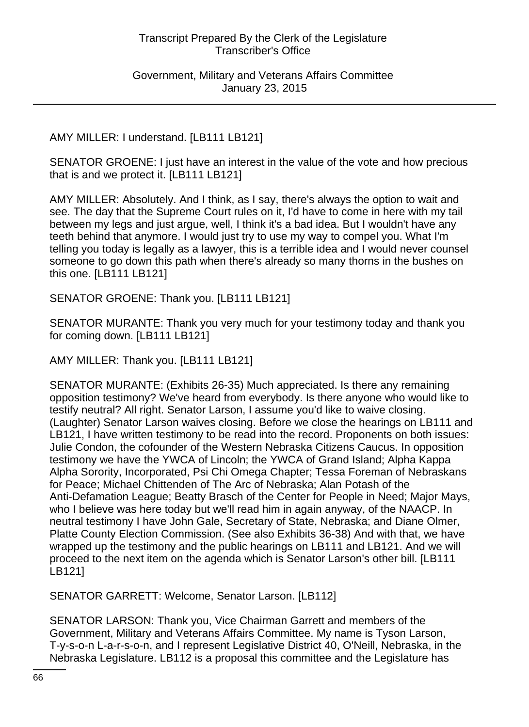Government, Military and Veterans Affairs Committee January 23, 2015

AMY MILLER: I understand. [LB111 LB121]

SENATOR GROENE: I just have an interest in the value of the vote and how precious that is and we protect it. [LB111 LB121]

AMY MILLER: Absolutely. And I think, as I say, there's always the option to wait and see. The day that the Supreme Court rules on it, I'd have to come in here with my tail between my legs and just argue, well, I think it's a bad idea. But I wouldn't have any teeth behind that anymore. I would just try to use my way to compel you. What I'm telling you today is legally as a lawyer, this is a terrible idea and I would never counsel someone to go down this path when there's already so many thorns in the bushes on this one. [LB111 LB121]

SENATOR GROENE: Thank you. [LB111 LB121]

SENATOR MURANTE: Thank you very much for your testimony today and thank you for coming down. [LB111 LB121]

AMY MILLER: Thank you. [LB111 LB121]

SENATOR MURANTE: (Exhibits 26-35) Much appreciated. Is there any remaining opposition testimony? We've heard from everybody. Is there anyone who would like to testify neutral? All right. Senator Larson, I assume you'd like to waive closing. (Laughter) Senator Larson waives closing. Before we close the hearings on LB111 and LB121, I have written testimony to be read into the record. Proponents on both issues: Julie Condon, the cofounder of the Western Nebraska Citizens Caucus. In opposition testimony we have the YWCA of Lincoln; the YWCA of Grand Island; Alpha Kappa Alpha Sorority, Incorporated, Psi Chi Omega Chapter; Tessa Foreman of Nebraskans for Peace; Michael Chittenden of The Arc of Nebraska; Alan Potash of the Anti-Defamation League; Beatty Brasch of the Center for People in Need; Major Mays, who I believe was here today but we'll read him in again anyway, of the NAACP. In neutral testimony I have John Gale, Secretary of State, Nebraska; and Diane Olmer, Platte County Election Commission. (See also Exhibits 36-38) And with that, we have wrapped up the testimony and the public hearings on LB111 and LB121. And we will proceed to the next item on the agenda which is Senator Larson's other bill. [LB111 LB121]

SENATOR GARRETT: Welcome, Senator Larson. [LB112]

SENATOR LARSON: Thank you, Vice Chairman Garrett and members of the Government, Military and Veterans Affairs Committee. My name is Tyson Larson, T-y-s-o-n L-a-r-s-o-n, and I represent Legislative District 40, O'Neill, Nebraska, in the Nebraska Legislature. LB112 is a proposal this committee and the Legislature has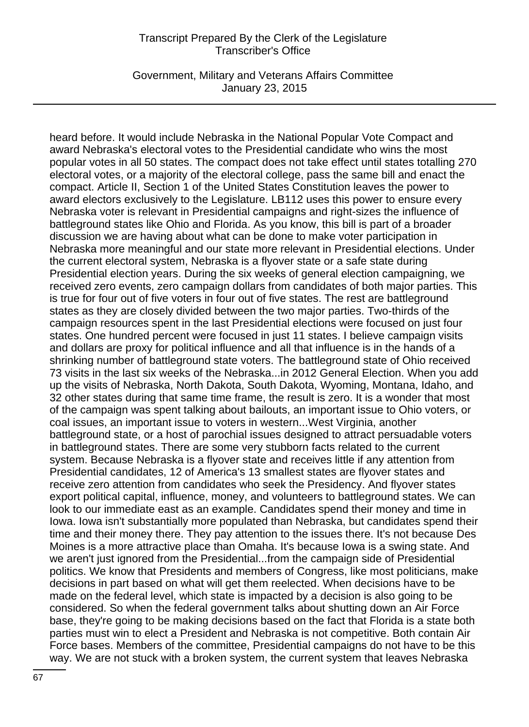Government, Military and Veterans Affairs Committee January 23, 2015

heard before. It would include Nebraska in the National Popular Vote Compact and award Nebraska's electoral votes to the Presidential candidate who wins the most popular votes in all 50 states. The compact does not take effect until states totalling 270 electoral votes, or a majority of the electoral college, pass the same bill and enact the compact. Article II, Section 1 of the United States Constitution leaves the power to award electors exclusively to the Legislature. LB112 uses this power to ensure every Nebraska voter is relevant in Presidential campaigns and right-sizes the influence of battleground states like Ohio and Florida. As you know, this bill is part of a broader discussion we are having about what can be done to make voter participation in Nebraska more meaningful and our state more relevant in Presidential elections. Under the current electoral system, Nebraska is a flyover state or a safe state during Presidential election years. During the six weeks of general election campaigning, we received zero events, zero campaign dollars from candidates of both major parties. This is true for four out of five voters in four out of five states. The rest are battleground states as they are closely divided between the two major parties. Two-thirds of the campaign resources spent in the last Presidential elections were focused on just four states. One hundred percent were focused in just 11 states. I believe campaign visits and dollars are proxy for political influence and all that influence is in the hands of a shrinking number of battleground state voters. The battleground state of Ohio received 73 visits in the last six weeks of the Nebraska...in 2012 General Election. When you add up the visits of Nebraska, North Dakota, South Dakota, Wyoming, Montana, Idaho, and 32 other states during that same time frame, the result is zero. It is a wonder that most of the campaign was spent talking about bailouts, an important issue to Ohio voters, or coal issues, an important issue to voters in western...West Virginia, another battleground state, or a host of parochial issues designed to attract persuadable voters in battleground states. There are some very stubborn facts related to the current system. Because Nebraska is a flyover state and receives little if any attention from Presidential candidates, 12 of America's 13 smallest states are flyover states and receive zero attention from candidates who seek the Presidency. And flyover states export political capital, influence, money, and volunteers to battleground states. We can look to our immediate east as an example. Candidates spend their money and time in Iowa. Iowa isn't substantially more populated than Nebraska, but candidates spend their time and their money there. They pay attention to the issues there. It's not because Des Moines is a more attractive place than Omaha. It's because Iowa is a swing state. And we aren't just ignored from the Presidential...from the campaign side of Presidential politics. We know that Presidents and members of Congress, like most politicians, make decisions in part based on what will get them reelected. When decisions have to be made on the federal level, which state is impacted by a decision is also going to be considered. So when the federal government talks about shutting down an Air Force base, they're going to be making decisions based on the fact that Florida is a state both parties must win to elect a President and Nebraska is not competitive. Both contain Air Force bases. Members of the committee, Presidential campaigns do not have to be this way. We are not stuck with a broken system, the current system that leaves Nebraska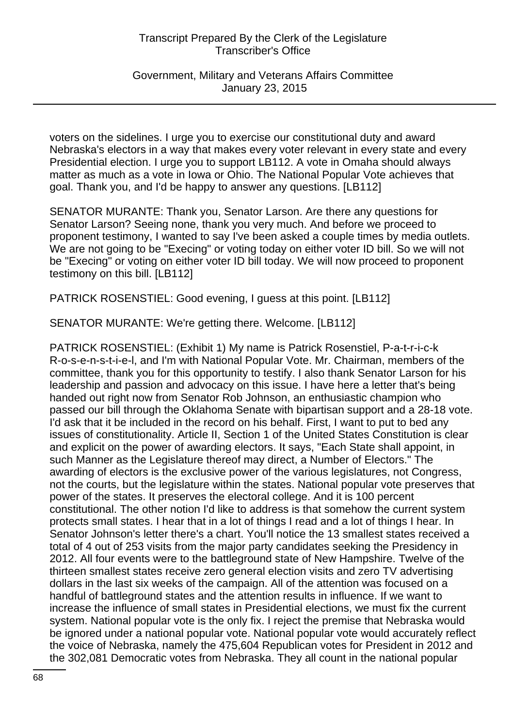Government, Military and Veterans Affairs Committee January 23, 2015

voters on the sidelines. I urge you to exercise our constitutional duty and award Nebraska's electors in a way that makes every voter relevant in every state and every Presidential election. I urge you to support LB112. A vote in Omaha should always matter as much as a vote in Iowa or Ohio. The National Popular Vote achieves that goal. Thank you, and I'd be happy to answer any questions. [LB112]

SENATOR MURANTE: Thank you, Senator Larson. Are there any questions for Senator Larson? Seeing none, thank you very much. And before we proceed to proponent testimony, I wanted to say I've been asked a couple times by media outlets. We are not going to be "Execing" or voting today on either voter ID bill. So we will not be "Execing" or voting on either voter ID bill today. We will now proceed to proponent testimony on this bill. [LB112]

PATRICK ROSENSTIEL: Good evening, I guess at this point. [LB112]

SENATOR MURANTE: We're getting there. Welcome. [LB112]

PATRICK ROSENSTIEL: (Exhibit 1) My name is Patrick Rosenstiel, P-a-t-r-i-c-k R-o-s-e-n-s-t-i-e-l, and I'm with National Popular Vote. Mr. Chairman, members of the committee, thank you for this opportunity to testify. I also thank Senator Larson for his leadership and passion and advocacy on this issue. I have here a letter that's being handed out right now from Senator Rob Johnson, an enthusiastic champion who passed our bill through the Oklahoma Senate with bipartisan support and a 28-18 vote. I'd ask that it be included in the record on his behalf. First, I want to put to bed any issues of constitutionality. Article II, Section 1 of the United States Constitution is clear and explicit on the power of awarding electors. It says, "Each State shall appoint, in such Manner as the Legislature thereof may direct, a Number of Electors." The awarding of electors is the exclusive power of the various legislatures, not Congress, not the courts, but the legislature within the states. National popular vote preserves that power of the states. It preserves the electoral college. And it is 100 percent constitutional. The other notion I'd like to address is that somehow the current system protects small states. I hear that in a lot of things I read and a lot of things I hear. In Senator Johnson's letter there's a chart. You'll notice the 13 smallest states received a total of 4 out of 253 visits from the major party candidates seeking the Presidency in 2012. All four events were to the battleground state of New Hampshire. Twelve of the thirteen smallest states receive zero general election visits and zero TV advertising dollars in the last six weeks of the campaign. All of the attention was focused on a handful of battleground states and the attention results in influence. If we want to increase the influence of small states in Presidential elections, we must fix the current system. National popular vote is the only fix. I reject the premise that Nebraska would be ignored under a national popular vote. National popular vote would accurately reflect the voice of Nebraska, namely the 475,604 Republican votes for President in 2012 and the 302,081 Democratic votes from Nebraska. They all count in the national popular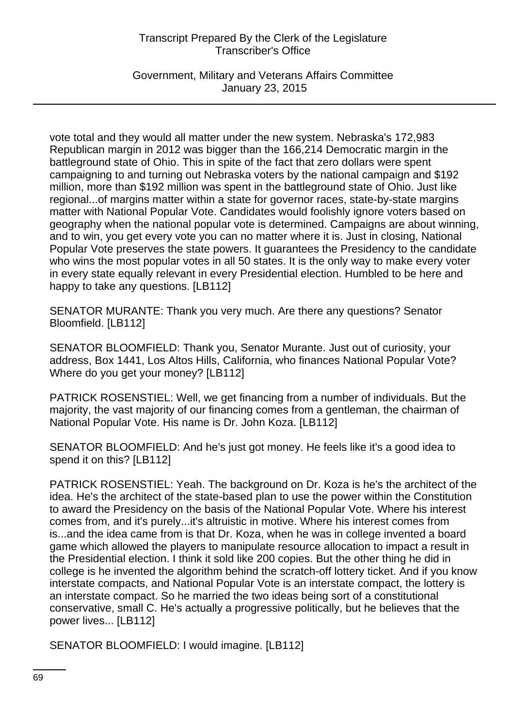Government, Military and Veterans Affairs Committee January 23, 2015

vote total and they would all matter under the new system. Nebraska's 172,983 Republican margin in 2012 was bigger than the 166,214 Democratic margin in the battleground state of Ohio. This in spite of the fact that zero dollars were spent campaigning to and turning out Nebraska voters by the national campaign and \$192 million, more than \$192 million was spent in the battleground state of Ohio. Just like regional...of margins matter within a state for governor races, state-by-state margins matter with National Popular Vote. Candidates would foolishly ignore voters based on geography when the national popular vote is determined. Campaigns are about winning, and to win, you get every vote you can no matter where it is. Just in closing, National Popular Vote preserves the state powers. It guarantees the Presidency to the candidate who wins the most popular votes in all 50 states. It is the only way to make every voter in every state equally relevant in every Presidential election. Humbled to be here and happy to take any questions. [LB112]

SENATOR MURANTE: Thank you very much. Are there any questions? Senator Bloomfield. [LB112]

SENATOR BLOOMFIELD: Thank you, Senator Murante. Just out of curiosity, your address, Box 1441, Los Altos Hills, California, who finances National Popular Vote? Where do you get your money? [LB112]

PATRICK ROSENSTIEL: Well, we get financing from a number of individuals. But the majority, the vast majority of our financing comes from a gentleman, the chairman of National Popular Vote. His name is Dr. John Koza. [LB112]

SENATOR BLOOMFIELD: And he's just got money. He feels like it's a good idea to spend it on this? [LB112]

PATRICK ROSENSTIEL: Yeah. The background on Dr. Koza is he's the architect of the idea. He's the architect of the state-based plan to use the power within the Constitution to award the Presidency on the basis of the National Popular Vote. Where his interest comes from, and it's purely...it's altruistic in motive. Where his interest comes from is...and the idea came from is that Dr. Koza, when he was in college invented a board game which allowed the players to manipulate resource allocation to impact a result in the Presidential election. I think it sold like 200 copies. But the other thing he did in college is he invented the algorithm behind the scratch-off lottery ticket. And if you know interstate compacts, and National Popular Vote is an interstate compact, the lottery is an interstate compact. So he married the two ideas being sort of a constitutional conservative, small C. He's actually a progressive politically, but he believes that the power lives... [LB112]

SENATOR BLOOMFIELD: I would imagine. [LB112]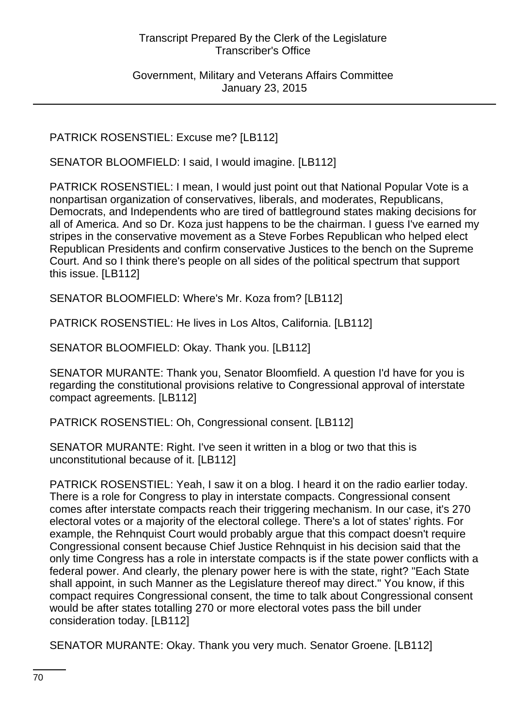Government, Military and Veterans Affairs Committee January 23, 2015

## PATRICK ROSENSTIEL: Excuse me? [LB112]

SENATOR BLOOMFIELD: I said, I would imagine. [LB112]

PATRICK ROSENSTIEL: I mean, I would just point out that National Popular Vote is a nonpartisan organization of conservatives, liberals, and moderates, Republicans, Democrats, and Independents who are tired of battleground states making decisions for all of America. And so Dr. Koza just happens to be the chairman. I guess I've earned my stripes in the conservative movement as a Steve Forbes Republican who helped elect Republican Presidents and confirm conservative Justices to the bench on the Supreme Court. And so I think there's people on all sides of the political spectrum that support this issue. [LB112]

SENATOR BLOOMFIELD: Where's Mr. Koza from? [LB112]

PATRICK ROSENSTIEL: He lives in Los Altos, California. [LB112]

SENATOR BLOOMFIELD: Okay. Thank you. [LB112]

SENATOR MURANTE: Thank you, Senator Bloomfield. A question I'd have for you is regarding the constitutional provisions relative to Congressional approval of interstate compact agreements. [LB112]

PATRICK ROSENSTIEL: Oh, Congressional consent. [LB112]

SENATOR MURANTE: Right. I've seen it written in a blog or two that this is unconstitutional because of it. [LB112]

PATRICK ROSENSTIEL: Yeah, I saw it on a blog. I heard it on the radio earlier today. There is a role for Congress to play in interstate compacts. Congressional consent comes after interstate compacts reach their triggering mechanism. In our case, it's 270 electoral votes or a majority of the electoral college. There's a lot of states' rights. For example, the Rehnquist Court would probably argue that this compact doesn't require Congressional consent because Chief Justice Rehnquist in his decision said that the only time Congress has a role in interstate compacts is if the state power conflicts with a federal power. And clearly, the plenary power here is with the state, right? "Each State shall appoint, in such Manner as the Legislature thereof may direct." You know, if this compact requires Congressional consent, the time to talk about Congressional consent would be after states totalling 270 or more electoral votes pass the bill under consideration today. [LB112]

SENATOR MURANTE: Okay. Thank you very much. Senator Groene. [LB112]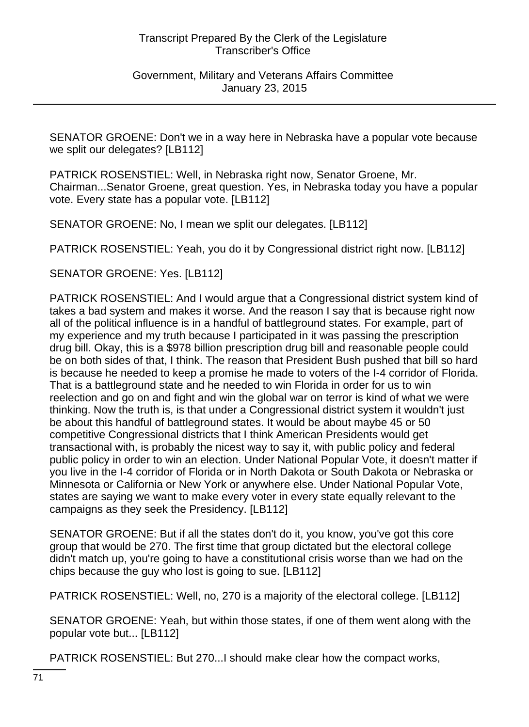Government, Military and Veterans Affairs Committee January 23, 2015

SENATOR GROENE: Don't we in a way here in Nebraska have a popular vote because we split our delegates? [LB112]

PATRICK ROSENSTIEL: Well, in Nebraska right now, Senator Groene, Mr. Chairman...Senator Groene, great question. Yes, in Nebraska today you have a popular vote. Every state has a popular vote. [LB112]

SENATOR GROENE: No, I mean we split our delegates. [LB112]

PATRICK ROSENSTIEL: Yeah, you do it by Congressional district right now. [LB112]

SENATOR GROENE: Yes. [LB112]

PATRICK ROSENSTIEL: And I would argue that a Congressional district system kind of takes a bad system and makes it worse. And the reason I say that is because right now all of the political influence is in a handful of battleground states. For example, part of my experience and my truth because I participated in it was passing the prescription drug bill. Okay, this is a \$978 billion prescription drug bill and reasonable people could be on both sides of that, I think. The reason that President Bush pushed that bill so hard is because he needed to keep a promise he made to voters of the I-4 corridor of Florida. That is a battleground state and he needed to win Florida in order for us to win reelection and go on and fight and win the global war on terror is kind of what we were thinking. Now the truth is, is that under a Congressional district system it wouldn't just be about this handful of battleground states. It would be about maybe 45 or 50 competitive Congressional districts that I think American Presidents would get transactional with, is probably the nicest way to say it, with public policy and federal public policy in order to win an election. Under National Popular Vote, it doesn't matter if you live in the I-4 corridor of Florida or in North Dakota or South Dakota or Nebraska or Minnesota or California or New York or anywhere else. Under National Popular Vote, states are saying we want to make every voter in every state equally relevant to the campaigns as they seek the Presidency. [LB112]

SENATOR GROENE: But if all the states don't do it, you know, you've got this core group that would be 270. The first time that group dictated but the electoral college didn't match up, you're going to have a constitutional crisis worse than we had on the chips because the guy who lost is going to sue. [LB112]

PATRICK ROSENSTIEL: Well, no, 270 is a majority of the electoral college. [LB112]

SENATOR GROENE: Yeah, but within those states, if one of them went along with the popular vote but... [LB112]

PATRICK ROSENSTIEL: But 270...I should make clear how the compact works,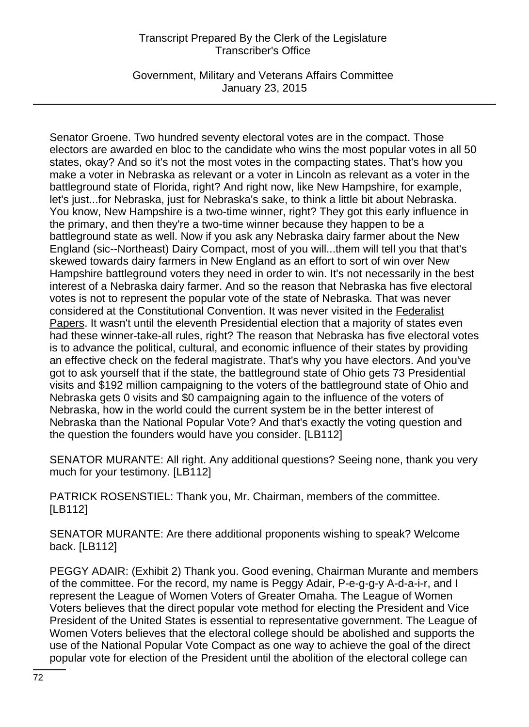Government, Military and Veterans Affairs Committee January 23, 2015

Senator Groene. Two hundred seventy electoral votes are in the compact. Those electors are awarded en bloc to the candidate who wins the most popular votes in all 50 states, okay? And so it's not the most votes in the compacting states. That's how you make a voter in Nebraska as relevant or a voter in Lincoln as relevant as a voter in the battleground state of Florida, right? And right now, like New Hampshire, for example, let's just...for Nebraska, just for Nebraska's sake, to think a little bit about Nebraska. You know, New Hampshire is a two-time winner, right? They got this early influence in the primary, and then they're a two-time winner because they happen to be a battleground state as well. Now if you ask any Nebraska dairy farmer about the New England (sic--Northeast) Dairy Compact, most of you will...them will tell you that that's skewed towards dairy farmers in New England as an effort to sort of win over New Hampshire battleground voters they need in order to win. It's not necessarily in the best interest of a Nebraska dairy farmer. And so the reason that Nebraska has five electoral votes is not to represent the popular vote of the state of Nebraska. That was never considered at the Constitutional Convention. It was never visited in the Federalist Papers. It wasn't until the eleventh Presidential election that a majority of states even had these winner-take-all rules, right? The reason that Nebraska has five electoral votes is to advance the political, cultural, and economic influence of their states by providing an effective check on the federal magistrate. That's why you have electors. And you've got to ask yourself that if the state, the battleground state of Ohio gets 73 Presidential visits and \$192 million campaigning to the voters of the battleground state of Ohio and Nebraska gets 0 visits and \$0 campaigning again to the influence of the voters of Nebraska, how in the world could the current system be in the better interest of Nebraska than the National Popular Vote? And that's exactly the voting question and the question the founders would have you consider. [LB112]

SENATOR MURANTE: All right. Any additional questions? Seeing none, thank you very much for your testimony. [LB112]

PATRICK ROSENSTIEL: Thank you, Mr. Chairman, members of the committee. [LB112]

SENATOR MURANTE: Are there additional proponents wishing to speak? Welcome back. [LB112]

PEGGY ADAIR: (Exhibit 2) Thank you. Good evening, Chairman Murante and members of the committee. For the record, my name is Peggy Adair, P-e-g-g-y A-d-a-i-r, and I represent the League of Women Voters of Greater Omaha. The League of Women Voters believes that the direct popular vote method for electing the President and Vice President of the United States is essential to representative government. The League of Women Voters believes that the electoral college should be abolished and supports the use of the National Popular Vote Compact as one way to achieve the goal of the direct popular vote for election of the President until the abolition of the electoral college can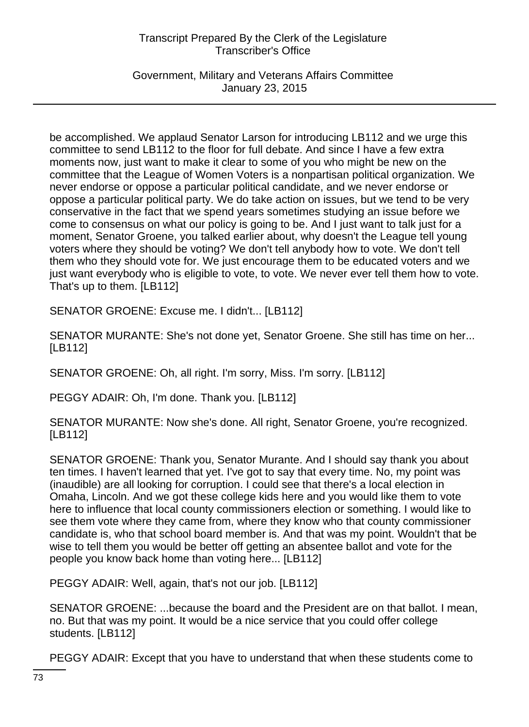Government, Military and Veterans Affairs Committee January 23, 2015

be accomplished. We applaud Senator Larson for introducing LB112 and we urge this committee to send LB112 to the floor for full debate. And since I have a few extra moments now, just want to make it clear to some of you who might be new on the committee that the League of Women Voters is a nonpartisan political organization. We never endorse or oppose a particular political candidate, and we never endorse or oppose a particular political party. We do take action on issues, but we tend to be very conservative in the fact that we spend years sometimes studying an issue before we come to consensus on what our policy is going to be. And I just want to talk just for a moment, Senator Groene, you talked earlier about, why doesn't the League tell young voters where they should be voting? We don't tell anybody how to vote. We don't tell them who they should vote for. We just encourage them to be educated voters and we just want everybody who is eligible to vote, to vote. We never ever tell them how to vote. That's up to them. [LB112]

SENATOR GROENE: Excuse me. I didn't... [LB112]

SENATOR MURANTE: She's not done yet, Senator Groene. She still has time on her... [LB112]

SENATOR GROENE: Oh, all right. I'm sorry, Miss. I'm sorry. [LB112]

PEGGY ADAIR: Oh, I'm done. Thank you. [LB112]

SENATOR MURANTE: Now she's done. All right, Senator Groene, you're recognized. [LB112]

SENATOR GROENE: Thank you, Senator Murante. And I should say thank you about ten times. I haven't learned that yet. I've got to say that every time. No, my point was (inaudible) are all looking for corruption. I could see that there's a local election in Omaha, Lincoln. And we got these college kids here and you would like them to vote here to influence that local county commissioners election or something. I would like to see them vote where they came from, where they know who that county commissioner candidate is, who that school board member is. And that was my point. Wouldn't that be wise to tell them you would be better off getting an absentee ballot and vote for the people you know back home than voting here... [LB112]

PEGGY ADAIR: Well, again, that's not our job. [LB112]

SENATOR GROENE: ...because the board and the President are on that ballot. I mean, no. But that was my point. It would be a nice service that you could offer college students. [LB112]

PEGGY ADAIR: Except that you have to understand that when these students come to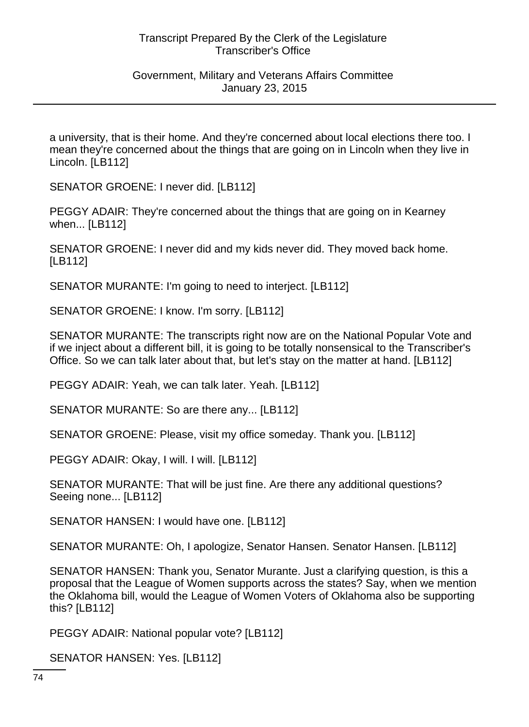a university, that is their home. And they're concerned about local elections there too. I mean they're concerned about the things that are going on in Lincoln when they live in Lincoln. [LB112]

SENATOR GROENE: I never did. [LB112]

PEGGY ADAIR: They're concerned about the things that are going on in Kearney when... [LB112]

SENATOR GROENE: I never did and my kids never did. They moved back home. [LB112]

SENATOR MURANTE: I'm going to need to interject. [LB112]

SENATOR GROENE: I know. I'm sorry. [LB112]

SENATOR MURANTE: The transcripts right now are on the National Popular Vote and if we inject about a different bill, it is going to be totally nonsensical to the Transcriber's Office. So we can talk later about that, but let's stay on the matter at hand. [LB112]

PEGGY ADAIR: Yeah, we can talk later. Yeah. [LB112]

SENATOR MURANTE: So are there any... [LB112]

SENATOR GROENE: Please, visit my office someday. Thank you. [LB112]

PEGGY ADAIR: Okay, I will. I will. [LB112]

SENATOR MURANTE: That will be just fine. Are there any additional questions? Seeing none... [LB112]

SENATOR HANSEN: I would have one. [LB112]

SENATOR MURANTE: Oh, I apologize, Senator Hansen. Senator Hansen. [LB112]

SENATOR HANSEN: Thank you, Senator Murante. Just a clarifying question, is this a proposal that the League of Women supports across the states? Say, when we mention the Oklahoma bill, would the League of Women Voters of Oklahoma also be supporting this? [LB112]

PEGGY ADAIR: National popular vote? [LB112]

SENATOR HANSEN: Yes. [LB112]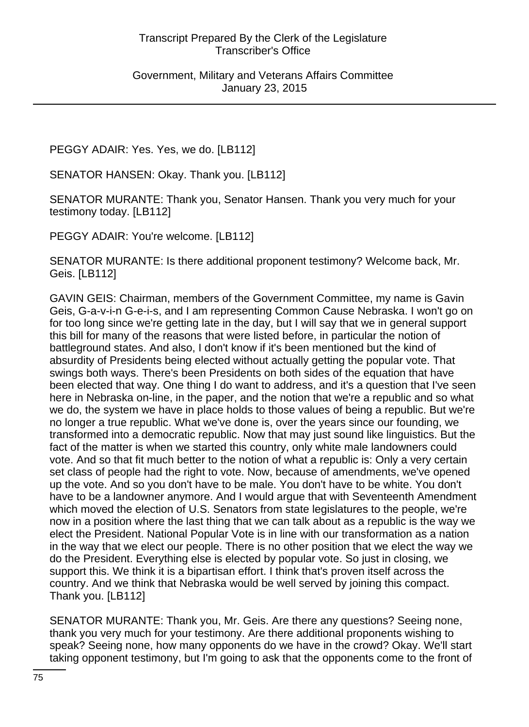PEGGY ADAIR: Yes. Yes, we do. [LB112]

SENATOR HANSEN: Okay. Thank you. [LB112]

SENATOR MURANTE: Thank you, Senator Hansen. Thank you very much for your testimony today. [LB112]

PEGGY ADAIR: You're welcome. [LB112]

SENATOR MURANTE: Is there additional proponent testimony? Welcome back, Mr. Geis. [LB112]

GAVIN GEIS: Chairman, members of the Government Committee, my name is Gavin Geis, G-a-v-i-n G-e-i-s, and I am representing Common Cause Nebraska. I won't go on for too long since we're getting late in the day, but I will say that we in general support this bill for many of the reasons that were listed before, in particular the notion of battleground states. And also, I don't know if it's been mentioned but the kind of absurdity of Presidents being elected without actually getting the popular vote. That swings both ways. There's been Presidents on both sides of the equation that have been elected that way. One thing I do want to address, and it's a question that I've seen here in Nebraska on-line, in the paper, and the notion that we're a republic and so what we do, the system we have in place holds to those values of being a republic. But we're no longer a true republic. What we've done is, over the years since our founding, we transformed into a democratic republic. Now that may just sound like linguistics. But the fact of the matter is when we started this country, only white male landowners could vote. And so that fit much better to the notion of what a republic is: Only a very certain set class of people had the right to vote. Now, because of amendments, we've opened up the vote. And so you don't have to be male. You don't have to be white. You don't have to be a landowner anymore. And I would argue that with Seventeenth Amendment which moved the election of U.S. Senators from state legislatures to the people, we're now in a position where the last thing that we can talk about as a republic is the way we elect the President. National Popular Vote is in line with our transformation as a nation in the way that we elect our people. There is no other position that we elect the way we do the President. Everything else is elected by popular vote. So just in closing, we support this. We think it is a bipartisan effort. I think that's proven itself across the country. And we think that Nebraska would be well served by joining this compact. Thank you. [LB112]

SENATOR MURANTE: Thank you, Mr. Geis. Are there any questions? Seeing none, thank you very much for your testimony. Are there additional proponents wishing to speak? Seeing none, how many opponents do we have in the crowd? Okay. We'll start taking opponent testimony, but I'm going to ask that the opponents come to the front of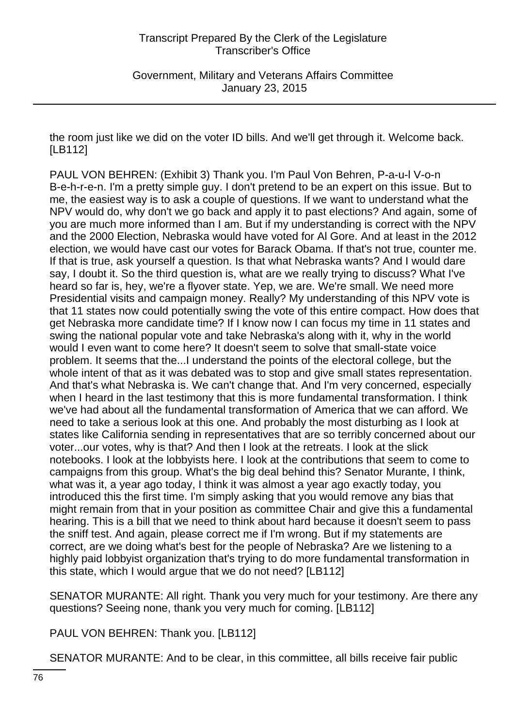the room just like we did on the voter ID bills. And we'll get through it. Welcome back. [LB112]

PAUL VON BEHREN: (Exhibit 3) Thank you. I'm Paul Von Behren, P-a-u-l V-o-n B-e-h-r-e-n. I'm a pretty simple guy. I don't pretend to be an expert on this issue. But to me, the easiest way is to ask a couple of questions. If we want to understand what the NPV would do, why don't we go back and apply it to past elections? And again, some of you are much more informed than I am. But if my understanding is correct with the NPV and the 2000 Election, Nebraska would have voted for Al Gore. And at least in the 2012 election, we would have cast our votes for Barack Obama. If that's not true, counter me. If that is true, ask yourself a question. Is that what Nebraska wants? And I would dare say, I doubt it. So the third question is, what are we really trying to discuss? What I've heard so far is, hey, we're a flyover state. Yep, we are. We're small. We need more Presidential visits and campaign money. Really? My understanding of this NPV vote is that 11 states now could potentially swing the vote of this entire compact. How does that get Nebraska more candidate time? If I know now I can focus my time in 11 states and swing the national popular vote and take Nebraska's along with it, why in the world would I even want to come here? It doesn't seem to solve that small-state voice problem. It seems that the...I understand the points of the electoral college, but the whole intent of that as it was debated was to stop and give small states representation. And that's what Nebraska is. We can't change that. And I'm very concerned, especially when I heard in the last testimony that this is more fundamental transformation. I think we've had about all the fundamental transformation of America that we can afford. We need to take a serious look at this one. And probably the most disturbing as I look at states like California sending in representatives that are so terribly concerned about our voter...our votes, why is that? And then I look at the retreats. I look at the slick notebooks. I look at the lobbyists here. I look at the contributions that seem to come to campaigns from this group. What's the big deal behind this? Senator Murante, I think, what was it, a year ago today, I think it was almost a year ago exactly today, you introduced this the first time. I'm simply asking that you would remove any bias that might remain from that in your position as committee Chair and give this a fundamental hearing. This is a bill that we need to think about hard because it doesn't seem to pass the sniff test. And again, please correct me if I'm wrong. But if my statements are correct, are we doing what's best for the people of Nebraska? Are we listening to a highly paid lobbyist organization that's trying to do more fundamental transformation in this state, which I would argue that we do not need? [LB112]

SENATOR MURANTE: All right. Thank you very much for your testimony. Are there any questions? Seeing none, thank you very much for coming. [LB112]

PAUL VON BEHREN: Thank you. [LB112]

SENATOR MURANTE: And to be clear, in this committee, all bills receive fair public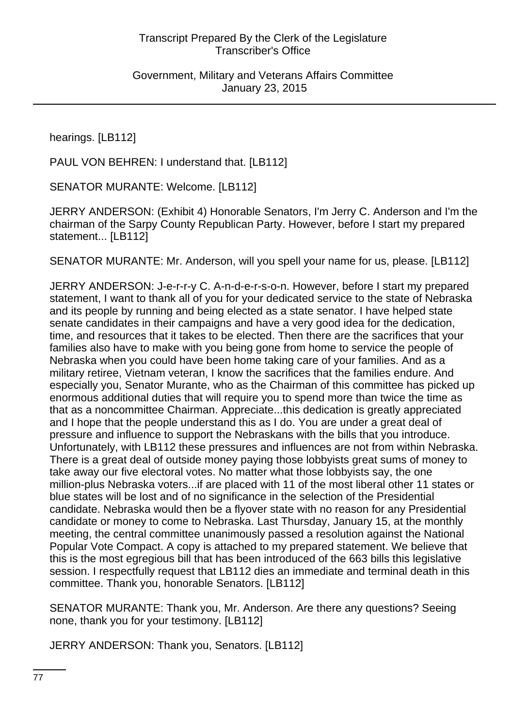hearings. [LB112]

PAUL VON BEHREN: I understand that. [LB112]

SENATOR MURANTE: Welcome. [LB112]

JERRY ANDERSON: (Exhibit 4) Honorable Senators, I'm Jerry C. Anderson and I'm the chairman of the Sarpy County Republican Party. However, before I start my prepared statement... [LB112]

SENATOR MURANTE: Mr. Anderson, will you spell your name for us, please. [LB112]

JERRY ANDERSON: J-e-r-r-y C. A-n-d-e-r-s-o-n. However, before I start my prepared statement, I want to thank all of you for your dedicated service to the state of Nebraska and its people by running and being elected as a state senator. I have helped state senate candidates in their campaigns and have a very good idea for the dedication, time, and resources that it takes to be elected. Then there are the sacrifices that your families also have to make with you being gone from home to service the people of Nebraska when you could have been home taking care of your families. And as a military retiree, Vietnam veteran, I know the sacrifices that the families endure. And especially you, Senator Murante, who as the Chairman of this committee has picked up enormous additional duties that will require you to spend more than twice the time as that as a noncommittee Chairman. Appreciate...this dedication is greatly appreciated and I hope that the people understand this as I do. You are under a great deal of pressure and influence to support the Nebraskans with the bills that you introduce. Unfortunately, with LB112 these pressures and influences are not from within Nebraska. There is a great deal of outside money paying those lobbyists great sums of money to take away our five electoral votes. No matter what those lobbyists say, the one million-plus Nebraska voters...if are placed with 11 of the most liberal other 11 states or blue states will be lost and of no significance in the selection of the Presidential candidate. Nebraska would then be a flyover state with no reason for any Presidential candidate or money to come to Nebraska. Last Thursday, January 15, at the monthly meeting, the central committee unanimously passed a resolution against the National Popular Vote Compact. A copy is attached to my prepared statement. We believe that this is the most egregious bill that has been introduced of the 663 bills this legislative session. I respectfully request that LB112 dies an immediate and terminal death in this committee. Thank you, honorable Senators. [LB112]

SENATOR MURANTE: Thank you, Mr. Anderson. Are there any questions? Seeing none, thank you for your testimony. [LB112]

JERRY ANDERSON: Thank you, Senators. [LB112]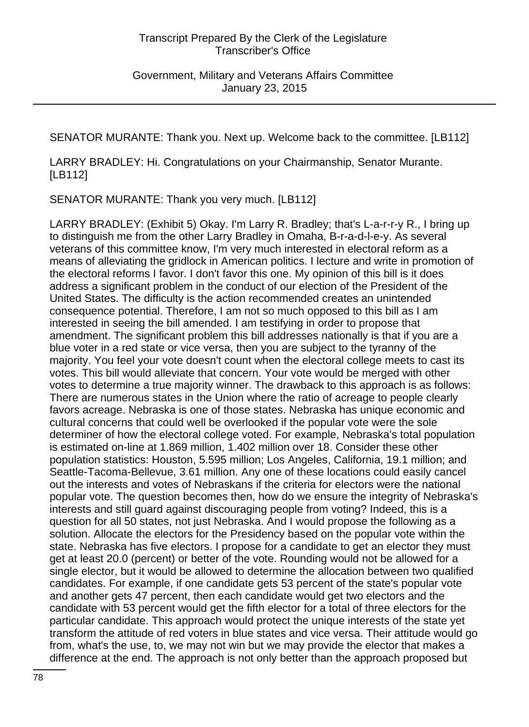SENATOR MURANTE: Thank you. Next up. Welcome back to the committee. [LB112]

LARRY BRADLEY: Hi. Congratulations on your Chairmanship, Senator Murante. [LB112]

SENATOR MURANTE: Thank you very much. [LB112]

LARRY BRADLEY: (Exhibit 5) Okay. I'm Larry R. Bradley; that's L-a-r-r-y R., I bring up to distinguish me from the other Larry Bradley in Omaha, B-r-a-d-l-e-y. As several veterans of this committee know, I'm very much interested in electoral reform as a means of alleviating the gridlock in American politics. I lecture and write in promotion of the electoral reforms I favor. I don't favor this one. My opinion of this bill is it does address a significant problem in the conduct of our election of the President of the United States. The difficulty is the action recommended creates an unintended consequence potential. Therefore, I am not so much opposed to this bill as I am interested in seeing the bill amended. I am testifying in order to propose that amendment. The significant problem this bill addresses nationally is that if you are a blue voter in a red state or vice versa, then you are subject to the tyranny of the majority. You feel your vote doesn't count when the electoral college meets to cast its votes. This bill would alleviate that concern. Your vote would be merged with other votes to determine a true majority winner. The drawback to this approach is as follows: There are numerous states in the Union where the ratio of acreage to people clearly favors acreage. Nebraska is one of those states. Nebraska has unique economic and cultural concerns that could well be overlooked if the popular vote were the sole determiner of how the electoral college voted. For example, Nebraska's total population is estimated on-line at 1.869 million, 1.402 million over 18. Consider these other population statistics: Houston, 5.595 million; Los Angeles, California, 19.1 million; and Seattle-Tacoma-Bellevue, 3.61 million. Any one of these locations could easily cancel out the interests and votes of Nebraskans if the criteria for electors were the national popular vote. The question becomes then, how do we ensure the integrity of Nebraska's interests and still guard against discouraging people from voting? Indeed, this is a question for all 50 states, not just Nebraska. And I would propose the following as a solution. Allocate the electors for the Presidency based on the popular vote within the state. Nebraska has five electors. I propose for a candidate to get an elector they must get at least 20.0 (percent) or better of the vote. Rounding would not be allowed for a single elector, but it would be allowed to determine the allocation between two qualified candidates. For example, if one candidate gets 53 percent of the state's popular vote and another gets 47 percent, then each candidate would get two electors and the candidate with 53 percent would get the fifth elector for a total of three electors for the particular candidate. This approach would protect the unique interests of the state yet transform the attitude of red voters in blue states and vice versa. Their attitude would go from, what's the use, to, we may not win but we may provide the elector that makes a difference at the end. The approach is not only better than the approach proposed but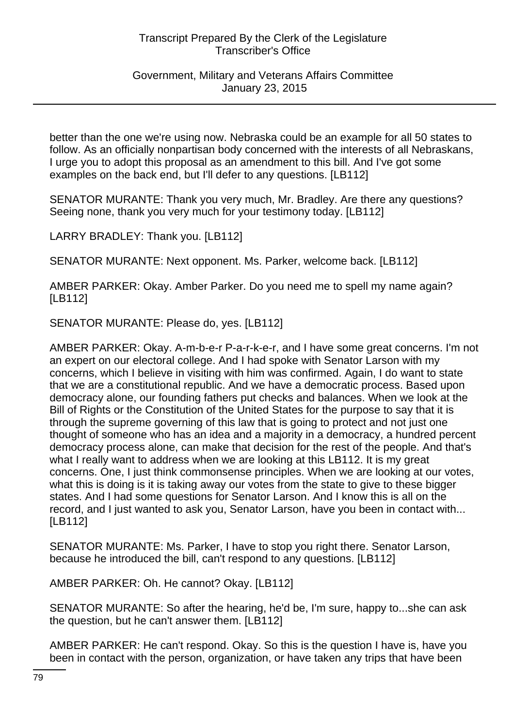## Government, Military and Veterans Affairs Committee January 23, 2015

better than the one we're using now. Nebraska could be an example for all 50 states to follow. As an officially nonpartisan body concerned with the interests of all Nebraskans, I urge you to adopt this proposal as an amendment to this bill. And I've got some examples on the back end, but I'll defer to any questions. [LB112]

SENATOR MURANTE: Thank you very much, Mr. Bradley. Are there any questions? Seeing none, thank you very much for your testimony today. [LB112]

LARRY BRADLEY: Thank you. [LB112]

SENATOR MURANTE: Next opponent. Ms. Parker, welcome back. [LB112]

AMBER PARKER: Okay. Amber Parker. Do you need me to spell my name again? [LB112]

SENATOR MURANTE: Please do, yes. [LB112]

AMBER PARKER: Okay. A-m-b-e-r P-a-r-k-e-r, and I have some great concerns. I'm not an expert on our electoral college. And I had spoke with Senator Larson with my concerns, which I believe in visiting with him was confirmed. Again, I do want to state that we are a constitutional republic. And we have a democratic process. Based upon democracy alone, our founding fathers put checks and balances. When we look at the Bill of Rights or the Constitution of the United States for the purpose to say that it is through the supreme governing of this law that is going to protect and not just one thought of someone who has an idea and a majority in a democracy, a hundred percent democracy process alone, can make that decision for the rest of the people. And that's what I really want to address when we are looking at this LB112. It is my great concerns. One, I just think commonsense principles. When we are looking at our votes, what this is doing is it is taking away our votes from the state to give to these bigger states. And I had some questions for Senator Larson. And I know this is all on the record, and I just wanted to ask you, Senator Larson, have you been in contact with... [LB112]

SENATOR MURANTE: Ms. Parker, I have to stop you right there. Senator Larson, because he introduced the bill, can't respond to any questions. [LB112]

AMBER PARKER: Oh. He cannot? Okay. [LB112]

SENATOR MURANTE: So after the hearing, he'd be, I'm sure, happy to...she can ask the question, but he can't answer them. [LB112]

AMBER PARKER: He can't respond. Okay. So this is the question I have is, have you been in contact with the person, organization, or have taken any trips that have been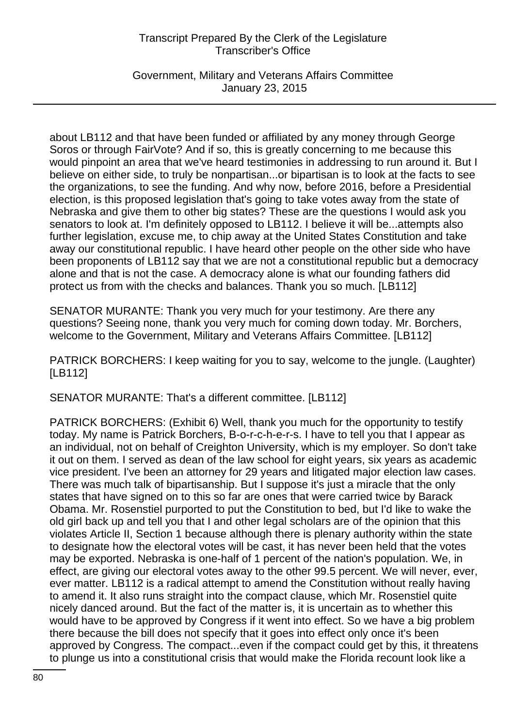Government, Military and Veterans Affairs Committee January 23, 2015

about LB112 and that have been funded or affiliated by any money through George Soros or through FairVote? And if so, this is greatly concerning to me because this would pinpoint an area that we've heard testimonies in addressing to run around it. But I believe on either side, to truly be nonpartisan...or bipartisan is to look at the facts to see the organizations, to see the funding. And why now, before 2016, before a Presidential election, is this proposed legislation that's going to take votes away from the state of Nebraska and give them to other big states? These are the questions I would ask you senators to look at. I'm definitely opposed to LB112. I believe it will be...attempts also further legislation, excuse me, to chip away at the United States Constitution and take away our constitutional republic. I have heard other people on the other side who have been proponents of LB112 say that we are not a constitutional republic but a democracy alone and that is not the case. A democracy alone is what our founding fathers did protect us from with the checks and balances. Thank you so much. [LB112]

SENATOR MURANTE: Thank you very much for your testimony. Are there any questions? Seeing none, thank you very much for coming down today. Mr. Borchers, welcome to the Government, Military and Veterans Affairs Committee. [LB112]

PATRICK BORCHERS: I keep waiting for you to say, welcome to the jungle. (Laughter) [LB112]

SENATOR MURANTE: That's a different committee. [LB112]

PATRICK BORCHERS: (Exhibit 6) Well, thank you much for the opportunity to testify today. My name is Patrick Borchers, B-o-r-c-h-e-r-s. I have to tell you that I appear as an individual, not on behalf of Creighton University, which is my employer. So don't take it out on them. I served as dean of the law school for eight years, six years as academic vice president. I've been an attorney for 29 years and litigated major election law cases. There was much talk of bipartisanship. But I suppose it's just a miracle that the only states that have signed on to this so far are ones that were carried twice by Barack Obama. Mr. Rosenstiel purported to put the Constitution to bed, but I'd like to wake the old girl back up and tell you that I and other legal scholars are of the opinion that this violates Article II, Section 1 because although there is plenary authority within the state to designate how the electoral votes will be cast, it has never been held that the votes may be exported. Nebraska is one-half of 1 percent of the nation's population. We, in effect, are giving our electoral votes away to the other 99.5 percent. We will never, ever, ever matter. LB112 is a radical attempt to amend the Constitution without really having to amend it. It also runs straight into the compact clause, which Mr. Rosenstiel quite nicely danced around. But the fact of the matter is, it is uncertain as to whether this would have to be approved by Congress if it went into effect. So we have a big problem there because the bill does not specify that it goes into effect only once it's been approved by Congress. The compact...even if the compact could get by this, it threatens to plunge us into a constitutional crisis that would make the Florida recount look like a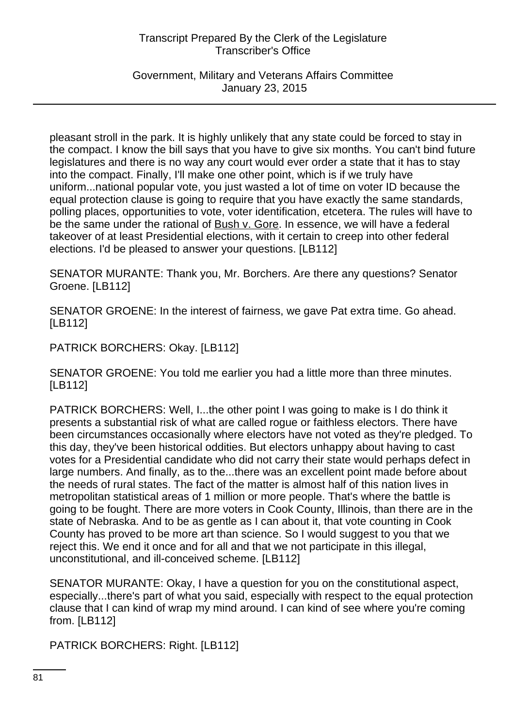Government, Military and Veterans Affairs Committee January 23, 2015

pleasant stroll in the park. It is highly unlikely that any state could be forced to stay in the compact. I know the bill says that you have to give six months. You can't bind future legislatures and there is no way any court would ever order a state that it has to stay into the compact. Finally, I'll make one other point, which is if we truly have uniform...national popular vote, you just wasted a lot of time on voter ID because the equal protection clause is going to require that you have exactly the same standards, polling places, opportunities to vote, voter identification, etcetera. The rules will have to be the same under the rational of Bush v. Gore. In essence, we will have a federal takeover of at least Presidential elections, with it certain to creep into other federal elections. I'd be pleased to answer your questions. [LB112]

SENATOR MURANTE: Thank you, Mr. Borchers. Are there any questions? Senator Groene. [LB112]

SENATOR GROENE: In the interest of fairness, we gave Pat extra time. Go ahead. [LB112]

PATRICK BORCHERS: Okay. [LB112]

SENATOR GROENE: You told me earlier you had a little more than three minutes. [LB112]

PATRICK BORCHERS: Well, I...the other point I was going to make is I do think it presents a substantial risk of what are called rogue or faithless electors. There have been circumstances occasionally where electors have not voted as they're pledged. To this day, they've been historical oddities. But electors unhappy about having to cast votes for a Presidential candidate who did not carry their state would perhaps defect in large numbers. And finally, as to the...there was an excellent point made before about the needs of rural states. The fact of the matter is almost half of this nation lives in metropolitan statistical areas of 1 million or more people. That's where the battle is going to be fought. There are more voters in Cook County, Illinois, than there are in the state of Nebraska. And to be as gentle as I can about it, that vote counting in Cook County has proved to be more art than science. So I would suggest to you that we reject this. We end it once and for all and that we not participate in this illegal, unconstitutional, and ill-conceived scheme. [LB112]

SENATOR MURANTE: Okay, I have a question for you on the constitutional aspect, especially...there's part of what you said, especially with respect to the equal protection clause that I can kind of wrap my mind around. I can kind of see where you're coming from. [LB112]

PATRICK BORCHERS: Right. [LB112]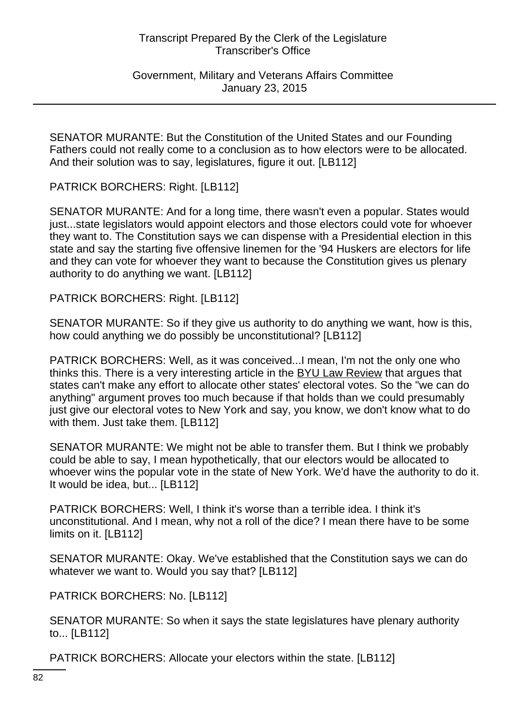Government, Military and Veterans Affairs Committee January 23, 2015

SENATOR MURANTE: But the Constitution of the United States and our Founding Fathers could not really come to a conclusion as to how electors were to be allocated. And their solution was to say, legislatures, figure it out. [LB112]

PATRICK BORCHERS: Right. [LB112]

SENATOR MURANTE: And for a long time, there wasn't even a popular. States would just...state legislators would appoint electors and those electors could vote for whoever they want to. The Constitution says we can dispense with a Presidential election in this state and say the starting five offensive linemen for the '94 Huskers are electors for life and they can vote for whoever they want to because the Constitution gives us plenary authority to do anything we want. [LB112]

PATRICK BORCHERS: Right. [LB112]

SENATOR MURANTE: So if they give us authority to do anything we want, how is this, how could anything we do possibly be unconstitutional? [LB112]

PATRICK BORCHERS: Well, as it was conceived...I mean, I'm not the only one who thinks this. There is a very interesting article in the BYU Law Review that argues that states can't make any effort to allocate other states' electoral votes. So the "we can do anything" argument proves too much because if that holds than we could presumably just give our electoral votes to New York and say, you know, we don't know what to do with them. Just take them. [LB112]

SENATOR MURANTE: We might not be able to transfer them. But I think we probably could be able to say, I mean hypothetically, that our electors would be allocated to whoever wins the popular vote in the state of New York. We'd have the authority to do it. It would be idea, but... [LB112]

PATRICK BORCHERS: Well, I think it's worse than a terrible idea. I think it's unconstitutional. And I mean, why not a roll of the dice? I mean there have to be some limits on it. [LB112]

SENATOR MURANTE: Okay. We've established that the Constitution says we can do whatever we want to. Would you say that? [LB112]

PATRICK BORCHERS: No. [LB112]

SENATOR MURANTE: So when it says the state legislatures have plenary authority to... [LB112]

PATRICK BORCHERS: Allocate your electors within the state. [LB112]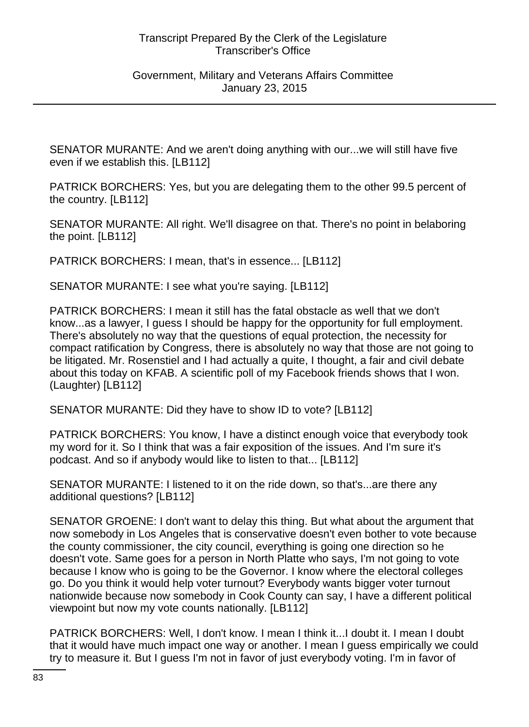SENATOR MURANTE: And we aren't doing anything with our...we will still have five even if we establish this. [LB112]

PATRICK BORCHERS: Yes, but you are delegating them to the other 99.5 percent of the country. [LB112]

SENATOR MURANTE: All right. We'll disagree on that. There's no point in belaboring the point. [LB112]

PATRICK BORCHERS: I mean, that's in essence... [LB112]

SENATOR MURANTE: I see what you're saying. [LB112]

PATRICK BORCHERS: I mean it still has the fatal obstacle as well that we don't know...as a lawyer, I guess I should be happy for the opportunity for full employment. There's absolutely no way that the questions of equal protection, the necessity for compact ratification by Congress, there is absolutely no way that those are not going to be litigated. Mr. Rosenstiel and I had actually a quite, I thought, a fair and civil debate about this today on KFAB. A scientific poll of my Facebook friends shows that I won. (Laughter) [LB112]

SENATOR MURANTE: Did they have to show ID to vote? [LB112]

PATRICK BORCHERS: You know, I have a distinct enough voice that everybody took my word for it. So I think that was a fair exposition of the issues. And I'm sure it's podcast. And so if anybody would like to listen to that... [LB112]

SENATOR MURANTE: I listened to it on the ride down, so that's...are there any additional questions? [LB112]

SENATOR GROENE: I don't want to delay this thing. But what about the argument that now somebody in Los Angeles that is conservative doesn't even bother to vote because the county commissioner, the city council, everything is going one direction so he doesn't vote. Same goes for a person in North Platte who says, I'm not going to vote because I know who is going to be the Governor. I know where the electoral colleges go. Do you think it would help voter turnout? Everybody wants bigger voter turnout nationwide because now somebody in Cook County can say, I have a different political viewpoint but now my vote counts nationally. [LB112]

PATRICK BORCHERS: Well, I don't know. I mean I think it...I doubt it. I mean I doubt that it would have much impact one way or another. I mean I guess empirically we could try to measure it. But I guess I'm not in favor of just everybody voting. I'm in favor of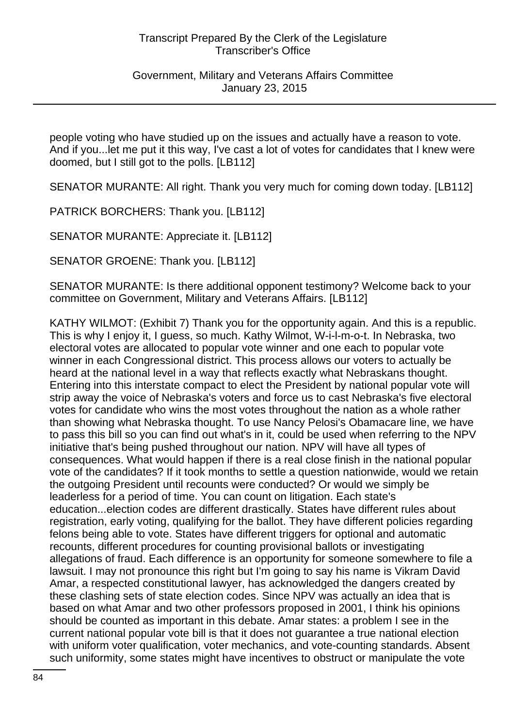Government, Military and Veterans Affairs Committee January 23, 2015

people voting who have studied up on the issues and actually have a reason to vote. And if you...let me put it this way, I've cast a lot of votes for candidates that I knew were doomed, but I still got to the polls. [LB112]

SENATOR MURANTE: All right. Thank you very much for coming down today. [LB112]

PATRICK BORCHERS: Thank you. [LB112]

SENATOR MURANTE: Appreciate it. [LB112]

SENATOR GROENE: Thank you. [LB112]

SENATOR MURANTE: Is there additional opponent testimony? Welcome back to your committee on Government, Military and Veterans Affairs. [LB112]

KATHY WILMOT: (Exhibit 7) Thank you for the opportunity again. And this is a republic. This is why I enjoy it, I guess, so much. Kathy Wilmot, W-i-l-m-o-t. In Nebraska, two electoral votes are allocated to popular vote winner and one each to popular vote winner in each Congressional district. This process allows our voters to actually be heard at the national level in a way that reflects exactly what Nebraskans thought. Entering into this interstate compact to elect the President by national popular vote will strip away the voice of Nebraska's voters and force us to cast Nebraska's five electoral votes for candidate who wins the most votes throughout the nation as a whole rather than showing what Nebraska thought. To use Nancy Pelosi's Obamacare line, we have to pass this bill so you can find out what's in it, could be used when referring to the NPV initiative that's being pushed throughout our nation. NPV will have all types of consequences. What would happen if there is a real close finish in the national popular vote of the candidates? If it took months to settle a question nationwide, would we retain the outgoing President until recounts were conducted? Or would we simply be leaderless for a period of time. You can count on litigation. Each state's education...election codes are different drastically. States have different rules about registration, early voting, qualifying for the ballot. They have different policies regarding felons being able to vote. States have different triggers for optional and automatic recounts, different procedures for counting provisional ballots or investigating allegations of fraud. Each difference is an opportunity for someone somewhere to file a lawsuit. I may not pronounce this right but I'm going to say his name is Vikram David Amar, a respected constitutional lawyer, has acknowledged the dangers created by these clashing sets of state election codes. Since NPV was actually an idea that is based on what Amar and two other professors proposed in 2001, I think his opinions should be counted as important in this debate. Amar states: a problem I see in the current national popular vote bill is that it does not guarantee a true national election with uniform voter qualification, voter mechanics, and vote-counting standards. Absent such uniformity, some states might have incentives to obstruct or manipulate the vote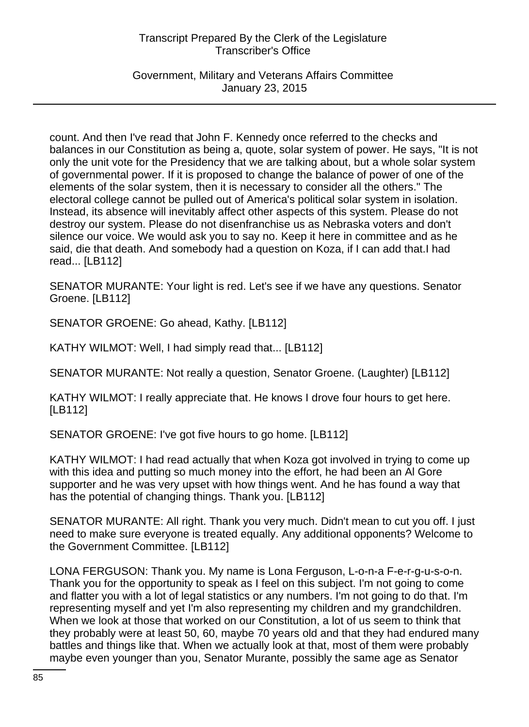Government, Military and Veterans Affairs Committee January 23, 2015

count. And then I've read that John F. Kennedy once referred to the checks and balances in our Constitution as being a, quote, solar system of power. He says, "It is not only the unit vote for the Presidency that we are talking about, but a whole solar system of governmental power. If it is proposed to change the balance of power of one of the elements of the solar system, then it is necessary to consider all the others." The electoral college cannot be pulled out of America's political solar system in isolation. Instead, its absence will inevitably affect other aspects of this system. Please do not destroy our system. Please do not disenfranchise us as Nebraska voters and don't silence our voice. We would ask you to say no. Keep it here in committee and as he said, die that death. And somebody had a question on Koza, if I can add that.I had read... [LB112]

SENATOR MURANTE: Your light is red. Let's see if we have any questions. Senator Groene. [LB112]

SENATOR GROENE: Go ahead, Kathy. [LB112]

KATHY WILMOT: Well, I had simply read that... [LB112]

SENATOR MURANTE: Not really a question, Senator Groene. (Laughter) [LB112]

KATHY WILMOT: I really appreciate that. He knows I drove four hours to get here. [LB112]

SENATOR GROENE: I've got five hours to go home. [LB112]

KATHY WILMOT: I had read actually that when Koza got involved in trying to come up with this idea and putting so much money into the effort, he had been an Al Gore supporter and he was very upset with how things went. And he has found a way that has the potential of changing things. Thank you. [LB112]

SENATOR MURANTE: All right. Thank you very much. Didn't mean to cut you off. I just need to make sure everyone is treated equally. Any additional opponents? Welcome to the Government Committee. [LB112]

LONA FERGUSON: Thank you. My name is Lona Ferguson, L-o-n-a F-e-r-g-u-s-o-n. Thank you for the opportunity to speak as I feel on this subject. I'm not going to come and flatter you with a lot of legal statistics or any numbers. I'm not going to do that. I'm representing myself and yet I'm also representing my children and my grandchildren. When we look at those that worked on our Constitution, a lot of us seem to think that they probably were at least 50, 60, maybe 70 years old and that they had endured many battles and things like that. When we actually look at that, most of them were probably maybe even younger than you, Senator Murante, possibly the same age as Senator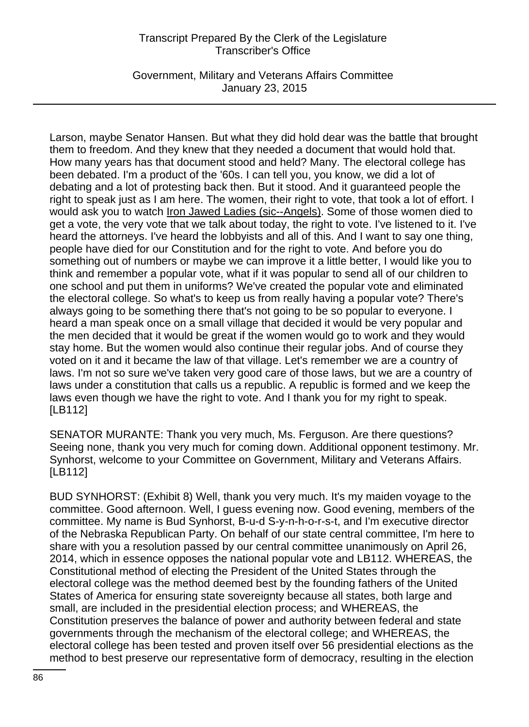Government, Military and Veterans Affairs Committee January 23, 2015

Larson, maybe Senator Hansen. But what they did hold dear was the battle that brought them to freedom. And they knew that they needed a document that would hold that. How many years has that document stood and held? Many. The electoral college has been debated. I'm a product of the '60s. I can tell you, you know, we did a lot of debating and a lot of protesting back then. But it stood. And it guaranteed people the right to speak just as I am here. The women, their right to vote, that took a lot of effort. I would ask you to watch Iron Jawed Ladies (sic--Angels). Some of those women died to get a vote, the very vote that we talk about today, the right to vote. I've listened to it. I've heard the attorneys. I've heard the lobbyists and all of this. And I want to say one thing, people have died for our Constitution and for the right to vote. And before you do something out of numbers or maybe we can improve it a little better, I would like you to think and remember a popular vote, what if it was popular to send all of our children to one school and put them in uniforms? We've created the popular vote and eliminated the electoral college. So what's to keep us from really having a popular vote? There's always going to be something there that's not going to be so popular to everyone. I heard a man speak once on a small village that decided it would be very popular and the men decided that it would be great if the women would go to work and they would stay home. But the women would also continue their regular jobs. And of course they voted on it and it became the law of that village. Let's remember we are a country of laws. I'm not so sure we've taken very good care of those laws, but we are a country of laws under a constitution that calls us a republic. A republic is formed and we keep the laws even though we have the right to vote. And I thank you for my right to speak. [LB112]

SENATOR MURANTE: Thank you very much, Ms. Ferguson. Are there questions? Seeing none, thank you very much for coming down. Additional opponent testimony. Mr. Synhorst, welcome to your Committee on Government, Military and Veterans Affairs. [LB112]

BUD SYNHORST: (Exhibit 8) Well, thank you very much. It's my maiden voyage to the committee. Good afternoon. Well, I guess evening now. Good evening, members of the committee. My name is Bud Synhorst, B-u-d S-y-n-h-o-r-s-t, and I'm executive director of the Nebraska Republican Party. On behalf of our state central committee, I'm here to share with you a resolution passed by our central committee unanimously on April 26, 2014, which in essence opposes the national popular vote and LB112. WHEREAS, the Constitutional method of electing the President of the United States through the electoral college was the method deemed best by the founding fathers of the United States of America for ensuring state sovereignty because all states, both large and small, are included in the presidential election process; and WHEREAS, the Constitution preserves the balance of power and authority between federal and state governments through the mechanism of the electoral college; and WHEREAS, the electoral college has been tested and proven itself over 56 presidential elections as the method to best preserve our representative form of democracy, resulting in the election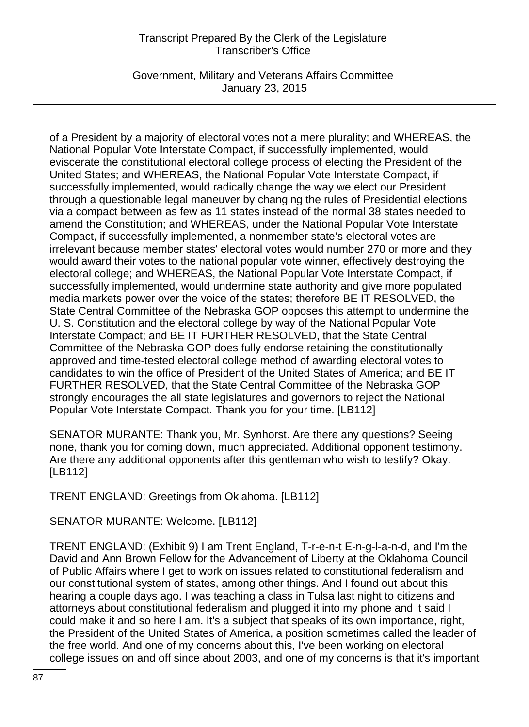Government, Military and Veterans Affairs Committee January 23, 2015

of a President by a majority of electoral votes not a mere plurality; and WHEREAS, the National Popular Vote Interstate Compact, if successfully implemented, would eviscerate the constitutional electoral college process of electing the President of the United States; and WHEREAS, the National Popular Vote Interstate Compact, if successfully implemented, would radically change the way we elect our President through a questionable legal maneuver by changing the rules of Presidential elections via a compact between as few as 11 states instead of the normal 38 states needed to amend the Constitution; and WHEREAS, under the National Popular Vote Interstate Compact, if successfully implemented, a nonmember state's electoral votes are irrelevant because member states' electoral votes would number 270 or more and they would award their votes to the national popular vote winner, effectively destroying the electoral college; and WHEREAS, the National Popular Vote Interstate Compact, if successfully implemented, would undermine state authority and give more populated media markets power over the voice of the states; therefore BE IT RESOLVED, the State Central Committee of the Nebraska GOP opposes this attempt to undermine the U. S. Constitution and the electoral college by way of the National Popular Vote Interstate Compact; and BE IT FURTHER RESOLVED, that the State Central Committee of the Nebraska GOP does fully endorse retaining the constitutionally approved and time-tested electoral college method of awarding electoral votes to candidates to win the office of President of the United States of America; and BE IT FURTHER RESOLVED, that the State Central Committee of the Nebraska GOP strongly encourages the all state legislatures and governors to reject the National Popular Vote Interstate Compact. Thank you for your time. [LB112]

SENATOR MURANTE: Thank you, Mr. Synhorst. Are there any questions? Seeing none, thank you for coming down, much appreciated. Additional opponent testimony. Are there any additional opponents after this gentleman who wish to testify? Okay. [LB112]

TRENT ENGLAND: Greetings from Oklahoma. [LB112]

SENATOR MURANTE: Welcome. [LB112]

TRENT ENGLAND: (Exhibit 9) I am Trent England, T-r-e-n-t E-n-g-l-a-n-d, and I'm the David and Ann Brown Fellow for the Advancement of Liberty at the Oklahoma Council of Public Affairs where I get to work on issues related to constitutional federalism and our constitutional system of states, among other things. And I found out about this hearing a couple days ago. I was teaching a class in Tulsa last night to citizens and attorneys about constitutional federalism and plugged it into my phone and it said I could make it and so here I am. It's a subject that speaks of its own importance, right, the President of the United States of America, a position sometimes called the leader of the free world. And one of my concerns about this, I've been working on electoral college issues on and off since about 2003, and one of my concerns is that it's important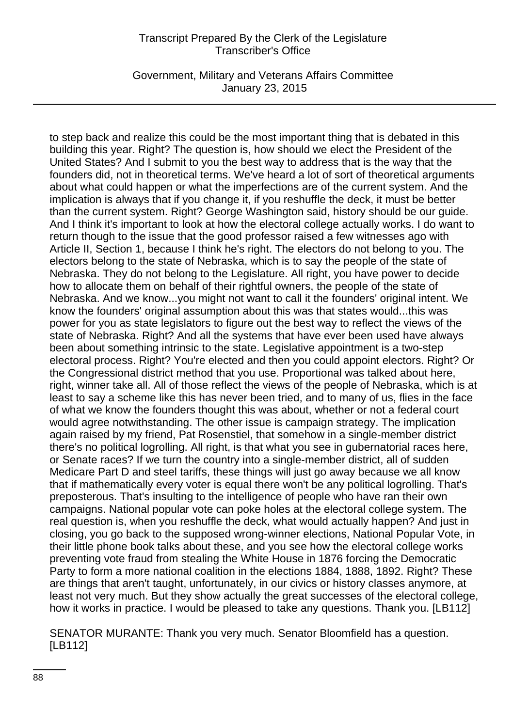Government, Military and Veterans Affairs Committee January 23, 2015

to step back and realize this could be the most important thing that is debated in this building this year. Right? The question is, how should we elect the President of the United States? And I submit to you the best way to address that is the way that the founders did, not in theoretical terms. We've heard a lot of sort of theoretical arguments about what could happen or what the imperfections are of the current system. And the implication is always that if you change it, if you reshuffle the deck, it must be better than the current system. Right? George Washington said, history should be our guide. And I think it's important to look at how the electoral college actually works. I do want to return though to the issue that the good professor raised a few witnesses ago with Article II, Section 1, because I think he's right. The electors do not belong to you. The electors belong to the state of Nebraska, which is to say the people of the state of Nebraska. They do not belong to the Legislature. All right, you have power to decide how to allocate them on behalf of their rightful owners, the people of the state of Nebraska. And we know...you might not want to call it the founders' original intent. We know the founders' original assumption about this was that states would...this was power for you as state legislators to figure out the best way to reflect the views of the state of Nebraska. Right? And all the systems that have ever been used have always been about something intrinsic to the state. Legislative appointment is a two-step electoral process. Right? You're elected and then you could appoint electors. Right? Or the Congressional district method that you use. Proportional was talked about here, right, winner take all. All of those reflect the views of the people of Nebraska, which is at least to say a scheme like this has never been tried, and to many of us, flies in the face of what we know the founders thought this was about, whether or not a federal court would agree notwithstanding. The other issue is campaign strategy. The implication again raised by my friend, Pat Rosenstiel, that somehow in a single-member district there's no political logrolling. All right, is that what you see in gubernatorial races here, or Senate races? If we turn the country into a single-member district, all of sudden Medicare Part D and steel tariffs, these things will just go away because we all know that if mathematically every voter is equal there won't be any political logrolling. That's preposterous. That's insulting to the intelligence of people who have ran their own campaigns. National popular vote can poke holes at the electoral college system. The real question is, when you reshuffle the deck, what would actually happen? And just in closing, you go back to the supposed wrong-winner elections, National Popular Vote, in their little phone book talks about these, and you see how the electoral college works preventing vote fraud from stealing the White House in 1876 forcing the Democratic Party to form a more national coalition in the elections 1884, 1888, 1892. Right? These are things that aren't taught, unfortunately, in our civics or history classes anymore, at least not very much. But they show actually the great successes of the electoral college, how it works in practice. I would be pleased to take any questions. Thank you. [LB112]

SENATOR MURANTE: Thank you very much. Senator Bloomfield has a question. [LB112]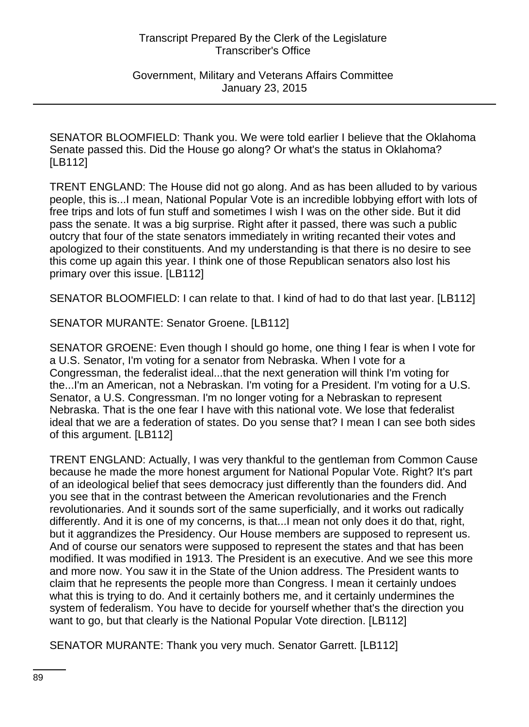Government, Military and Veterans Affairs Committee January 23, 2015

SENATOR BLOOMFIELD: Thank you. We were told earlier I believe that the Oklahoma Senate passed this. Did the House go along? Or what's the status in Oklahoma? [LB112]

TRENT ENGLAND: The House did not go along. And as has been alluded to by various people, this is...I mean, National Popular Vote is an incredible lobbying effort with lots of free trips and lots of fun stuff and sometimes I wish I was on the other side. But it did pass the senate. It was a big surprise. Right after it passed, there was such a public outcry that four of the state senators immediately in writing recanted their votes and apologized to their constituents. And my understanding is that there is no desire to see this come up again this year. I think one of those Republican senators also lost his primary over this issue. [LB112]

SENATOR BLOOMFIELD: I can relate to that. I kind of had to do that last year. [LB112]

SENATOR MURANTE: Senator Groene. [LB112]

SENATOR GROENE: Even though I should go home, one thing I fear is when I vote for a U.S. Senator, I'm voting for a senator from Nebraska. When I vote for a Congressman, the federalist ideal...that the next generation will think I'm voting for the...I'm an American, not a Nebraskan. I'm voting for a President. I'm voting for a U.S. Senator, a U.S. Congressman. I'm no longer voting for a Nebraskan to represent Nebraska. That is the one fear I have with this national vote. We lose that federalist ideal that we are a federation of states. Do you sense that? I mean I can see both sides of this argument. [LB112]

TRENT ENGLAND: Actually, I was very thankful to the gentleman from Common Cause because he made the more honest argument for National Popular Vote. Right? It's part of an ideological belief that sees democracy just differently than the founders did. And you see that in the contrast between the American revolutionaries and the French revolutionaries. And it sounds sort of the same superficially, and it works out radically differently. And it is one of my concerns, is that...I mean not only does it do that, right, but it aggrandizes the Presidency. Our House members are supposed to represent us. And of course our senators were supposed to represent the states and that has been modified. It was modified in 1913. The President is an executive. And we see this more and more now. You saw it in the State of the Union address. The President wants to claim that he represents the people more than Congress. I mean it certainly undoes what this is trying to do. And it certainly bothers me, and it certainly undermines the system of federalism. You have to decide for yourself whether that's the direction you want to go, but that clearly is the National Popular Vote direction. [LB112]

SENATOR MURANTE: Thank you very much. Senator Garrett. [LB112]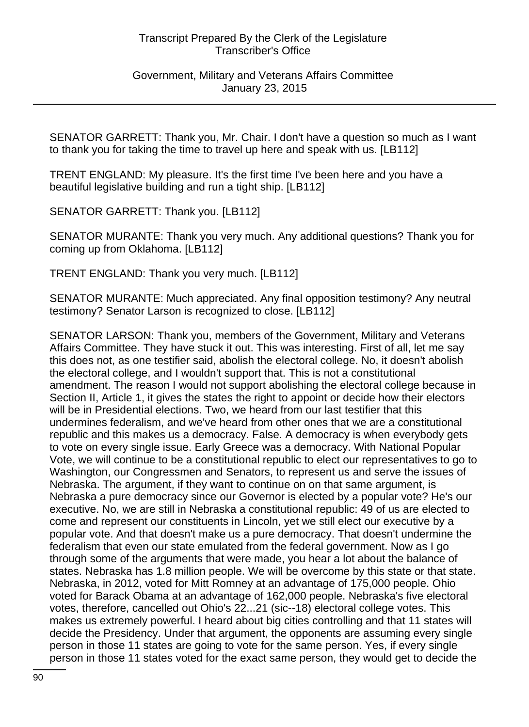Government, Military and Veterans Affairs Committee January 23, 2015

SENATOR GARRETT: Thank you, Mr. Chair. I don't have a question so much as I want to thank you for taking the time to travel up here and speak with us. [LB112]

TRENT ENGLAND: My pleasure. It's the first time I've been here and you have a beautiful legislative building and run a tight ship. [LB112]

SENATOR GARRETT: Thank you. [LB112]

SENATOR MURANTE: Thank you very much. Any additional questions? Thank you for coming up from Oklahoma. [LB112]

TRENT ENGLAND: Thank you very much. [LB112]

SENATOR MURANTE: Much appreciated. Any final opposition testimony? Any neutral testimony? Senator Larson is recognized to close. [LB112]

SENATOR LARSON: Thank you, members of the Government, Military and Veterans Affairs Committee. They have stuck it out. This was interesting. First of all, let me say this does not, as one testifier said, abolish the electoral college. No, it doesn't abolish the electoral college, and I wouldn't support that. This is not a constitutional amendment. The reason I would not support abolishing the electoral college because in Section II, Article 1, it gives the states the right to appoint or decide how their electors will be in Presidential elections. Two, we heard from our last testifier that this undermines federalism, and we've heard from other ones that we are a constitutional republic and this makes us a democracy. False. A democracy is when everybody gets to vote on every single issue. Early Greece was a democracy. With National Popular Vote, we will continue to be a constitutional republic to elect our representatives to go to Washington, our Congressmen and Senators, to represent us and serve the issues of Nebraska. The argument, if they want to continue on on that same argument, is Nebraska a pure democracy since our Governor is elected by a popular vote? He's our executive. No, we are still in Nebraska a constitutional republic: 49 of us are elected to come and represent our constituents in Lincoln, yet we still elect our executive by a popular vote. And that doesn't make us a pure democracy. That doesn't undermine the federalism that even our state emulated from the federal government. Now as I go through some of the arguments that were made, you hear a lot about the balance of states. Nebraska has 1.8 million people. We will be overcome by this state or that state. Nebraska, in 2012, voted for Mitt Romney at an advantage of 175,000 people. Ohio voted for Barack Obama at an advantage of 162,000 people. Nebraska's five electoral votes, therefore, cancelled out Ohio's 22...21 (sic--18) electoral college votes. This makes us extremely powerful. I heard about big cities controlling and that 11 states will decide the Presidency. Under that argument, the opponents are assuming every single person in those 11 states are going to vote for the same person. Yes, if every single person in those 11 states voted for the exact same person, they would get to decide the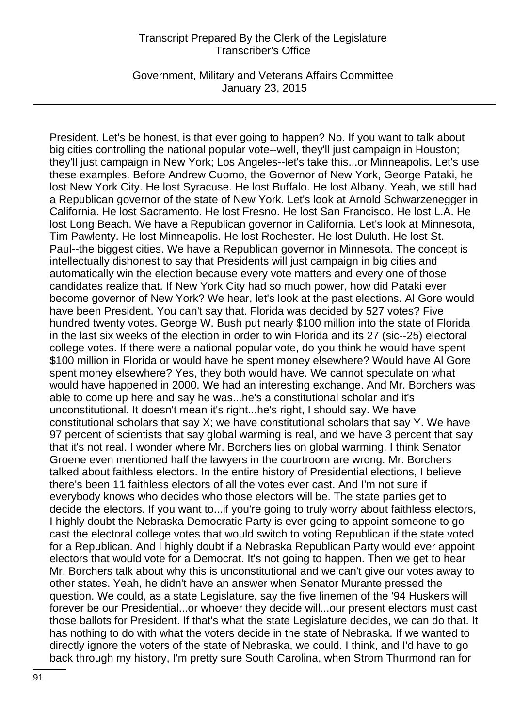Government, Military and Veterans Affairs Committee January 23, 2015

President. Let's be honest, is that ever going to happen? No. If you want to talk about big cities controlling the national popular vote--well, they'll just campaign in Houston; they'll just campaign in New York; Los Angeles--let's take this...or Minneapolis. Let's use these examples. Before Andrew Cuomo, the Governor of New York, George Pataki, he lost New York City. He lost Syracuse. He lost Buffalo. He lost Albany. Yeah, we still had a Republican governor of the state of New York. Let's look at Arnold Schwarzenegger in California. He lost Sacramento. He lost Fresno. He lost San Francisco. He lost L.A. He lost Long Beach. We have a Republican governor in California. Let's look at Minnesota, Tim Pawlenty. He lost Minneapolis. He lost Rochester. He lost Duluth. He lost St. Paul--the biggest cities. We have a Republican governor in Minnesota. The concept is intellectually dishonest to say that Presidents will just campaign in big cities and automatically win the election because every vote matters and every one of those candidates realize that. If New York City had so much power, how did Pataki ever become governor of New York? We hear, let's look at the past elections. Al Gore would have been President. You can't say that. Florida was decided by 527 votes? Five hundred twenty votes. George W. Bush put nearly \$100 million into the state of Florida in the last six weeks of the election in order to win Florida and its 27 (sic--25) electoral college votes. If there were a national popular vote, do you think he would have spent \$100 million in Florida or would have he spent money elsewhere? Would have Al Gore spent money elsewhere? Yes, they both would have. We cannot speculate on what would have happened in 2000. We had an interesting exchange. And Mr. Borchers was able to come up here and say he was...he's a constitutional scholar and it's unconstitutional. It doesn't mean it's right...he's right, I should say. We have constitutional scholars that say X; we have constitutional scholars that say Y. We have 97 percent of scientists that say global warming is real, and we have 3 percent that say that it's not real. I wonder where Mr. Borchers lies on global warming. I think Senator Groene even mentioned half the lawyers in the courtroom are wrong. Mr. Borchers talked about faithless electors. In the entire history of Presidential elections, I believe there's been 11 faithless electors of all the votes ever cast. And I'm not sure if everybody knows who decides who those electors will be. The state parties get to decide the electors. If you want to...if you're going to truly worry about faithless electors, I highly doubt the Nebraska Democratic Party is ever going to appoint someone to go cast the electoral college votes that would switch to voting Republican if the state voted for a Republican. And I highly doubt if a Nebraska Republican Party would ever appoint electors that would vote for a Democrat. It's not going to happen. Then we get to hear Mr. Borchers talk about why this is unconstitutional and we can't give our votes away to other states. Yeah, he didn't have an answer when Senator Murante pressed the question. We could, as a state Legislature, say the five linemen of the '94 Huskers will forever be our Presidential...or whoever they decide will...our present electors must cast those ballots for President. If that's what the state Legislature decides, we can do that. It has nothing to do with what the voters decide in the state of Nebraska. If we wanted to directly ignore the voters of the state of Nebraska, we could. I think, and I'd have to go back through my history, I'm pretty sure South Carolina, when Strom Thurmond ran for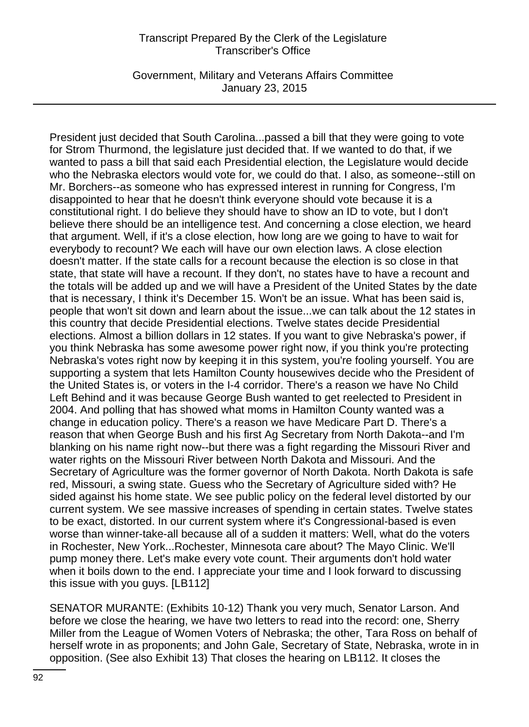Government, Military and Veterans Affairs Committee January 23, 2015

President just decided that South Carolina...passed a bill that they were going to vote for Strom Thurmond, the legislature just decided that. If we wanted to do that, if we wanted to pass a bill that said each Presidential election, the Legislature would decide who the Nebraska electors would vote for, we could do that. I also, as someone--still on Mr. Borchers--as someone who has expressed interest in running for Congress, I'm disappointed to hear that he doesn't think everyone should vote because it is a constitutional right. I do believe they should have to show an ID to vote, but I don't believe there should be an intelligence test. And concerning a close election, we heard that argument. Well, if it's a close election, how long are we going to have to wait for everybody to recount? We each will have our own election laws. A close election doesn't matter. If the state calls for a recount because the election is so close in that state, that state will have a recount. If they don't, no states have to have a recount and the totals will be added up and we will have a President of the United States by the date that is necessary, I think it's December 15. Won't be an issue. What has been said is, people that won't sit down and learn about the issue...we can talk about the 12 states in this country that decide Presidential elections. Twelve states decide Presidential elections. Almost a billion dollars in 12 states. If you want to give Nebraska's power, if you think Nebraska has some awesome power right now, if you think you're protecting Nebraska's votes right now by keeping it in this system, you're fooling yourself. You are supporting a system that lets Hamilton County housewives decide who the President of the United States is, or voters in the I-4 corridor. There's a reason we have No Child Left Behind and it was because George Bush wanted to get reelected to President in 2004. And polling that has showed what moms in Hamilton County wanted was a change in education policy. There's a reason we have Medicare Part D. There's a reason that when George Bush and his first Ag Secretary from North Dakota--and I'm blanking on his name right now--but there was a fight regarding the Missouri River and water rights on the Missouri River between North Dakota and Missouri. And the Secretary of Agriculture was the former governor of North Dakota. North Dakota is safe red, Missouri, a swing state. Guess who the Secretary of Agriculture sided with? He sided against his home state. We see public policy on the federal level distorted by our current system. We see massive increases of spending in certain states. Twelve states to be exact, distorted. In our current system where it's Congressional-based is even worse than winner-take-all because all of a sudden it matters: Well, what do the voters in Rochester, New York...Rochester, Minnesota care about? The Mayo Clinic. We'll pump money there. Let's make every vote count. Their arguments don't hold water when it boils down to the end. I appreciate your time and I look forward to discussing this issue with you guys. [LB112]

SENATOR MURANTE: (Exhibits 10-12) Thank you very much, Senator Larson. And before we close the hearing, we have two letters to read into the record: one, Sherry Miller from the League of Women Voters of Nebraska; the other, Tara Ross on behalf of herself wrote in as proponents; and John Gale, Secretary of State, Nebraska, wrote in in opposition. (See also Exhibit 13) That closes the hearing on LB112. It closes the